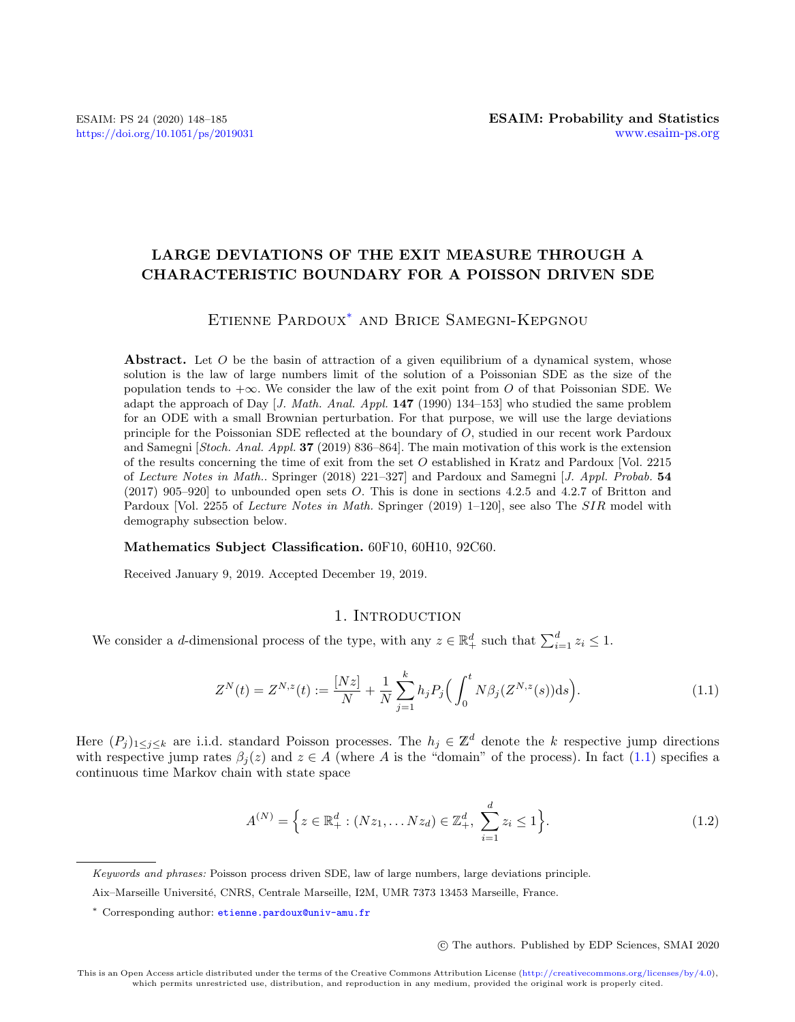# LARGE DEVIATIONS OF THE EXIT MEASURE THROUGH A CHARACTERISTIC BOUNDARY FOR A POISSON DRIVEN SDE

## Etienne Pardoux[\\*](#page-0-0) and Brice Samegni-Kepgnou

**Abstract.** Let  $O$  be the basin of attraction of a given equilibrium of a dynamical system, whose solution is the law of large numbers limit of the solution of a Poissonian SDE as the size of the population tends to  $+\infty$ . We consider the law of the exit point from O of that Poissonian SDE. We adapt the approach of Day  $J. Math. Anal. Appl. 147 (1990) 134–153$  who studied the same problem for an ODE with a small Brownian perturbation. For that purpose, we will use the large deviations principle for the Poissonian SDE reflected at the boundary of O, studied in our recent work Pardoux and Samegni [Stoch. Anal. Appl. 37 (2019) 836–864]. The main motivation of this work is the extension of the results concerning the time of exit from the set O established in Kratz and Pardoux [Vol. 2215 of Lecture Notes in Math.. Springer (2018) 221–327] and Pardoux and Samegni [J. Appl. Probab. 54 (2017) 905–920] to unbounded open sets O. This is done in sections 4.2.5 and 4.2.7 of Britton and Pardoux [Vol. 2255 of *Lecture Notes in Math.* Springer (2019) 1–120], see also The SIR model with demography subsection below.

#### Mathematics Subject Classification. 60F10, 60H10, 92C60.

Received January 9, 2019. Accepted December 19, 2019.

#### 1. INTRODUCTION

We consider a d-dimensional process of the type, with any  $z \in \mathbb{R}^d_+$  such that  $\sum_{i=1}^d z_i \leq 1$ .

<span id="page-0-1"></span>
$$
Z^{N}(t) = Z^{N,z}(t) := \frac{[Nz]}{N} + \frac{1}{N} \sum_{j=1}^{k} h_j P_j \left( \int_0^t N \beta_j (Z^{N,z}(s)) \mathrm{d}s \right).
$$
 (1.1)

Here  $(P_j)_{1\leq j\leq k}$  are i.i.d. standard Poisson processes. The  $h_j \in \mathbb{Z}^d$  denote the k respective jump directions with respective jump rates  $\beta_j(z)$  and  $z \in A$  (where A is the "domain" of the process). In fact [\(1.1\)](#page-0-1) specifies a continuous time Markov chain with state space

$$
A^{(N)} = \left\{ z \in \mathbb{R}_+^d : (Nz_1, \dots Nz_d) \in \mathbb{Z}_+^d, \ \sum_{i=1}^d z_i \le 1 \right\}.
$$
 (1.2)

c The authors. Published by EDP Sciences, SMAI 2020

<span id="page-0-0"></span>Keywords and phrases: Poisson process driven SDE, law of large numbers, large deviations principle.

Aix–Marseille Universit´e, CNRS, Centrale Marseille, I2M, UMR 7373 13453 Marseille, France.

<sup>\*</sup> Corresponding author: [etienne.pardoux@univ-amu.fr](mailto:etienne.pardoux@univ-amu.fr)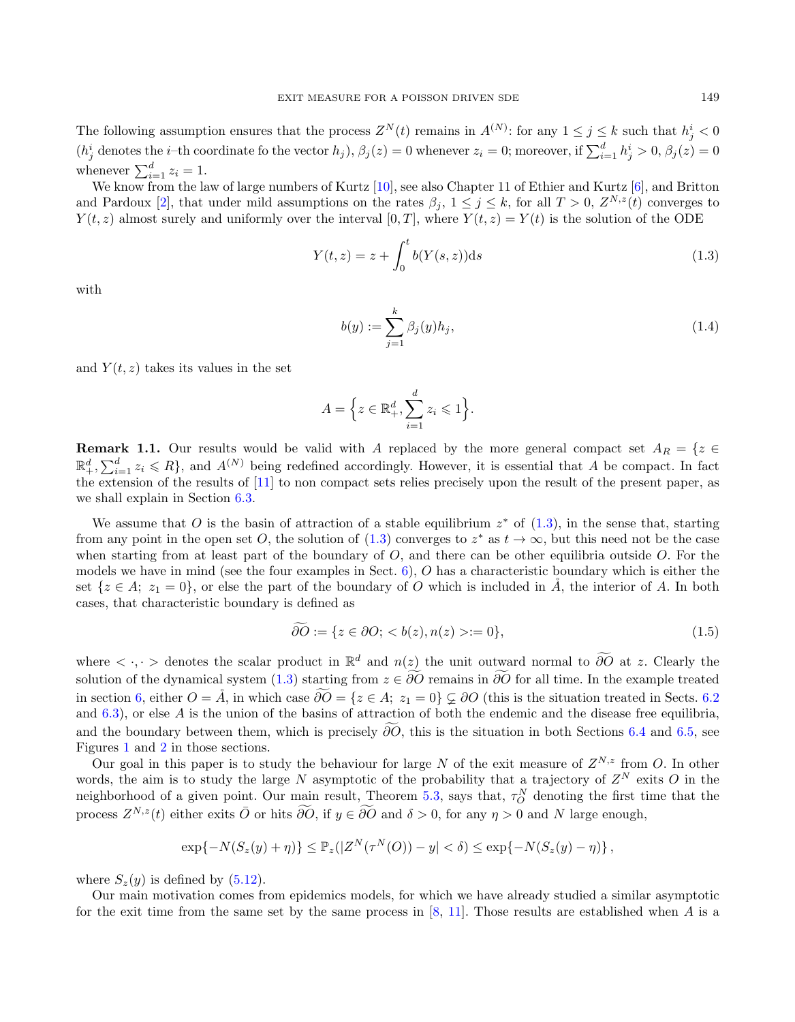The following assumption ensures that the process  $Z^N(t)$  remains in  $A^{(N)}$ : for any  $1 \leq j \leq k$  such that  $h_j^i < 0$  $(h_j^i$  denotes the *i*-th coordinate fo the vector  $h_j$ ,  $\beta_j(z) = 0$  whenever  $z_i = 0$ ; moreover, if  $\sum_{i=1}^d h_j^i > 0$ ,  $\beta_j(z) = 0$ whenever  $\sum_{i=1}^{d} z_i = 1$ .

We know from the law of large numbers of Kurtz [\[10\]](#page-37-0), see also Chapter 11 of Ethier and Kurtz [\[6\]](#page-37-1), and Britton and Pardoux [\[2\]](#page-37-2), that under mild assumptions on the rates  $\beta_j$ ,  $1 \leq j \leq k$ , for all  $T > 0$ ,  $Z^{N,z}(t)$  converges to  $Y(t, z)$  almost surely and uniformly over the interval [0, T], where  $Y(t, z) = Y(t)$  is the solution of the ODE

<span id="page-1-0"></span>
$$
Y(t, z) = z + \int_0^t b(Y(s, z))ds
$$
\n(1.3)

with

$$
b(y) := \sum_{j=1}^{k} \beta_j(y) h_j,
$$
\n(1.4)

and  $Y(t, z)$  takes its values in the set

$$
A = \Big\{ z \in \mathbb{R}^d_+, \sum_{i=1}^d z_i \leqslant 1 \Big\}.
$$

**Remark 1.1.** Our results would be valid with A replaced by the more general compact set  $A_R = \{z \in \mathbb{R}^N : |z| \leq 1\}$  $\mathbb{R}^d_+$ ,  $\sum_{i=1}^d z_i \leq R$ , and  $A^{(N)}$  being redefined accordingly. However, it is essential that A be compact. In fact the extension of the results of [\[11\]](#page-37-3) to non compact sets relies precisely upon the result of the present paper, as we shall explain in Section [6.3.](#page-33-0)

We assume that O is the basin of attraction of a stable equilibrium  $z^*$  of  $(1.3)$ , in the sense that, starting from any point in the open set O, the solution of  $(1.3)$  converges to  $z^*$  as  $t \to \infty$ , but this need not be the case when starting from at least part of the boundary of  $O$ , and there can be other equilibria outside  $O$ . For the models we have in mind (see the four examples in Sect. [6\)](#page-30-0), O has a characteristic boundary which is either the set  $\{z \in A; z_1 = 0\}$ , or else the part of the boundary of O which is included in  $\overline{A}$ , the interior of A. In both cases, that characteristic boundary is defined as

$$
\partial O := \{ z \in \partial O; < b(z), n(z) > := 0 \},\tag{1.5}
$$

where  $\langle \cdot, \cdot \rangle$  denotes the scalar product in  $\mathbb{R}^d$  and  $n(z)$  the unit outward normal to  $\widetilde{\partial O}$  at z. Clearly the solution of the dynamical system [\(1.3\)](#page-1-0) starting from  $z \in \widetilde{\partial O}$  remains in  $\widetilde{\partial O}$  for all time. In the example treated in section [6,](#page-30-0) either  $O = \AA$ , in which case  $\widetilde{\partial O} = \{z \in A; z_1 = 0\} \subsetneq \partial O$  (this is the situation treated in Sects. [6.2](#page-32-0)) and  $(6.3)$  $(6.3)$ , or else A is the union of the basins of attraction of both the endemic and the disease free equilibria. and the boundary between them, which is precisely  $\partial \overline{O}$ , this is the situation in both Sections [6.4](#page-33-1) and [6.5,](#page-35-0) see Figures [1](#page-34-0) and [2](#page-35-1) in those sections.

Our goal in this paper is to study the behaviour for large N of the exit measure of  $Z^{N,z}$  from O. In other words, the aim is to study the large N asymptotic of the probability that a trajectory of  $Z^N$  exits O in the neighborhood of a given point. Our main result, Theorem [5.3,](#page-28-0) says that,  $\tau_O^N$  denoting the first time that the process  $Z^{N,z}(t)$  either exits  $\overline{O}$  or hits  $\widetilde{\partial O}$ , if  $y \in \widetilde{\partial O}$  and  $\delta > 0$ , for any  $\eta > 0$  and N large enough,

$$
\exp\{-N(S_z(y)+\eta)\}\leq \mathbb{P}_z(|Z^N(\tau^N(O))-y|<\delta)\leq \exp\{-N(S_z(y)-\eta)\},
$$

where  $S_z(y)$  is defined by [\(5.12\)](#page-28-1).

Our main motivation comes from epidemics models, for which we have already studied a similar asymptotic for the exit time from the same set by the same process in  $[8, 11]$  $[8, 11]$ . Those results are established when A is a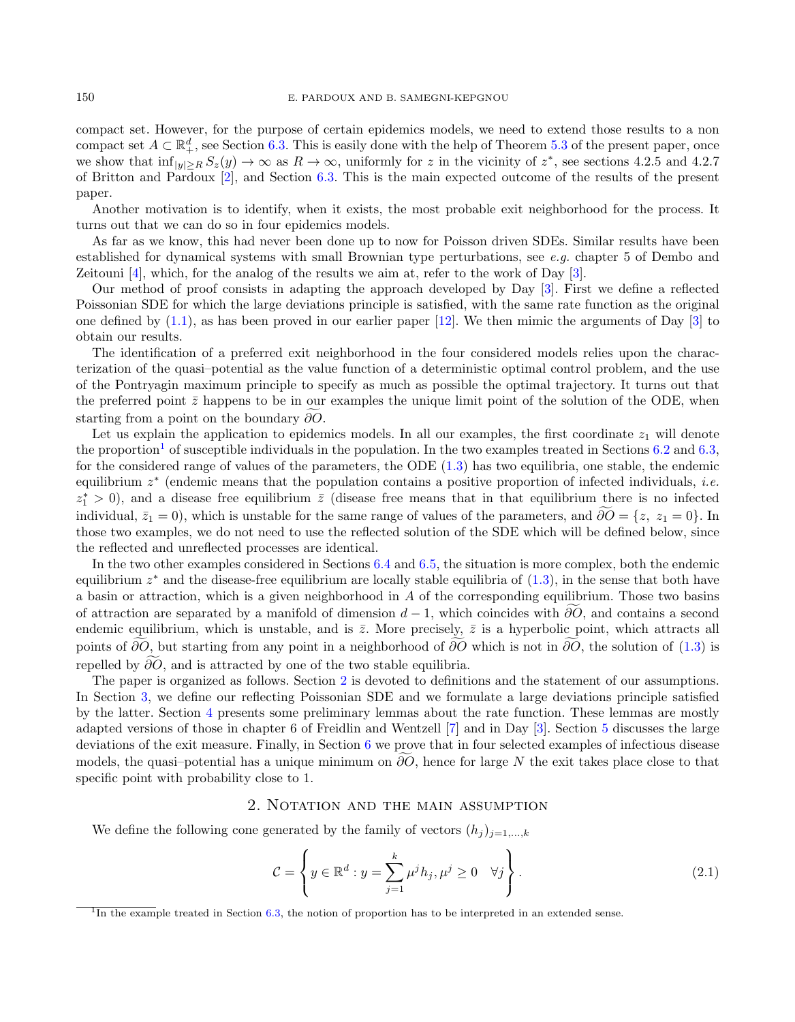compact set. However, for the purpose of certain epidemics models, we need to extend those results to a non compact set  $A \subset \mathbb{R}^d_+$ , see Section [6.3.](#page-33-0) This is easily done with the help of Theorem [5.3](#page-28-0) of the present paper, once we show that  $\inf_{|y|\geq R} S_z(y) \to \infty$  as  $R \to \infty$ , uniformly for z in the vicinity of  $z^*$ , see sections 4.2.5 and 4.2.7 of Britton and Pardoux [\[2\]](#page-37-2), and Section [6.3.](#page-33-0) This is the main expected outcome of the results of the present paper.

Another motivation is to identify, when it exists, the most probable exit neighborhood for the process. It turns out that we can do so in four epidemics models.

As far as we know, this had never been done up to now for Poisson driven SDEs. Similar results have been established for dynamical systems with small Brownian type perturbations, see e.g. chapter 5 of Dembo and Zeitouni  $[4]$ , which, for the analog of the results we aim at, refer to the work of Day  $[3]$ .

Our method of proof consists in adapting the approach developed by Day [\[3\]](#page-37-6). First we define a reflected Poissonian SDE for which the large deviations principle is satisfied, with the same rate function as the original one defined by  $(1.1)$ , as has been proved in our earlier paper  $[12]$ . We then mimic the arguments of Day  $[3]$  to obtain our results.

The identification of a preferred exit neighborhood in the four considered models relies upon the characterization of the quasi–potential as the value function of a deterministic optimal control problem, and the use of the Pontryagin maximum principle to specify as much as possible the optimal trajectory. It turns out that the preferred point  $\bar{z}$  happens to be in our examples the unique limit point of the solution of the ODE, when starting from a point on the boundary  $\partial O$ .

Let us explain the application to epidemics models. In all our examples, the first coordinate  $z_1$  will denote the proportion<sup>[1](#page-2-0)</sup> of susceptible individuals in the population. In the two examples treated in Sections  $6.2$  and  $6.3$ , for the considered range of values of the parameters, the ODE [\(1.3\)](#page-1-0) has two equilibria, one stable, the endemic equilibrium  $z^*$  (endemic means that the population contains a positive proportion of infected individuals, *i.e.*  $z_1^* > 0$ ), and a disease free equilibrium  $\overline{z}$  (disease free means that in that equilibrium there is no infected individual,  $\bar{z}_1 = 0$ , which is unstable for the same range of values of the parameters, and  $\partial \tilde{O} = \{z, z_1 = 0\}$ . In those two examples, we do not need to use the reflected solution of the SDE which will be defined below, since the reflected and unreflected processes are identical.

In the two other examples considered in Sections [6.4](#page-33-1) and [6.5,](#page-35-0) the situation is more complex, both the endemic equilibrium  $z^*$  and the disease-free equilibrium are locally stable equilibria of  $(1.3)$ , in the sense that both have a basin or attraction, which is a given neighborhood in A of the corresponding equilibrium. Those two basins of attraction are separated by a manifold of dimension  $d-1$ , which coincides with ∂O, and contains a second endemic equilibrium, which is unstable, and is  $\bar{z}$ . More precisely,  $\bar{z}$  is a hyperbolic point, which attracts all points of ∂O, but starting from any point in a neighborhood of ∂Of which is not in ∂O, the solution of [\(1.3\)](#page-1-0) is repelled by  $\partial \overline{O}$ , and is attracted by one of the two stable equilibria.

The paper is organized as follows. Section [2](#page-2-1) is devoted to definitions and the statement of our assumptions. In Section [3,](#page-3-0) we define our reflecting Poissonian SDE and we formulate a large deviations principle satisfied by the latter. Section [4](#page-6-0) presents some preliminary lemmas about the rate function. These lemmas are mostly adapted versions of those in chapter 6 of Freidlin and Wentzell [\[7\]](#page-37-8) and in Day [\[3\]](#page-37-6). Section [5](#page-24-0) discusses the large deviations of the exit measure. Finally, in Section [6](#page-30-0) we prove that in four selected examples of infectious disease models, the quasi–potential has a unique minimum on  $\partial\overline{O}$ , hence for large N the exit takes place close to that specific point with probability close to 1.

#### 2. Notation and the main assumption

<span id="page-2-1"></span>We define the following cone generated by the family of vectors  $(h_j)_{j=1,\dots,k}$ 

$$
\mathcal{C} = \left\{ y \in \mathbb{R}^d : y = \sum_{j=1}^k \mu^j h_j, \mu^j \ge 0 \quad \forall j \right\}.
$$
\n(2.1)

<span id="page-2-0"></span><sup>&</sup>lt;sup>1</sup>In the example treated in Section [6.3,](#page-33-0) the notion of proportion has to be interpreted in an extended sense.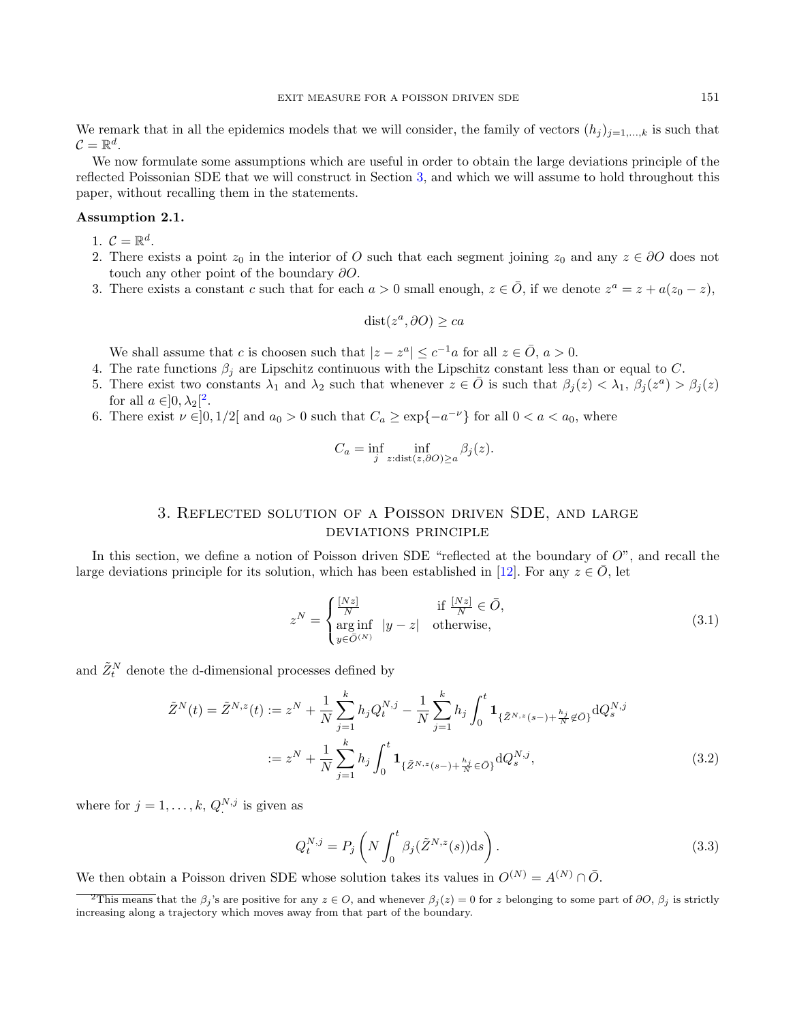We remark that in all the epidemics models that we will consider, the family of vectors  $(h_j)_{j=1,\ldots,k}$  is such that  $\mathcal{C} = \mathbb{R}^d$ .

We now formulate some assumptions which are useful in order to obtain the large deviations principle of the reflected Poissonian SDE that we will construct in Section [3,](#page-3-0) and which we will assume to hold throughout this paper, without recalling them in the statements.

#### <span id="page-3-3"></span>Assumption 2.1.

- <span id="page-3-6"></span>1.  $\mathcal{C} = \mathbb{R}^d$ .
- 2. There exists a point  $z_0$  in the interior of O such that each segment joining  $z_0$  and any  $z \in \partial O$  does not touch any other point of the boundary ∂O.
- <span id="page-3-4"></span>3. There exists a constant c such that for each  $a > 0$  small enough,  $z \in \overline{O}$ , if we denote  $z^a = z + a(z_0 - z)$ ,

$$
dist(z^a, \partial O) \ge ca
$$

We shall assume that c is choosen such that  $|z - z^a| \le c^{-1}a$  for all  $z \in \overline{O}$ ,  $a > 0$ .

- 4. The rate functions  $\beta_j$  are Lipschitz continuous with the Lipschitz constant less than or equal to C.
- 5. There exist two constants  $\lambda_1$  and  $\lambda_2$  such that whenever  $z \in \overline{O}$  is such that  $\beta_j(z) < \lambda_1$ ,  $\beta_j(z^a) > \beta_j(z)$ for all  $a \in ]0, \lambda_2[^2$  $a \in ]0, \lambda_2[^2$  $a \in ]0, \lambda_2[^2$ .
- <span id="page-3-5"></span>6. There exist  $\nu \in ]0,1/2[$  and  $a_0 > 0$  such that  $C_a \geq \exp\{-a^{-\nu}\}\$  for all  $0 < a < a_0$ , where

$$
C_a = \inf_j \inf_{z:\text{dist}(z,\partial O) \ge a} \beta_j(z).
$$

# 3. Reflected solution of a Poisson driven SDE, and large deviations principle

<span id="page-3-0"></span>In this section, we define a notion of Poisson driven SDE "reflected at the boundary of  $O$ ", and recall the large deviations principle for its solution, which has been established in [\[12\]](#page-37-7). For any  $z \in O$ , let

<span id="page-3-7"></span>
$$
z^{N} = \begin{cases} \frac{[Nz]}{N} & \text{if } \frac{[Nz]}{N} \in \bar{O},\\ \arg\inf_{y \in \bar{O}^{(N)}} |y - z| & \text{otherwise}, \end{cases}
$$
(3.1)

and  $\tilde{Z}^N_t$  denote the d-dimensional processes defined by

$$
\tilde{Z}^{N}(t) = \tilde{Z}^{N,z}(t) := z^{N} + \frac{1}{N} \sum_{j=1}^{k} h_{j} Q_{t}^{N,j} - \frac{1}{N} \sum_{j=1}^{k} h_{j} \int_{0}^{t} \mathbf{1}_{\{\tilde{Z}^{N,z}(s-) + \frac{h_{j}}{N} \notin \tilde{O}\}} dQ_{s}^{N,j}
$$

$$
:= z^{N} + \frac{1}{N} \sum_{j=1}^{k} h_{j} \int_{0}^{t} \mathbf{1}_{\{\tilde{Z}^{N,z}(s-) + \frac{h_{j}}{N} \in \tilde{O}\}} dQ_{s}^{N,j}, \tag{3.2}
$$

where for  $j = 1, \ldots, k, Q^{N,j}$  is given as

<span id="page-3-8"></span><span id="page-3-2"></span>
$$
Q_t^{N,j} = P_j \left( N \int_0^t \beta_j(\tilde{Z}^{N,z}(s)) \mathrm{d} s \right). \tag{3.3}
$$

We then obtain a Poisson driven SDE whose solution takes its values in  $O^{(N)} = A^{(N)} \cap \overline{O}$ .

<span id="page-3-1"></span><sup>&</sup>lt;sup>2</sup>This means that the  $\beta_i$ 's are positive for any  $z \in O$ , and whenever  $\beta_i(z) = 0$  for z belonging to some part of  $\partial O$ ,  $\beta_i$  is strictly increasing along a trajectory which moves away from that part of the boundary.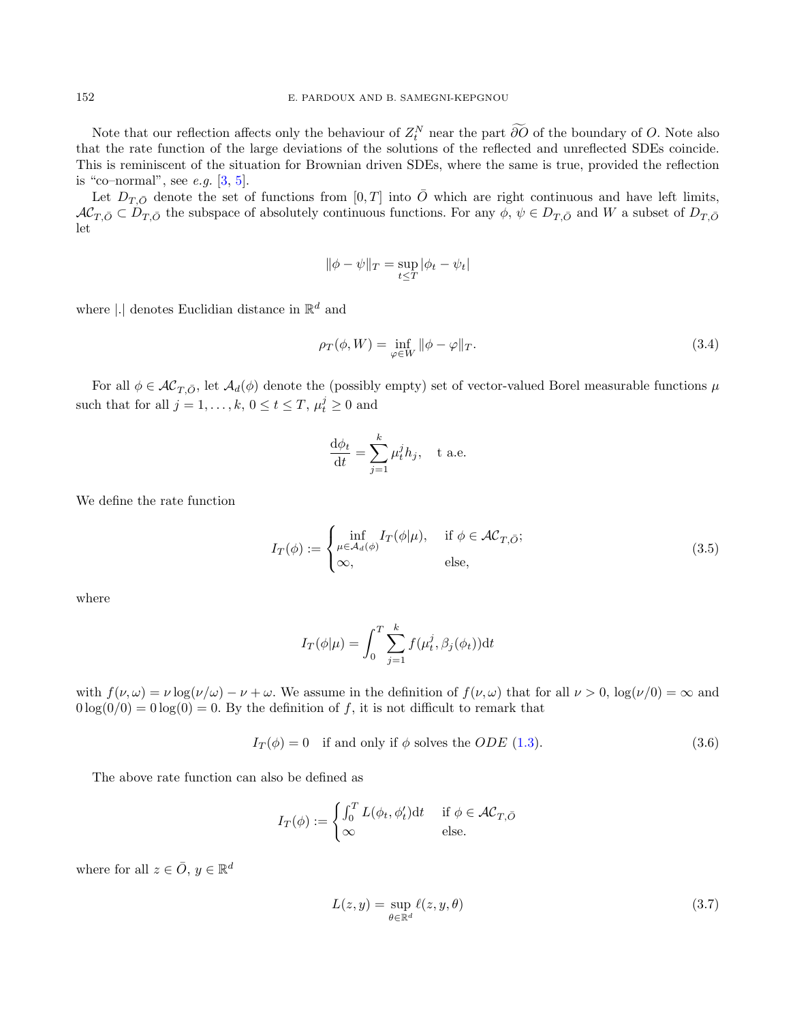Note that our reflection affects only the behaviour of  $Z_t^N$  near the part ∂O of the boundary of O. Note also that the rate function of the large deviations of the solutions of the reflected and unreflected SDEs coincide. This is reminiscent of the situation for Brownian driven SDEs, where the same is true, provided the reflection is "co–normal", see  $e.g. [3, 5]$  $e.g. [3, 5]$  $e.g. [3, 5]$  $e.g. [3, 5]$ .

Let  $D_{T,\bar{O}}$  denote the set of functions from  $[0,T]$  into  $\bar{O}$  which are right continuous and have left limits,  $AC_{T,\bar{O}} \subset D_{T,\bar{O}}$  the subspace of absolutely continuous functions. For any  $\phi$ ,  $\psi \in D_{T,\bar{O}}$  and W a subset of  $D_{T,\bar{O}}$ let

$$
\|\phi - \psi\|_T = \sup_{t \le T} |\phi_t - \psi_t|
$$

where |.<br>| denotes Euclidian distance in  $\mathbb{R}^d$  and

$$
\rho_T(\phi, W) = \inf_{\varphi \in W} \|\phi - \varphi\|_T.
$$
\n(3.4)

For all  $\phi \in AC_{T,\bar{O}}$ , let  $A_d(\phi)$  denote the (possibly empty) set of vector-valued Borel measurable functions  $\mu$ such that for all  $j = 1, ..., k, 0 \le t \le T, \mu_t^j \ge 0$  and

$$
\frac{\mathrm{d}\phi_t}{\mathrm{d}t} = \sum_{j=1}^k \mu_t^j h_j, \quad \text{t a.e.}
$$

We define the rate function

<span id="page-4-0"></span>
$$
I_T(\phi) := \begin{cases} \inf_{\mu \in \mathcal{A}_d(\phi)} I_T(\phi | \mu), & \text{if } \phi \in \mathcal{AC}_{T, \bar{O}}; \\ \infty, & \text{else,} \end{cases}
$$
(3.5)

where

$$
I_T(\phi|\mu) = \int_0^T \sum_{j=1}^k f(\mu_t^j, \beta_j(\phi_t)) dt
$$

with  $f(\nu, \omega) = \nu \log(\nu/\omega) - \nu + \omega$ . We assume in the definition of  $f(\nu, \omega)$  that for all  $\nu > 0$ ,  $\log(\nu/0) = \infty$  and  $0 \log(0/0) = 0 \log(0) = 0$ . By the definition of f, it is not difficult to remark that

$$
I_T(\phi) = 0 \quad \text{if and only if } \phi \text{ solves the } ODE \text{ (1.3).}
$$
 (3.6)

The above rate function can also be defined as

$$
I_T(\phi) := \begin{cases} \int_0^T L(\phi_t, \phi'_t) dt & \text{if } \phi \in \mathcal{AC}_{T, \bar{O}} \\ \infty & \text{else.} \end{cases}
$$

where for all  $z \in \overline{O}$ ,  $y \in \mathbb{R}^d$ 

$$
L(z, y) = \sup_{\theta \in \mathbb{R}^d} \ell(z, y, \theta)
$$
\n(3.7)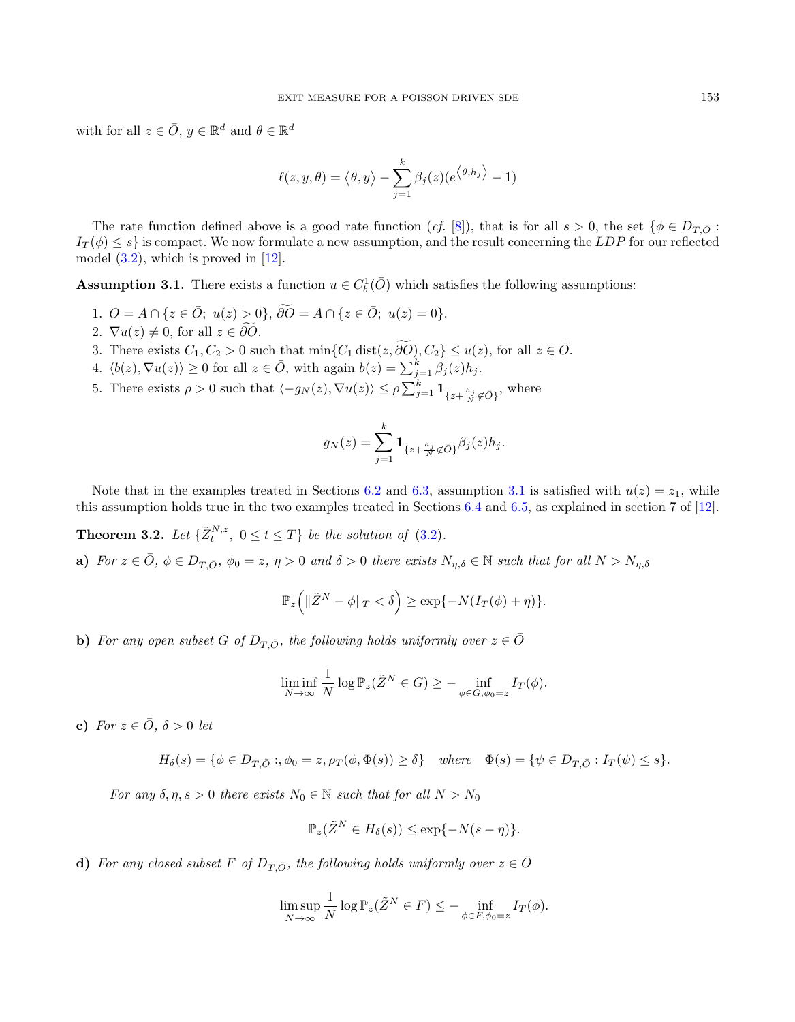with for all  $z \in \overline{O}$ ,  $y \in \mathbb{R}^d$  and  $\theta \in \mathbb{R}^d$ 

$$
\ell(z, y, \theta) = \langle \theta, y \rangle - \sum_{j=1}^{k} \beta_j(z) (e^{\langle \theta, h_j \rangle} - 1)
$$

The rate function defined above is a good rate function (cf. [\[8\]](#page-37-4)), that is for all  $s > 0$ , the set  $\{\phi \in D_{T}$ ,  $\phi \in D_{T}$ .  $I_T(\phi) \leq s$  is compact. We now formulate a new assumption, and the result concerning the LDP for our reflected model  $(3.2)$ , which is proved in  $[12]$ .

<span id="page-5-0"></span>**Assumption 3.1.** There exists a function  $u \in C_b^1(\overline{O})$  which satisfies the following assumptions:

- 1.  $O = A \cap \{z \in \overline{O}; u(z) > 0\}, \widetilde{\partial O} = A \cap \{z \in \overline{O}; u(z) = 0\}.$
- 2.  $\nabla u(z) \neq 0$ , for all  $z \in \partial O$ .
- 3. There exists  $C_1, C_2 > 0$  such that  $\min\{C_1 \text{ dist}(z, \widetilde{\partial O}), C_2\} \leq u(z)$ , for all  $z \in \overline{O}$ .
- 4.  $\langle b(z), \nabla u(z) \rangle \ge 0$  for all  $z \in \overline{O}$ , with again  $b(z) = \sum_{j=1}^{k} \beta_j(z) h_j$ .
- 5. There exists  $\rho > 0$  such that  $\langle -g_N(z), \nabla u(z) \rangle \leq \rho \sum_{j=1}^k \mathbf{1}_{\{z + \frac{h_j}{N} \notin \bar{O}\}}$ , where

$$
g_N(z) = \sum_{j=1}^k \mathbf{1}_{\{z + \frac{h_j}{N} \notin \bar{O}\}} \beta_j(z) h_j.
$$

Note that in the examples treated in Sections [6.2](#page-32-0) and [6.3,](#page-33-0) assumption [3.1](#page-5-0) is satisfied with  $u(z) = z_1$ , while this assumption holds true in the two examples treated in Sections [6.4](#page-33-1) and [6.5,](#page-35-0) as explained in section 7 of [\[12\]](#page-37-7).

<span id="page-5-1"></span>**Theorem 3.2.** Let  $\{\tilde{Z}_t^{N,z}, 0 \le t \le T\}$  be the solution of [\(3.2\)](#page-3-2).

a) For  $z \in \overline{O}$ ,  $\phi \in D_{T,\overline{O}}$ ,  $\phi_0 = z$ ,  $\eta > 0$  and  $\delta > 0$  there exists  $N_{\eta,\delta} \in \mathbb{N}$  such that for all  $N > N_{\eta,\delta}$ 

$$
\mathbb{P}_z\Big(\|\tilde{Z}^N-\phi\|_T<\delta\Big)\geq \exp\{-N(I_T(\phi)+\eta)\}.
$$

b) For any open subset G of  $D_{T,\bar{O}}$ , the following holds uniformly over  $z \in \bar{O}$ 

$$
\liminf_{N \to \infty} \frac{1}{N} \log \mathbb{P}_z(\tilde{Z}^N \in G) \ge - \inf_{\phi \in G, \phi_0 = z} I_T(\phi).
$$

c) For  $z \in \overline{O}$ ,  $\delta > 0$  let

$$
H_{\delta}(s) = \{ \phi \in D_{T, \bar{O}} : , \phi_0 = z, \rho_T(\phi, \Phi(s)) \ge \delta \} \quad \text{where} \quad \Phi(s) = \{ \psi \in D_{T, \bar{O}} : I_T(\psi) \le s \}.
$$

For any  $\delta, \eta, s > 0$  there exists  $N_0 \in \mathbb{N}$  such that for all  $N > N_0$ 

$$
\mathbb{P}_z(\tilde{Z}^N \in H_\delta(s)) \le \exp\{-N(s-\eta)\}.
$$

d) For any closed subset F of  $D_{T,\bar{O}}$ , the following holds uniformly over  $z \in \bar{O}$ 

$$
\limsup_{N \to \infty} \frac{1}{N} \log \mathbb{P}_z(\tilde{Z}^N \in F) \leq - \inf_{\phi \in F, \phi_0 = z} I_T(\phi).
$$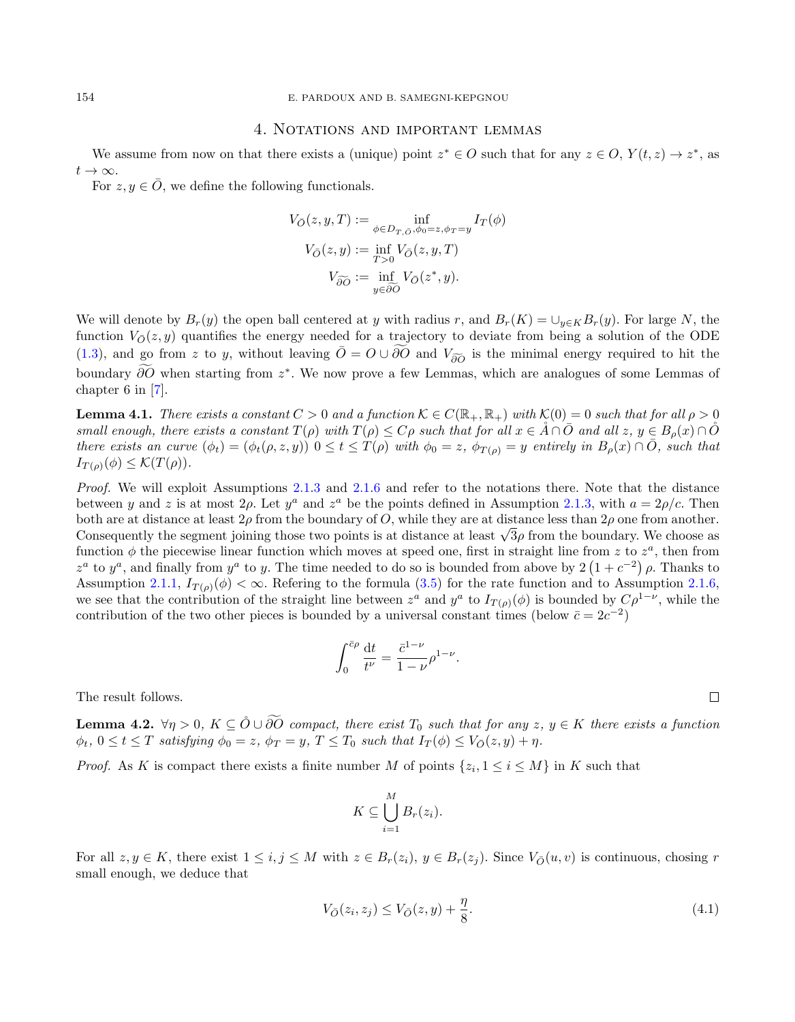#### 4. Notations and important lemmas

<span id="page-6-0"></span>We assume from now on that there exists a (unique) point  $z^* \in O$  such that for any  $z \in O$ ,  $Y(t, z) \to z^*$ , as  $t\to\infty$ .

For  $z, y \in \overline{O}$ , we define the following functionals.

$$
V_{\bar{O}}(z, y, T) := \inf_{\phi \in D_{T, \bar{O}}, \phi_0 = z, \phi_T = y} I_T(\phi)
$$

$$
V_{\bar{O}}(z, y) := \inf_{T > 0} V_{\bar{O}}(z, y, T)
$$

$$
V_{\widetilde{\partial O}} := \inf_{y \in \widetilde{\partial O}} V_{\bar{O}}(z^*, y).
$$

We will denote by  $B_r(y)$  the open ball centered at y with radius r, and  $B_r(K) = \bigcup_{y \in K} B_r(y)$ . For large N, the function  $V_{\mathcal{O}}(z, y)$  quantifies the energy needed for a trajectory to deviate from being a solution of the ODE [\(1.3\)](#page-1-0), and go from z to y, without leaving  $\overline{O} = O \cup \overline{O}O$  and  $V_{\widetilde{\partial O}}$  is the minimal energy required to hit the boundary  $\partial O$  when starting from  $z^*$ . We now prove a few Lemmas, which are analogues of some Lemmas of chapter 6 in [\[7\]](#page-37-8).

<span id="page-6-1"></span>**Lemma 4.1.** There exists a constant  $C > 0$  and a function  $K \in C(\mathbb{R}_+, \mathbb{R}_+)$  with  $K(0) = 0$  such that for all  $\rho > 0$ small enough, there exists a constant  $T(\rho)$  with  $T(\rho) \leq C\rho$  such that for all  $x \in \hat{A} \cap \hat{O}$  and all  $z, y \in B_o(x) \cap \hat{O}$ there exists an curve  $(\phi_t) = (\phi_t(\rho, z, y))$   $0 \le t \le T(\rho)$  with  $\phi_0 = z$ ,  $\phi_{T(\rho)} = y$  entirely in  $B_\rho(x) \cap \overline{O}$ , such that  $I_{T(\rho)}(\phi) \leq \mathcal{K}(T(\rho)).$ 

Proof. We will exploit Assumptions [2.1](#page-3-3)[.3](#page-3-4) and [2.1.](#page-3-3)[6](#page-3-5) and refer to the notations there. Note that the distance between y and z is at most  $2\rho$ . Let  $y^a$  and  $z^a$  be the points defined in Assumption [2.1.](#page-3-3)[3,](#page-3-4) with  $a = 2\rho/c$ . Then both are at distance at least  $2\rho$  from the boundary of O, while they are at distance less than  $2\rho$  one from another. both are at distance at least 2 $\rho$  from the boundary or O, while they are at distance less than 2 $\rho$  one from another.<br>Consequently the segment joining those two points is at distance at least  $\sqrt{3}\rho$  from the boundary function  $\phi$  the piecewise linear function which moves at speed one, first in straight line from z to  $z^a$ , then from  $z^a$  to  $y^a$ , and finally from  $y^a$  to y. The time needed to do so is bounded from above by  $2(1+c^{-2})\rho$ . Thanks to Assumption [2.1.](#page-3-3)[1,](#page-3-6)  $I_{T(\rho)}(\phi) < \infty$ . Refering to the formula [\(3.5\)](#page-4-0) for the rate function and to Assumption 2.1.[6,](#page-3-5) we see that the contribution of the straight line between  $z^a$  and  $y^a$  to  $I_{T(\rho)}(\phi)$  is bounded by  $C\rho^{1-\nu}$ , while the contribution of the two other pieces is bounded by a universal constant times (below  $\bar{c} = 2c^{-2}$ )

$$
\int_0^{\bar{c}\rho} \frac{\mathrm{d}t}{t^{\nu}} = \frac{\bar{c}^{1-\nu}}{1-\nu} \rho^{1-\nu}.
$$

The result follows.

<span id="page-6-2"></span>**Lemma 4.2.**  $\forall \eta > 0, K \subseteq \mathring{O} \cup \widetilde{O} \mathring{O}$  compact, there exist  $T_0$  such that for any  $z, y \in K$  there exists a function  $\phi_t, 0 \le t \le T$  satisfying  $\phi_0 = z$ ,  $\phi_T = y$ ,  $T \le T_0$  such that  $I_T(\phi) \le V_{\overline{O}}(z, y) + \eta$ .

*Proof.* As K is compact there exists a finite number M of points  $\{z_i, 1 \le i \le M\}$  in K such that

$$
K \subseteq \bigcup_{i=1}^{M} B_{r}(z_{i}).
$$

For all  $z, y \in K$ , there exist  $1 \leq i, j \leq M$  with  $z \in B_r(z_i), y \in B_r(z_j)$ . Since  $V_{\mathcal{O}}(u, v)$  is continuous, chosing r small enough, we deduce that

$$
V_{\bar{O}}(z_i, z_j) \le V_{\bar{O}}(z, y) + \frac{\eta}{8}.
$$
\n(4.1)

 $\Box$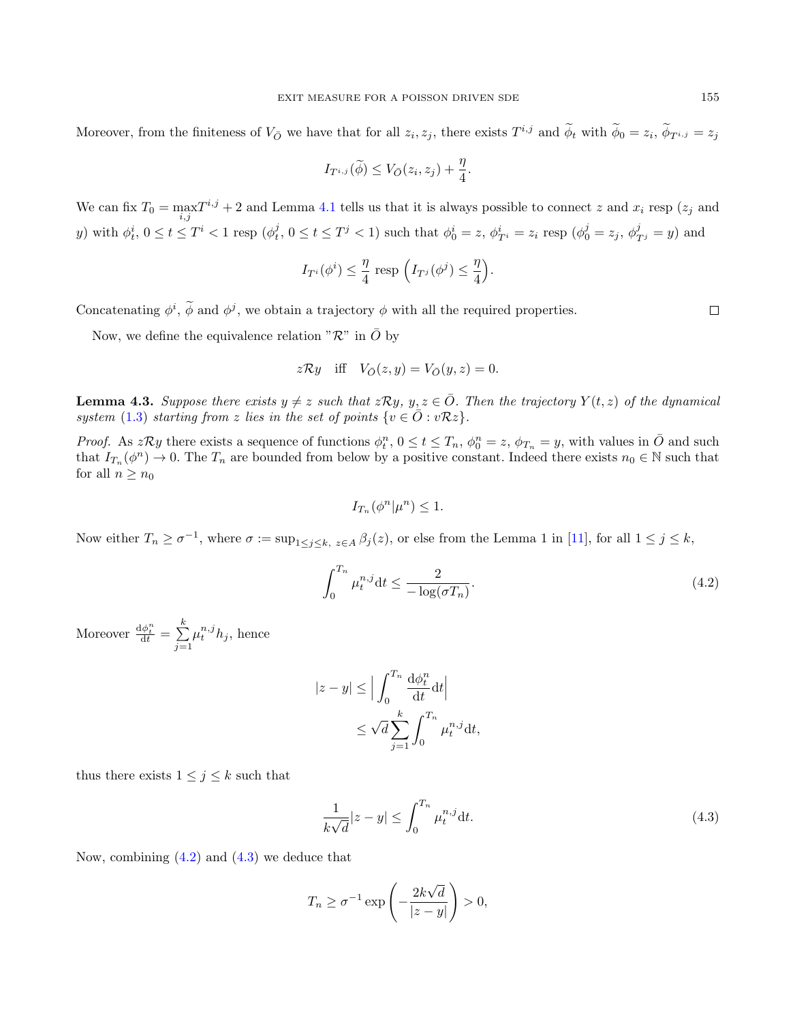Moreover, from the finiteness of  $V_{\bar{O}}$  we have that for all  $z_i, z_j$ , there exists  $T^{i,j}$  and  $\phi_t$  with  $\phi_0 = z_i$ ,  $\phi_{T^{i,j}} = z_j$ 

$$
I_{T^{i,j}}(\widetilde{\phi}) \leq V_{\bar{O}}(z_i,z_j) + \frac{\eta}{4}.
$$

We can fix  $T_0 = \max_{i,j} T^{i,j} + 2$  and Lemma [4.1](#page-6-1) tells us that it is always possible to connect z and  $x_i$  resp  $(z_j$  and y) with  $\phi_t^i$ ,  $0 \le t \le T^i < 1$  resp  $(\phi_t^j, 0 \le t \le T^j < 1)$  such that  $\phi_0^i = z$ ,  $\phi_{T^i}^i = z_i$  resp  $(\phi_0^j = z_j, \phi_{T^j}^j = y)$  and

$$
I_{T^i}(\phi^i) \leq \frac{\eta}{4} \text{ resp } \left(I_{T^j}(\phi^j) \leq \frac{\eta}{4}\right).
$$

Concatenating  $\phi^i$ ,  $\phi$  and  $\phi^j$ , we obtain a trajectory  $\phi$  with all the required properties.

Now, we define the equivalence relation " $\mathcal{R}$ " in  $\overline{O}$  by

$$
z\mathcal{R}y \quad \text{iff} \quad V_{\bar{O}}(z,y) = V_{\bar{O}}(y,z) = 0.
$$

<span id="page-7-2"></span>**Lemma 4.3.** Suppose there exists  $y \neq z$  such that  $z\mathcal{R}y$ ,  $y, z \in \overline{O}$ . Then the trajectory  $Y(t, z)$  of the dynamical system [\(1.3\)](#page-1-0) starting from z lies in the set of points  $\{v \in \overline{O} : v\mathcal{R}z\}.$ 

*Proof.* As  $z\mathcal{R}y$  there exists a sequence of functions  $\phi_t^n$ ,  $0 \le t \le T_n$ ,  $\phi_0^n = z$ ,  $\phi_{T_n} = y$ , with values in  $\overline{O}$  and such that  $I_{T_n}(\phi^n) \to 0$ . The  $T_n$  are bounded from below by a positive constant. Indeed there exists  $n_0 \in \mathbb{N}$  such that for all  $n \geq n_0$ 

$$
I_{T_n}(\phi^n|\mu^n) \leq 1.
$$

Now either  $T_n \ge \sigma^{-1}$ , where  $\sigma := \sup_{1 \le j \le k, z \in A} \beta_j(z)$ , or else from the Lemma 1 in [\[11\]](#page-37-3), for all  $1 \le j \le k$ ,

<span id="page-7-0"></span>
$$
\int_0^{T_n} \mu_t^{n,j} \mathrm{d}t \le \frac{2}{-\log(\sigma T_n)}.\tag{4.2}
$$

Moreover  $\frac{d\phi_t^n}{dt} = \sum_{i=1}^k$  $j=1$  $\mu_t^{n,j} h_j$ , hence

$$
|z - y| \le \Big| \int_0^{T_n} \frac{d\phi_t^n}{dt} dt \Big|
$$
  

$$
\le \sqrt{d} \sum_{j=1}^k \int_0^{T_n} \mu_t^{n,j} dt,
$$

thus there exists  $1 \leq j \leq k$  such that

<span id="page-7-1"></span>
$$
\frac{1}{k\sqrt{d}}|z-y| \le \int_0^{T_n} \mu_t^{n,j} \mathrm{d}t. \tag{4.3}
$$

Now, combining  $(4.2)$  and  $(4.3)$  we deduce that

$$
T_n \ge \sigma^{-1} \exp\left(-\frac{2k\sqrt{d}}{|z-y|}\right) > 0,
$$

 $\Box$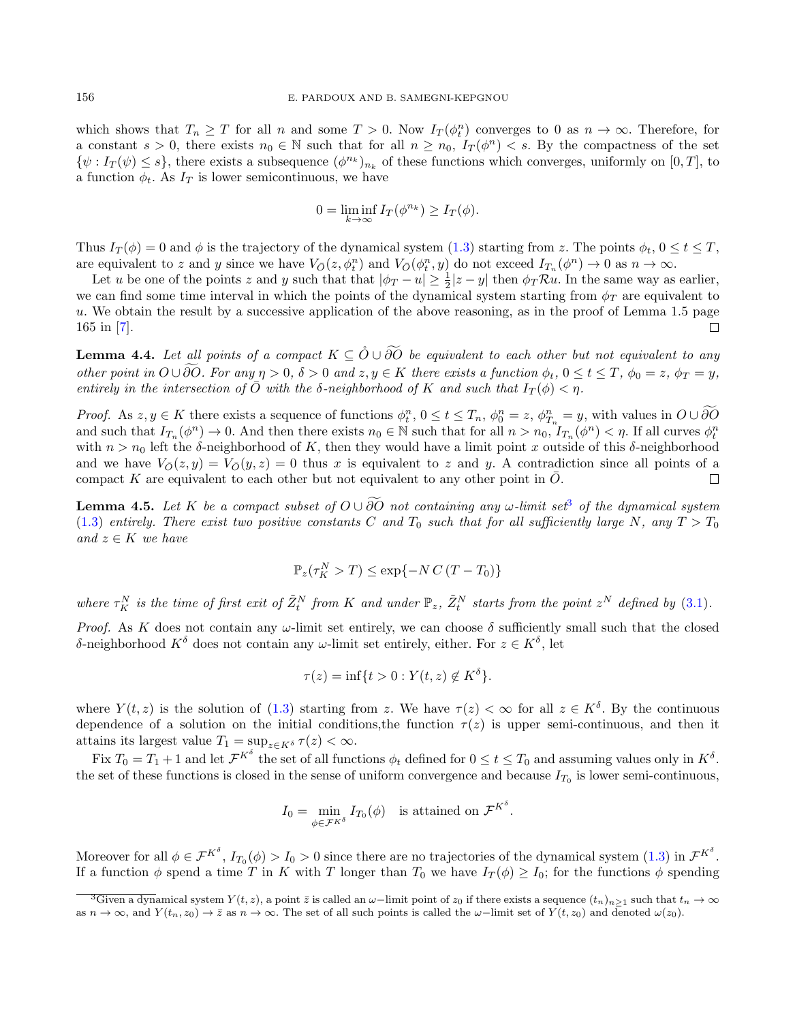which shows that  $T_n \geq T$  for all n and some  $T > 0$ . Now  $I_T(\phi_t^n)$  converges to 0 as  $n \to \infty$ . Therefore, for a constant  $s > 0$ , there exists  $n_0 \in \mathbb{N}$  such that for all  $n \geq n_0$ ,  $I_T(\phi^n) < s$ . By the compactness of the set  $\{\psi : I_T(\psi) \leq s\}$ , there exists a subsequence  $(\phi^{n_k})_{n_k}$  of these functions which converges, uniformly on  $[0, T]$ , to a function  $\phi_t$ . As  $I_T$  is lower semicontinuous, we have

$$
0 = \liminf_{k \to \infty} I_T(\phi^{n_k}) \ge I_T(\phi).
$$

Thus  $I_T(\phi) = 0$  and  $\phi$  is the trajectory of the dynamical system [\(1.3\)](#page-1-0) starting from z. The points  $\phi_t$ ,  $0 \le t \le T$ , are equivalent to z and y since we have  $V_{\bar{O}}(z, \phi_t^n)$  and  $V_{\bar{O}}(\phi_t^n, y)$  do not exceed  $I_{T_n}(\phi^n) \to 0$  as  $n \to \infty$ .

Let u be one of the points z and y such that that  $|\phi_T - u| \ge \frac{1}{2}|z - y|$  then  $\phi_T \mathcal{R} u$ . In the same way as earlier, we can find some time interval in which the points of the dynamical system starting from  $\phi_T$  are equivalent to u. We obtain the result by a successive application of the above reasoning, as in the proof of Lemma 1.5 page 165 in [\[7\]](#page-37-8).  $\Box$ 

<span id="page-8-1"></span>**Lemma 4.4.** Let all points of a compact  $K \subseteq \mathcal{O} \cup \widetilde{\partial O}$  be equivalent to each other but not equivalent to any other point in  $O \cup \partial O$ . For any  $\eta > 0$ ,  $\delta > 0$  and  $z, y \in K$  there exists a function  $\phi_t, 0 \le t \le T$ ,  $\phi_0 = z$ ,  $\phi_T = y$ , entirely in the intersection of  $\overline{O}$  with the  $\delta$ -neighborhood of K and such that  $I_T(\phi) < \eta$ .

Proof. As  $z, y \in K$  there exists a sequence of functions  $\phi_t^n, 0 \le t \le T_n$ ,  $\phi_0^n = z$ ,  $\phi_{T_n}^n = y$ , with values in  $O \cup \partial O$ and such that  $I_{T_n}(\phi^n) \to 0$ . And then there exists  $n_0 \in \mathbb{N}$  such that for all  $n > n_0$ ,  $I_{T_n}(\phi^n) < \eta$ . If all curves  $\phi^n_t$ with  $n > n_0$  left the δ-neighborhood of K, then they would have a limit point x outside of this δ-neighborhood and we have  $V_{\overline{O}}(z, y) = V_{\overline{O}}(y, z) = 0$  thus x is equivalent to z and y. A contradiction since all points of a compact K are equivalent to each other but not equivalent to any other point in  $\overline{O}$ .  $\Box$ 

<span id="page-8-2"></span>**Lemma 4.5.** Let K be a compact subset of  $O \cup \widetilde{\partial O}$  not containing any  $\omega$ -limit set<sup>[3](#page-8-0)</sup> of the dynamical system [\(1.3\)](#page-1-0) entirely. There exist two positive constants C and T<sub>0</sub> such that for all sufficiently large N, any  $T > T_0$ and  $z \in K$  we have

$$
\mathbb{P}_z(\tau_K^N > T) \le \exp\{-N C (T - T_0)\}
$$

where  $\tau_K^N$  is the time of first exit of  $\tilde{Z}_t^N$  from K and under  $\mathbb{P}_z$ ,  $\tilde{Z}_t^N$  starts from the point  $z^N$  defined by [\(3.1\)](#page-3-7).

Proof. As K does not contain any  $\omega$ -limit set entirely, we can choose  $\delta$  sufficiently small such that the closed δ-neighborhood  $K^{\delta}$  does not contain any  $\omega$ -limit set entirely, either. For  $z \in K^{\delta}$ , let

$$
\tau(z) = \inf\{t > 0 : Y(t, z) \notin K^{\delta}\}.
$$

where  $Y(t, z)$  is the solution of [\(1.3\)](#page-1-0) starting from z. We have  $\tau(z) < \infty$  for all  $z \in K^{\delta}$ . By the continuous dependence of a solution on the initial conditions, the function  $\tau(z)$  is upper semi-continuous, and then it attains its largest value  $T_1 = \sup_{z \in K^\delta} \tau(z) < \infty$ .

Fix  $T_0 = T_1 + 1$  and let  $\mathcal{F}^{K^{\delta}}$  the set of all functions  $\phi_t$  defined for  $0 \le t \le T_0$  and assuming values only in  $K^{\delta}$ . the set of these functions is closed in the sense of uniform convergence and because  $I_{T_0}$  is lower semi-continuous,

$$
I_0 = \min_{\phi \in \mathcal{F}^{K^{\delta}}} I_{T_0}(\phi) \quad \text{is attained on } \mathcal{F}^{K^{\delta}}.
$$

Moreover for all  $\phi \in \mathcal{F}^{K^{\delta}}, I_{T_0}(\phi) > I_0 > 0$  since there are no trajectories of the dynamical system  $(1.3)$  in  $\mathcal{F}^{K^{\delta}}$ . If a function  $\phi$  spend a time T in K with T longer than  $T_0$  we have  $I_T(\phi) \geq I_0$ ; for the functions  $\phi$  spending

<span id="page-8-0"></span><sup>&</sup>lt;sup>3</sup>Given a dynamical system  $Y(t, z)$ , a point  $\bar{z}$  is called an  $\omega$ -limit point of  $z_0$  if there exists a sequence  $(t_n)_{n>1}$  such that  $t_n \to \infty$ as  $n \to \infty$ , and  $Y(t_n, z_0) \to \overline{z}$  as  $n \to \infty$ . The set of all such points is called the  $\omega$ -limit set of  $Y(t, z_0)$  and denoted  $\omega(z_0)$ .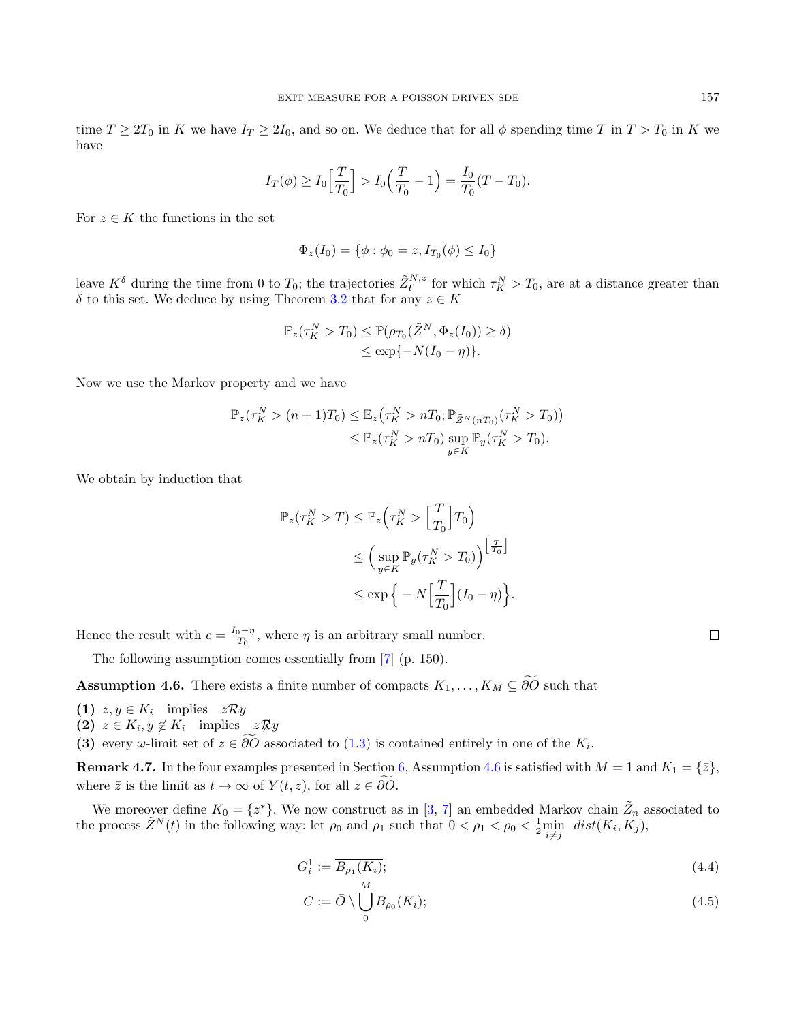time  $T \geq 2T_0$  in K we have  $I_T \geq 2I_0$ , and so on. We deduce that for all  $\phi$  spending time T in  $T > T_0$  in K we have

$$
I_T(\phi) \ge I_0 \left[ \frac{T}{T_0} \right] > I_0 \left( \frac{T}{T_0} - 1 \right) = \frac{I_0}{T_0} (T - T_0).
$$

For  $z \in K$  the functions in the set

$$
\Phi_z(I_0) = \{ \phi : \phi_0 = z, I_{T_0}(\phi) \le I_0 \}
$$

leave  $K^{\delta}$  during the time from 0 to  $T_0$ ; the trajectories  $\tilde{Z}_t^{N,z}$  for which  $\tau_K^N > T_0$ , are at a distance greater than  $\delta$  to this set. We deduce by using Theorem [3.2](#page-5-1) that for any  $z \in K$ 

$$
\mathbb{P}_z(\tau_K^N > T_0) \leq \mathbb{P}(\rho_{T_0}(\tilde{Z}^N, \Phi_z(I_0)) \geq \delta)
$$
  

$$
\leq \exp\{-N(I_0 - \eta)\}.
$$

Now we use the Markov property and we have

$$
\mathbb{P}_z(\tau_K^N > (n+1)T_0) \leq \mathbb{E}_z(\tau_K^N > nT_0; \mathbb{P}_{\tilde{Z}^N(nT_0)}(\tau_K^N > T_0))
$$
  

$$
\leq \mathbb{P}_z(\tau_K^N > nT_0) \sup_{y \in K} \mathbb{P}_y(\tau_K^N > T_0).
$$

We obtain by induction that

$$
\mathbb{P}_z(\tau_K^N > T) \le \mathbb{P}_z\left(\tau_K^N > \left[\frac{T}{T_0}\right]T_0\right)
$$
  
\n
$$
\le \left(\sup_{y \in K} \mathbb{P}_y(\tau_K^N > T_0)\right)^{\left[\frac{T}{T_0}\right]}
$$
  
\n
$$
\le \exp\left\{-N\left[\frac{T}{T_0}\right](I_0 - \eta)\right\}.
$$

Hence the result with  $c = \frac{I_0 - \eta}{T_0}$ , where  $\eta$  is an arbitrary small number.

The following assumption comes essentially from [\[7\]](#page-37-8) (p. 150).

<span id="page-9-0"></span>**Assumption 4.6.** There exists a finite number of compacts  $K_1, \ldots, K_M \subseteq \widetilde{\partial O}$  such that

- (1)  $z, y \in K_i$  implies  $z \mathcal{R} y$
- (2)  $z \in K_i, y \notin K_i$  implies  $z \mathcal{R} y$

(3) every  $\omega$ -limit set of  $z \in \partial O$  associated to [\(1.3\)](#page-1-0) is contained entirely in one of the  $K_i$ .

**Remark 4.7.** In the four examples presented in Section [6,](#page-30-0) Assumption [4.6](#page-9-0) is satisfied with  $M = 1$  and  $K_1 = \{\bar{z}\},$ where  $\overline{z}$  is the limit as  $t \to \infty$  of  $Y(t, z)$ , for all  $z \in \partial \overline{O}$ .

We moreover define  $K_0 = \{z^*\}$ . We now construct as in [\[3,](#page-37-6) [7\]](#page-37-8) an embedded Markov chain  $\tilde{Z}_n$  associated to the process  $\tilde{Z}^{N}(t)$  in the following way: let  $\rho_0$  and  $\rho_1$  such that  $0 < \rho_1 < \rho_0 < \frac{1}{2} \min_{i \neq j} dist(K_i, K_j)$ ,

$$
G_i^1 := \overline{B_{\rho_1}(K_i)};
$$
\n<sup>(4.4)</sup>

$$
C := \bar{O} \setminus \bigcup_{0}^{n} B_{\rho_0}(K_i); \tag{4.5}
$$

<span id="page-9-1"></span> $\Box$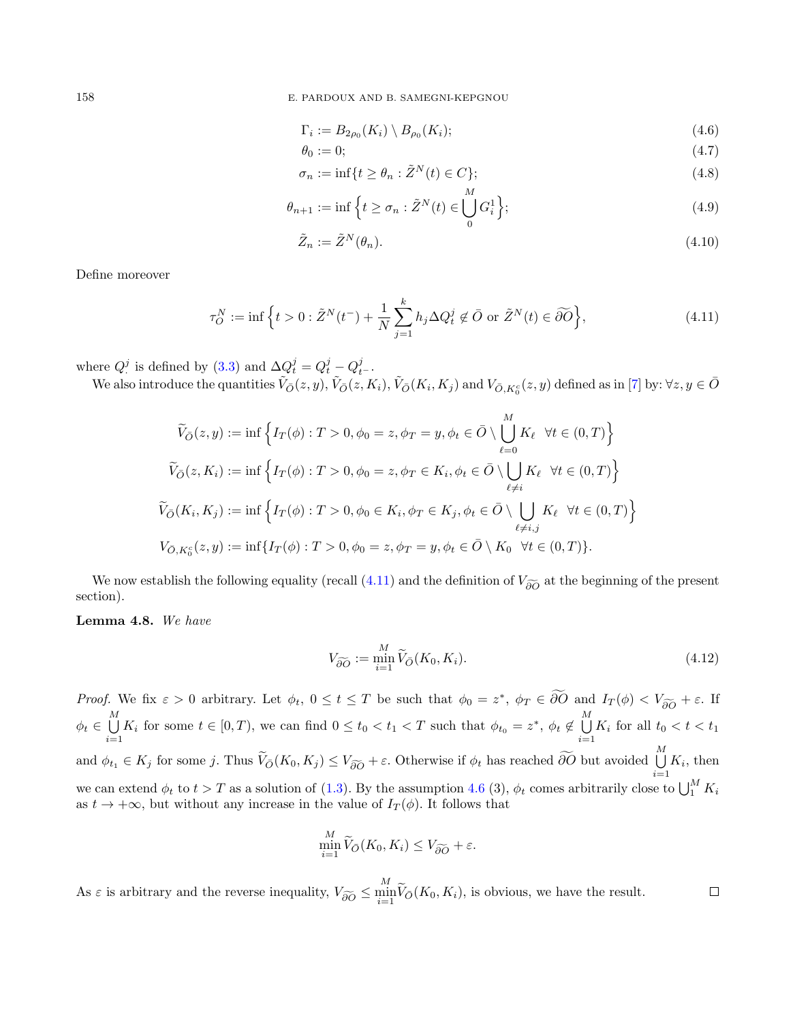158 E. PARDOUX AND B. SAMEGNI-KEPGNOU

$$
\Gamma_i := B_{2\rho_0}(K_i) \setminus B_{\rho_0}(K_i); \tag{4.6}
$$

$$
\theta_0 := 0; \tag{4.7}
$$

$$
\sigma_n := \inf \{ t \ge \theta_n : \tilde{Z}^N(t) \in C \};\tag{4.8}
$$

$$
\theta_{n+1} := \inf \left\{ t \ge \sigma_n : \tilde{Z}^N(t) \in \bigcup_0^m G_i^1 \right\};\tag{4.9}
$$

$$
\tilde{Z}_n := \tilde{Z}^N(\theta_n). \tag{4.10}
$$

Define moreover

<span id="page-10-0"></span>
$$
\tau_O^N := \inf \left\{ t > 0 : \tilde{Z}^N(t^-) + \frac{1}{N} \sum_{j=1}^k h_j \Delta Q_t^j \notin \bar{O} \text{ or } \tilde{Z}^N(t) \in \widetilde{\partial O} \right\},\tag{4.11}
$$

where  $Q^j$  is defined by [\(3.3\)](#page-3-8) and  $\Delta Q^j_t = Q^j_t - Q^j_{t^-}$ .

We also introduce the quantities  $\tilde{V}_{\bar{O}}(z, y), \tilde{V}_{\bar{O}}(z, K_i), \tilde{V}_{\bar{O}}(K_i, K_j)$  and  $V_{\bar{O}, K_0^c}(z, y)$  defined as in [\[7\]](#page-37-8) by:  $\forall z, y \in \bar{O}$ 

$$
\widetilde{V}_{\overline{O}}(z, y) := \inf \left\{ I_T(\phi) : T > 0, \phi_0 = z, \phi_T = y, \phi_t \in \overline{O} \setminus \bigcup_{\ell=0}^M K_\ell \quad \forall t \in (0, T) \right\}
$$
\n
$$
\widetilde{V}_{\overline{O}}(z, K_i) := \inf \left\{ I_T(\phi) : T > 0, \phi_0 = z, \phi_T \in K_i, \phi_t \in \overline{O} \setminus \bigcup_{\ell \neq i} K_\ell \quad \forall t \in (0, T) \right\}
$$
\n
$$
\widetilde{V}_{\overline{O}}(K_i, K_j) := \inf \left\{ I_T(\phi) : T > 0, \phi_0 \in K_i, \phi_T \in K_j, \phi_t \in \overline{O} \setminus \bigcup_{\ell \neq i, j} K_\ell \quad \forall t \in (0, T) \right\}
$$
\n
$$
V_{\overline{O}, K_0^c}(z, y) := \inf \{ I_T(\phi) : T > 0, \phi_0 = z, \phi_T = y, \phi_t \in \overline{O} \setminus K_0 \quad \forall t \in (0, T) \}.
$$

We now establish the following equality (recall [\(4.11\)](#page-10-0) and the definition of  $V_{\tilde{\partial}\tilde{O}}$  at the beginning of the present section).

#### <span id="page-10-1"></span>Lemma 4.8. We have

$$
V_{\widetilde{\partial O}} := \min_{i=1}^{M} \widetilde{V}_{\bar{O}}(K_0, K_i). \tag{4.12}
$$

 $\Box$ 

Proof. We fix  $\varepsilon > 0$  arbitrary. Let  $\phi_t$ ,  $0 \le t \le T$  be such that  $\phi_0 = z^*$ ,  $\phi_T \in \partial \overline{O}$  and  $I_T(\phi) < V_{\partial \overline{O}} + \varepsilon$ . If  $\phi_t \in \bigcup^M$  $\bigcup_{i=1}^{M} K_i$  for some  $t \in [0, T)$ , we can find  $0 \le t_0 < t_1 < T$  such that  $\phi_{t_0} = z^*$ ,  $\phi_t \notin \bigcup_{i=1}^{M}$  $\bigcup_{i=1} K_i$  for all  $t_0 < t < t_1$ and  $\phi_{t_1} \in K_j$  for some j. Thus  $\widetilde{V}_{\overline{O}}(K_0, K_j) \leq V_{\widetilde{\partial O}} + \varepsilon$ . Otherwise if  $\phi_t$  has reached  $\widetilde{\partial O}$  but avoided  $\bigcup_{i=1}^M$  $\bigcup_{i=1} K_i$ , then we can extend  $\phi_t$  to  $t > T$  as a solution of [\(1.3\)](#page-1-0). By the assumption [4.6](#page-9-0) (3),  $\phi_t$  comes arbitrarily close to  $\bigcup_1^M K_i$ as  $t \to +\infty$ , but without any increase in the value of  $I_T(\phi)$ . It follows that

$$
\min_{i=1}^M \widetilde{V}_{\bar{O}}(K_0, K_i) \le V_{\widetilde{\partial O}} + \varepsilon.
$$

As  $\varepsilon$  is arbitrary and the reverse inequality,  $V_{\widetilde{\partial O}} \le \min_{i=1}^M \widetilde{V}_{\bar{O}}(K_0, K_i)$ , is obvious, we have the result.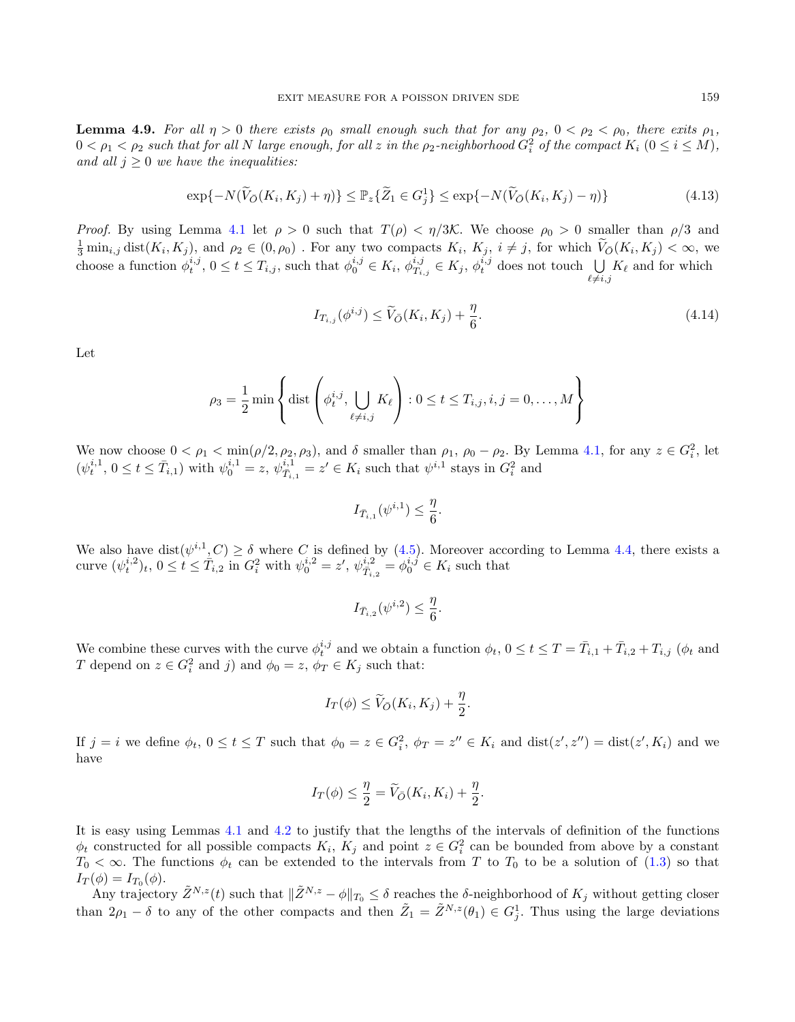<span id="page-11-0"></span>**Lemma 4.9.** For all  $\eta > 0$  there exists  $\rho_0$  small enough such that for any  $\rho_2$ ,  $0 < \rho_2 < \rho_0$ , there exits  $\rho_1$ ,  $0<\rho_1<\rho_2$  such that for all  $N$  large enough, for all  $z$  in the  $\rho_2$ -neighborhood  $G_i^2$  of the compact  $K_i$   $(0\leq i\leq M),$ and all  $j > 0$  we have the inequalities:

$$
\exp\{-N(\widetilde{V}_{\bar{O}}(K_i, K_j) + \eta)\} \le \mathbb{P}_z\{\widetilde{Z}_1 \in G_j^1\} \le \exp\{-N(\widetilde{V}_{\bar{O}}(K_i, K_j) - \eta)\}\tag{4.13}
$$

*Proof.* By using Lemma [4.1](#page-6-1) let  $\rho > 0$  such that  $T(\rho) < \eta/3\mathcal{K}$ . We choose  $\rho_0 > 0$  smaller than  $\rho/3$  and  $\frac{1}{3} \min_{i,j} \text{dist}(K_i, K_j)$ , and  $\rho_2 \in (0, \rho_0)$ . For any two compacts  $K_i$ ,  $K_j$ ,  $i \neq j$ , for which  $\widetilde{V}_{\bar{O}}(K_i, K_j) < \infty$ , we choose a function  $\phi_t^{i,j}$ ,  $0 \le t \le T_{i,j}$ , such that  $\phi_0^{i,j} \in K_i$ ,  $\phi_{T_{i,j}}^{i,j} \in K_j$ ,  $\phi_t^{i,j}$  does not touch  $\bigcup_{\ell \ne i,j} K_\ell$  and for which

$$
I_{T_{i,j}}(\phi^{i,j}) \le \widetilde{V}_{\bar{O}}(K_i, K_j) + \frac{\eta}{6}.\tag{4.14}
$$

Let

$$
\rho_3 = \frac{1}{2} \min \left\{ \text{dist}\left(\phi_t^{i,j}, \bigcup_{\ell \neq i,j} K_\ell\right) : 0 \leq t \leq T_{i,j}, i,j = 0,\ldots,M \right\}
$$

We now choose  $0 < \rho_1 < \min(\rho/2, \rho_2, \rho_3)$ , and  $\delta$  smaller than  $\rho_1$ ,  $\rho_0 - \rho_2$ . By Lemma [4.1,](#page-6-1) for any  $z \in G_i^2$ , let  $(\psi_t^{i,1}, 0 \le t \le \bar{T}_{i,1})$  with  $\psi_0^{i,1} = z, \psi_{\bar{T}_{i,1}}^{i,1} = z' \in K_i$  such that  $\psi^{i,1}$  stays in  $G_i^2$  and

$$
I_{\bar{T}_{i,1}}(\psi^{i,1}) \leq \frac{\eta}{6}.
$$

We also have  $dist(\psi^{i,1}, C) \ge \delta$  where C is defined by [\(4.5\)](#page-9-1). Moreover according to Lemma [4.4,](#page-8-1) there exists a curve  $(\psi_t^{i,2})_t, 0 \le t \le \bar{T}_{i,2}$  in  $G_i^2$  with  $\psi_0^{i,2} = z'$ ,  $\psi_{\bar{T}_{i,2}}^{i,2} = \phi_0^{i,j} \in K_i$  such that

$$
I_{\bar{T}_{i,2}}(\psi^{i,2}) \leq \frac{\eta}{6}.
$$

We combine these curves with the curve  $\phi_t^{i,j}$  and we obtain a function  $\phi_t$ ,  $0 \le t \le T = \overline{T}_{i,1} + \overline{T}_{i,2} + T_{i,j}$  ( $\phi_t$  and T depend on  $z \in G_i^2$  and j) and  $\phi_0 = z$ ,  $\phi_T \in K_j$  such that:

$$
I_T(\phi) \le \widetilde{V}_{\bar{O}}(K_i, K_j) + \frac{\eta}{2}.
$$

If  $j = i$  we define  $\phi_t$ ,  $0 \le t \le T$  such that  $\phi_0 = z \in G_i^2$ ,  $\phi_T = z'' \in K_i$  and  $dist(z', z'') = dist(z', K_i)$  and we have

$$
I_T(\phi) \le \frac{\eta}{2} = \widetilde{V}_{\bar{O}}(K_i, K_i) + \frac{\eta}{2}.
$$

It is easy using Lemmas [4.1](#page-6-1) and [4.2](#page-6-2) to justify that the lengths of the intervals of definition of the functions  $\phi_t$  constructed for all possible compacts  $K_i$ ,  $K_j$  and point  $z \in G_i^2$  can be bounded from above by a constant  $T_0 < \infty$ . The functions  $\phi_t$  can be extended to the intervals from T to  $T_0$  to be a solution of [\(1.3\)](#page-1-0) so that  $I_T(\phi) = I_{T_0}(\phi).$ 

Any trajectory  $\tilde{Z}^{N,z}(t)$  such that  $\|\tilde{Z}^{N,z} - \phi\|_{T_0} \leq \delta$  reaches the  $\delta$ -neighborhood of  $K_j$  without getting closer than  $2\rho_1 - \delta$  to any of the other compacts and then  $\tilde{Z}_1 = \tilde{Z}^{N,z}(\theta_1) \in G_j^1$ . Thus using the large deviations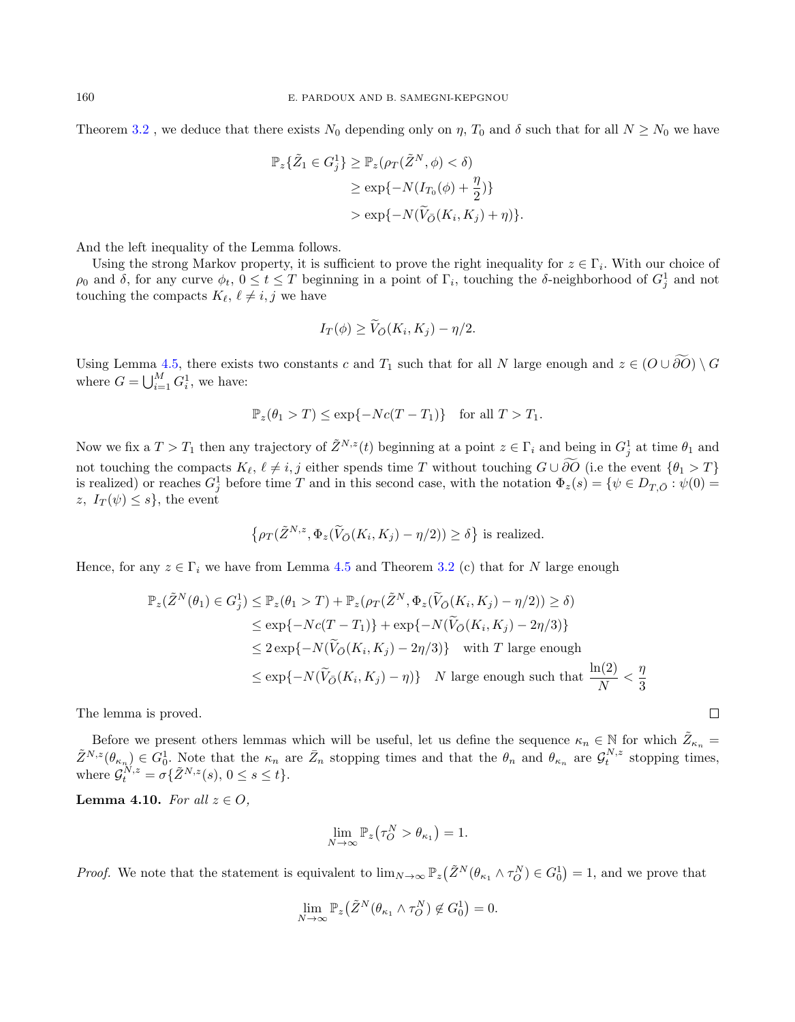Theorem [3.2](#page-5-1), we deduce that there exists  $N_0$  depending only on  $\eta$ ,  $T_0$  and  $\delta$  such that for all  $N \ge N_0$  we have

$$
\mathbb{P}_z\{\tilde{Z}_1 \in G_j^1\} \ge \mathbb{P}_z(\rho_T(\tilde{Z}^N, \phi) < \delta)
$$
\n
$$
\ge \exp\{-N(I_{T_0}(\phi) + \frac{\eta}{2})\}
$$
\n
$$
> \exp\{-N(\tilde{V}_{\bar{O}}(K_i, K_j) + \eta)\}.
$$

And the left inequality of the Lemma follows.

Using the strong Markov property, it is sufficient to prove the right inequality for  $z \in \Gamma_i$ . With our choice of  $\rho_0$  and  $\delta$ , for any curve  $\phi_t$ ,  $0 \le t \le T$  beginning in a point of  $\Gamma_i$ , touching the  $\delta$ -neighborhood of  $G_j^1$  and not touching the compacts  $K_{\ell}, \ell \neq i, j$  we have

$$
I_T(\phi) \geq \widetilde{V}_{\bar{O}}(K_i, K_j) - \eta/2.
$$

Using Lemma [4.5,](#page-8-2) there exists two constants c and  $T_1$  such that for all N large enough and  $z \in (O \cup \widetilde{\partial O}) \setminus G$ where  $G = \bigcup_{i=1}^{M} G_i^1$ , we have:

$$
\mathbb{P}_z(\theta_1 > T) \le \exp\{-Nc(T - T_1)\} \text{ for all } T > T_1.
$$

Now we fix a  $T > T_1$  then any trajectory of  $\tilde{Z}^{N,z}(t)$  beginning at a point  $z \in \Gamma_i$  and being in  $G_j^1$  at time  $\theta_1$  and not touching the compacts  $K_{\ell}, \ell \neq i, j$  either spends time T without touching  $G \cup \partial O$  (i.e the event  $\{\theta_1 > T\}$ is realized) or reaches  $G_j^1$  before time T and in this second case, with the notation  $\Phi_z(s) = \{ \psi \in D_{T, \bar{O}} : \psi(0) =$ z,  $I_T(\psi) \leq s$ , the event

$$
\left\{ \rho_T(\tilde{Z}^{N,z}, \Phi_z(\tilde{V}_{\bar{O}}(K_i, K_j) - \eta/2)) \ge \delta \right\} \text{ is realized.}
$$

Hence, for any  $z \in \Gamma_i$  we have from Lemma [4.5](#page-8-2) and Theorem [3.2](#page-5-1) (c) that for N large enough

$$
\mathbb{P}_z(\tilde{Z}^N(\theta_1) \in G_j^1) \le \mathbb{P}_z(\theta_1 > T) + \mathbb{P}_z(\rho_T(\tilde{Z}^N, \Phi_z(\tilde{V}_{\tilde{O}}(K_i, K_j) - \eta/2)) \ge \delta)
$$
\n
$$
\le \exp\{-Nc(T - T_1)\} + \exp\{-N(\tilde{V}_{\tilde{O}}(K_i, K_j) - 2\eta/3)\}
$$
\n
$$
\le 2\exp\{-N(\tilde{V}_{\tilde{O}}(K_i, K_j) - 2\eta/3)\} \quad \text{with } T \text{ large enough}
$$
\n
$$
\le \exp\{-N(\tilde{V}_{\tilde{O}}(K_i, K_j) - \eta)\} \quad N \text{ large enough such that } \frac{\ln(2)}{N} < \frac{\eta}{3}
$$

 $\Box$ 

The lemma is proved.

Before we present others lemmas which will be useful, let us define the sequence  $\kappa_n \in \mathbb{N}$  for which  $\tilde{Z}_{\kappa_n} =$  $\tilde{Z}^{N,z}(\theta_{\kappa_n}) \in G_0^1$ . Note that the  $\kappa_n$  are  $\bar{Z}_n$  stopping times and that the  $\theta_n$  and  $\theta_{\kappa_n}$  are  $\mathcal{G}_t^{N,z}$  stopping times, where  $\mathcal{G}_t^{N,z} = \sigma\{\tilde{Z}^{N,z}(s), 0 \le s \le t\}.$ 

<span id="page-12-0"></span>Lemma 4.10. For all  $z \in O$ .

$$
\lim_{N \to \infty} \mathbb{P}_z(\tau_O^N > \theta_{\kappa_1}) = 1.
$$

*Proof.* We note that the statement is equivalent to  $\lim_{N\to\infty} \mathbb{P}_z(\tilde{Z}^N(\theta_{\kappa_1} \wedge \tau_O^N) \in G_0^1) = 1$ , and we prove that

$$
\lim_{N \to \infty} \mathbb{P}_z(\tilde{Z}^N(\theta_{\kappa_1} \wedge \tau_O^N) \notin G_0^1) = 0.
$$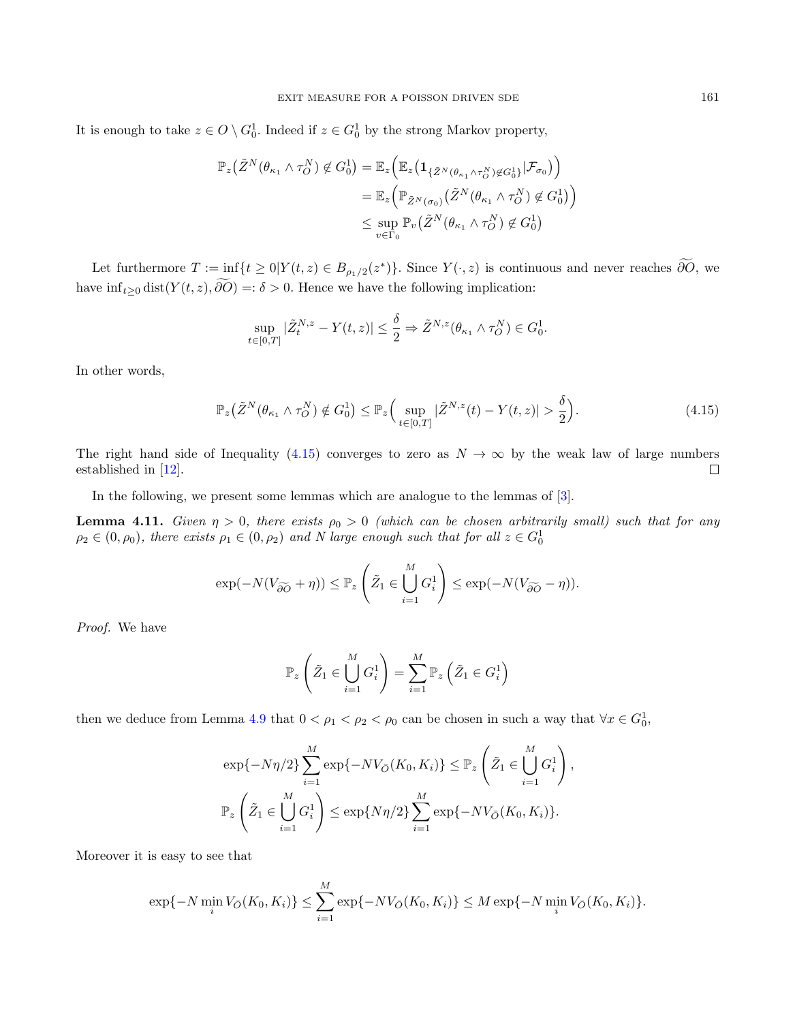It is enough to take  $z \in O \setminus G_0^1$ . Indeed if  $z \in G_0^1$  by the strong Markov property,

$$
\mathbb{P}_{z}(\tilde{Z}^{N}(\theta_{\kappa_{1}} \wedge \tau_{O}^{N}) \notin G_{0}^{1}) = \mathbb{E}_{z} \Big( \mathbb{E}_{z} \big( \mathbf{1}_{\{\tilde{Z}^{N}(\theta_{\kappa_{1}} \wedge \tau_{O}^{N}) \notin G_{0}^{1}\}} | \mathcal{F}_{\sigma_{0}} \big) \Big)
$$
  
\n
$$
= \mathbb{E}_{z} \Big( \mathbb{P}_{\tilde{Z}^{N}(\sigma_{0})} (\tilde{Z}^{N}(\theta_{\kappa_{1}} \wedge \tau_{O}^{N}) \notin G_{0}^{1}) \Big)
$$
  
\n
$$
\leq \sup_{v \in \Gamma_{0}} \mathbb{P}_{v} (\tilde{Z}^{N}(\theta_{\kappa_{1}} \wedge \tau_{O}^{N}) \notin G_{0}^{1})
$$

Let furthermore  $T := \inf_{z \to z} \{ t \geq 0 | Y(t, z) \in B_{\rho_1/2}(z^*) \}.$  Since  $Y(\cdot, z)$  is continuous and never reaches  $\partial O$ , we have  $\inf_{t\geq 0} \text{dist}(Y(t,z), \widetilde{\partial O}) =: \delta > 0$ . Hence we have the following implication:

$$
\sup_{t\in[0,T]}|\tilde{Z}^{N,z}_t-Y(t,z)|\leq \frac{\delta}{2}\Rightarrow \tilde{Z}^{N,z}(\theta_{\kappa_1}\wedge\tau_O^N)\in G_0^1.
$$

In other words,

<span id="page-13-0"></span>
$$
\mathbb{P}_z\big(\tilde{Z}^N(\theta_{\kappa_1}\wedge\tau_O^N)\notin G_0^1\big)\leq \mathbb{P}_z\Big(\sup_{t\in[0,T]}|\tilde{Z}^{N,z}(t)-Y(t,z)|>\frac{\delta}{2}\Big). \hspace{1.5cm} (4.15)
$$

The right hand side of Inequality [\(4.15\)](#page-13-0) converges to zero as  $N \to \infty$  by the weak law of large numbers established in [\[12\]](#page-37-7).  $\Box$ 

In the following, we present some lemmas which are analogue to the lemmas of [\[3\]](#page-37-6).

<span id="page-13-1"></span>**Lemma 4.11.** Given  $\eta > 0$ , there exists  $\rho_0 > 0$  (which can be chosen arbitrarily small) such that for any  $\rho_2 \in (0, \rho_0)$ , there exists  $\rho_1 \in (0, \rho_2)$  and N large enough such that for all  $z \in G_0^1$ 

$$
\exp(-N(V_{\widetilde{\partial O}} + \eta)) \leq \mathbb{P}_z\left(\tilde{Z}_1 \in \bigcup_{i=1}^M G_i^1\right) \leq \exp(-N(V_{\widetilde{\partial O}} - \eta)).
$$

Proof. We have

$$
\mathbb{P}_{z}\left(\tilde{Z}_{1} \in \bigcup_{i=1}^{M} G_{i}^{1}\right) = \sum_{i=1}^{M} \mathbb{P}_{z}\left(\tilde{Z}_{1} \in G_{i}^{1}\right)
$$

then we deduce from Lemma [4.9](#page-11-0) that  $0 < \rho_1 < \rho_2 < \rho_0$  can be chosen in such a way that  $\forall x \in G_0^1$ ,

$$
\exp\{-N\eta/2\}\sum_{i=1}^{M}\exp\{-NV_{\bar{O}}(K_0, K_i)\}\leq \mathbb{P}_z\left(\tilde{Z}_1 \in \bigcup_{i=1}^{M} G_i^1\right),\
$$
  

$$
\mathbb{P}_z\left(\tilde{Z}_1 \in \bigcup_{i=1}^{M} G_i^1\right) \leq \exp\{N\eta/2\}\sum_{i=1}^{M} \exp\{-NV_{\bar{O}}(K_0, K_i)\}.
$$

Moreover it is easy to see that

$$
\exp\{-N\min_{i}V_{\bar{O}}(K_0,K_i)\}\leq \sum_{i=1}^{M}\exp\{-NV_{\bar{O}}(K_0,K_i)\}\leq M\exp\{-N\min_{i}V_{\bar{O}}(K_0,K_i)\}.
$$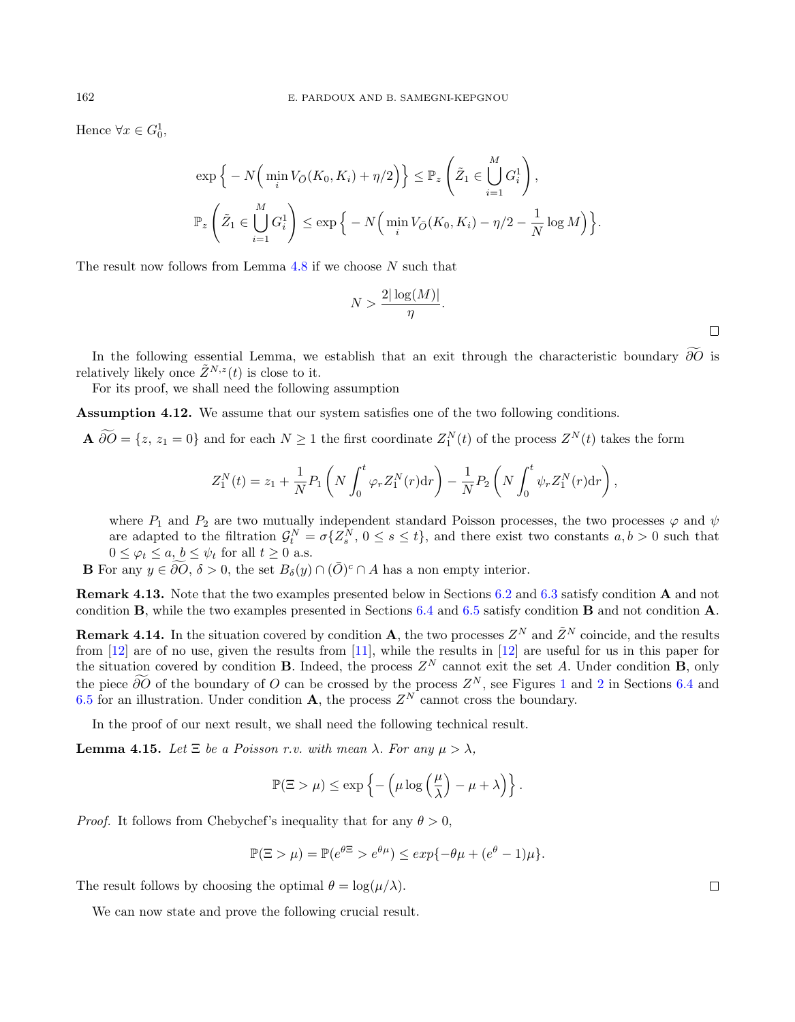Hence  $\forall x \in G_0^1$ ,

$$
\exp\Big\{-N\Big(\min_i V_{\bar{O}}(K_0, K_i) + \eta/2\Big)\Big\} \leq \mathbb{P}_z\left(\tilde{Z}_1 \in \bigcup_{i=1}^M G_i^1\right),
$$
  

$$
\mathbb{P}_z\left(\tilde{Z}_1 \in \bigcup_{i=1}^M G_i^1\right) \leq \exp\Big\{-N\Big(\min_i V_{\bar{O}}(K_0, K_i) - \eta/2 - \frac{1}{N}\log M\Big)\Big\}.
$$

The result now follows from Lemma  $4.8$  if we choose  $N$  such that

$$
N > \frac{2|\log(M)|}{\eta}.
$$

In the following essential Lemma, we establish that an exit through the characteristic boundary  $\partial \widetilde{O}$  is relatively likely once  $\tilde{Z}^{N,z}(t)$  is close to it.

For its proof, we shall need the following assumption

<span id="page-14-0"></span>Assumption 4.12. We assume that our system satisfies one of the two following conditions.

**A**  $\partial\overline{O} = \{z, z_1 = 0\}$  and for each  $N \ge 1$  the first coordinate  $Z_1^N(t)$  of the process  $Z^N(t)$  takes the form

$$
Z_1^N(t) = z_1 + \frac{1}{N} P_1 \left( N \int_0^t \varphi_r Z_1^N(r) dr \right) - \frac{1}{N} P_2 \left( N \int_0^t \psi_r Z_1^N(r) dr \right),
$$

where  $P_1$  and  $P_2$  are two mutually independent standard Poisson processes, the two processes  $\varphi$  and  $\psi$ are adapted to the filtration  $\mathcal{G}_t^N = \sigma\{Z_s^N, 0 \le s \le t\}$ , and there exist two constants  $a, b > 0$  such that  $0 \leq \varphi_t \leq a, b \leq \psi_t$  for all  $t \geq 0$  a.s.

**B** For any  $y \in \widetilde{\partial O}$ ,  $\delta > 0$ , the set  $B_{\delta}(y) \cap (\overline{O})^c \cap A$  has a non empty interior.

Remark 4.13. Note that the two examples presented below in Sections [6.2](#page-32-0) and [6.3](#page-33-0) satisfy condition A and not condition B, while the two examples presented in Sections [6.4](#page-33-1) and [6.5](#page-35-0) satisfy condition B and not condition A.

**Remark 4.14.** In the situation covered by condition **A**, the two processes  $Z^N$  and  $\tilde{Z}^N$  coincide, and the results from [\[12\]](#page-37-7) are of no use, given the results from [\[11\]](#page-37-3), while the results in [\[12\]](#page-37-7) are useful for us in this paper for the situation covered by condition **B**. Indeed, the process  $Z^N$  cannot exit the set A. Under condition **B**, only the piece ∂O of the boundary of O can be crossed by the process  $Z^N$ , see Figures [1](#page-34-0) and [2](#page-35-1) in Sections [6.4](#page-33-1) and [6.5](#page-35-0) for an illustration. Under condition **A**, the process  $Z^N$  cannot cross the boundary.

In the proof of our next result, we shall need the following technical result.

<span id="page-14-1"></span>**Lemma 4.15.** Let  $\Xi$  be a Poisson r.v. with mean  $\lambda$ . For any  $\mu > \lambda$ ,

$$
\mathbb{P}(\Xi > \mu) \le \exp\left\{-\left(\mu \log\left(\frac{\mu}{\lambda}\right) - \mu + \lambda\right)\right\}.
$$

*Proof.* It follows from Chebychef's inequality that for any  $\theta > 0$ ,

$$
\mathbb{P}(\Xi > \mu) = \mathbb{P}(e^{\theta \Xi} > e^{\theta \mu}) \le \exp\{-\theta \mu + (e^{\theta} - 1)\mu\}.
$$

The result follows by choosing the optimal  $\theta = \log(\mu/\lambda)$ .

We can now state and prove the following crucial result.

 $\Box$ 

 $\Box$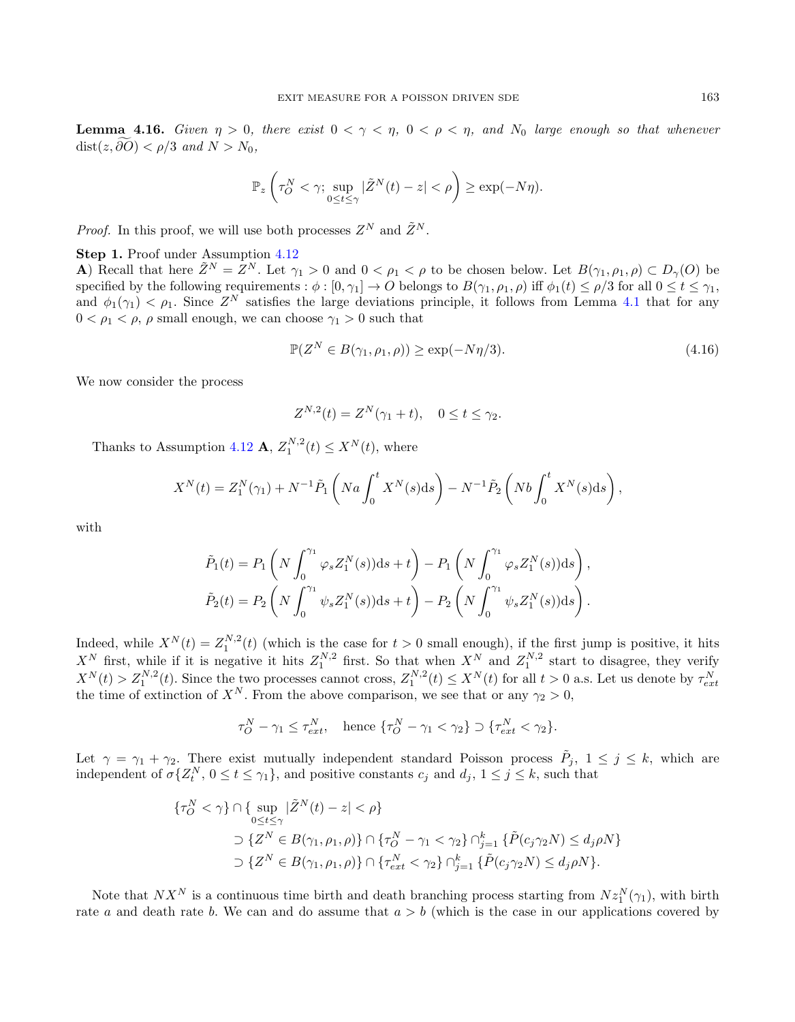<span id="page-15-1"></span>**Lemma 4.16.** Given  $\eta > 0$ , there exist  $0 < \gamma < \eta$ ,  $0 < \rho < \eta$ , and  $N_0$  large enough so that whenever  $dist(z, \partial O) < \rho/3$  and  $N > N_0$ ,

$$
\mathbb{P}_{z}\left(\tau_{O}^{N}<\gamma;\sup_{0\leq t\leq\gamma}|\tilde{Z}^{N}(t)-z|<\rho\right)\geq \exp(-N\eta).
$$

*Proof.* In this proof, we will use both processes  $Z^N$  and  $\tilde{Z}^N$ .

### Step 1. Proof under Assumption [4.12](#page-14-0)

A) Recall that here  $\tilde{Z}^N = Z^N$ . Let  $\gamma_1 > 0$  and  $0 < \rho_1 < \rho$  to be chosen below. Let  $B(\gamma_1, \rho_1, \rho) \subset D_{\gamma}(O)$  be specified by the following requirements :  $\phi : [0, \gamma_1] \to O$  belongs to  $B(\gamma_1, \rho_1, \rho)$  iff  $\phi_1(t) \leq \rho/3$  for all  $0 \leq t \leq \gamma_1$ , and  $\phi_1(\gamma_1) < \rho_1$ . Since  $Z^N$  satisfies the large deviations principle, it follows from Lemma [4.1](#page-6-1) that for any  $0 < \rho_1 < \rho$ ,  $\rho$  small enough, we can choose  $\gamma_1 > 0$  such that

<span id="page-15-0"></span>
$$
\mathbb{P}(Z^N \in B(\gamma_1, \rho_1, \rho)) \ge \exp(-N\eta/3). \tag{4.16}
$$

We now consider the process

$$
Z^{N,2}(t) = Z^N(\gamma_1 + t), \quad 0 \le t \le \gamma_2.
$$

Thanks to Assumption [4.12](#page-14-0) **A**,  $Z_1^{N,2}(t) \le X^N(t)$ , where

$$
X^{N}(t) = Z_{1}^{N}(\gamma_{1}) + N^{-1} \tilde{P}_{1} \left( Na \int_{0}^{t} X^{N}(s) \, \mathrm{d}s \right) - N^{-1} \tilde{P}_{2} \left( Nb \int_{0}^{t} X^{N}(s) \, \mathrm{d}s \right),
$$

with

$$
\tilde{P}_1(t) = P_1 \left( N \int_0^{\gamma_1} \varphi_s Z_1^N(s) ds + t \right) - P_1 \left( N \int_0^{\gamma_1} \varphi_s Z_1^N(s) ds \right),
$$
  

$$
\tilde{P}_2(t) = P_2 \left( N \int_0^{\gamma_1} \psi_s Z_1^N(s) ds + t \right) - P_2 \left( N \int_0^{\gamma_1} \psi_s Z_1^N(s) ds \right).
$$

Indeed, while  $X^{N}(t) = Z_1^{N,2}(t)$  (which is the case for  $t > 0$  small enough), if the first jump is positive, it hits  $X^N$  first, while if it is negative it hits  $Z_1^{N,2}$  first. So that when  $X^N$  and  $Z_1^{N,2}$  start to disagree, they verify  $X^N(t) > Z_1^{N,2}(t)$ . Since the two processes cannot cross,  $Z_1^{N,2}(t) \le X^N(t)$  for all  $t > 0$  a.s. Let us denote by  $\tau_{ext}^N$  the time of extinction of  $X^N$ . From the above comparison, we see that or any  $\gamma_2 > 0$ ,

$$
\tau_O^N - \gamma_1 \le \tau_{ext}^N, \quad \text{hence } \{\tau_O^N - \gamma_1 < \gamma_2\} \supset \{\tau_{ext}^N < \gamma_2\}.
$$

Let  $\gamma = \gamma_1 + \gamma_2$ . There exist mutually independent standard Poisson process  $\tilde{P}_j$ ,  $1 \leq j \leq k$ , which are independent of  $\sigma\{Z_t^N, 0 \le t \le \gamma_1\}$ , and positive constants  $c_j$  and  $d_j$ ,  $1 \le j \le k$ , such that

$$
\begin{aligned} \{\tau_O^N < \gamma\} \cap \{\sup_{0 \le t \le \gamma} |\tilde{Z}^N(t) - z| < \rho\} \\ &\sup_{0 \le t \le \gamma} |\tilde{Z}^N \in B(\gamma_1, \rho_1, \rho)\} \cap \{\tau_O^N - \gamma_1 < \gamma_2\} \cap_{j=1}^k \{\tilde{P}(c_j \gamma_2 N) \le d_j \rho N\} \\ &\supset \{Z^N \in B(\gamma_1, \rho_1, \rho)\} \cap \{\tau_{ext}^N < \gamma_2\} \cap_{j=1}^k \{\tilde{P}(c_j \gamma_2 N) \le d_j \rho N\}. \end{aligned}
$$

Note that  $NX^N$  is a continuous time birth and death branching process starting from  $Nz_1^N(\gamma_1)$ , with birth rate a and death rate b. We can and do assume that  $a > b$  (which is the case in our applications covered by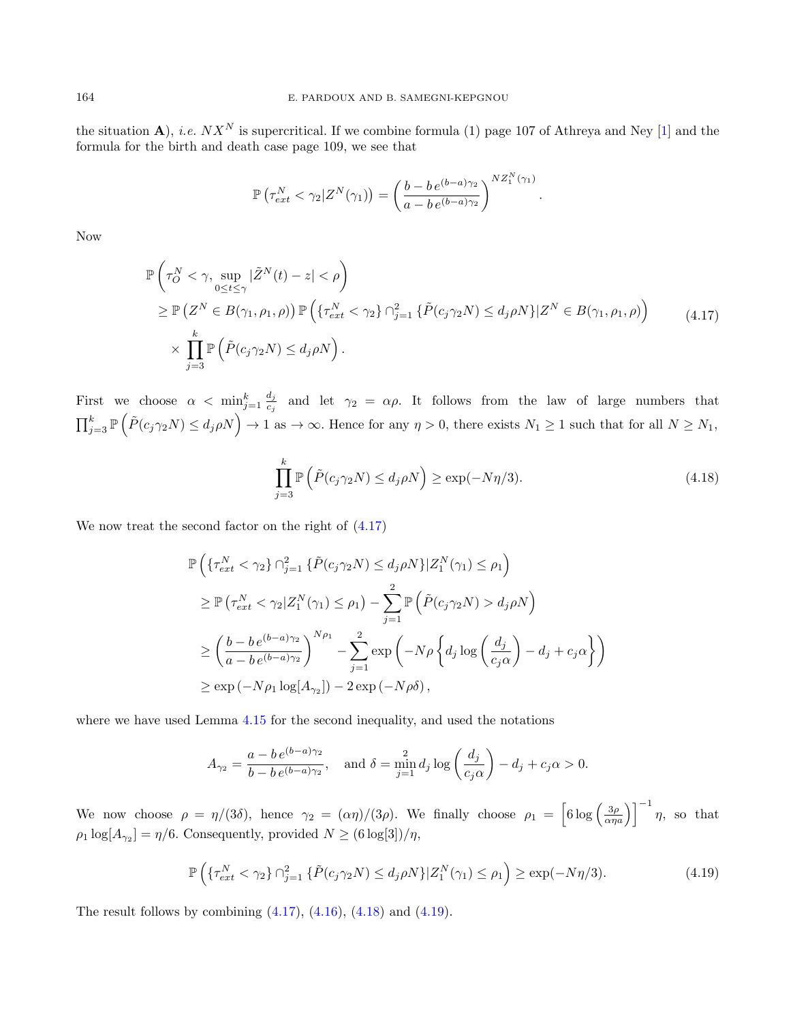the situation A), *i.e.*  $NX^N$  is supercritical. If we combine formula (1) page 107 of Athreya and Ney [\[1\]](#page-37-10) and the formula for the birth and death case page 109, we see that

$$
\mathbb{P}\left(\tau_{ext}^N < \gamma_2 | Z^N(\gamma_1) \right) = \left(\frac{b - b \, e^{(b-a)\gamma_2}}{a - b \, e^{(b-a)\gamma_2}}\right)^{NZ_1^N(\gamma_1)}
$$

<span id="page-16-0"></span>Now

$$
\mathbb{P}\left(\tau_{O}^{N}<\gamma,\sup_{0\leq t\leq\gamma}|\tilde{Z}^{N}(t)-z|<\rho\right)
$$
\n
$$
\geq \mathbb{P}\left(Z^{N}\in B(\gamma_{1},\rho_{1},\rho)\right)\mathbb{P}\left(\{\tau_{ext}^{N}<\gamma_{2}\}\cap_{j=1}^{2}\{\tilde{P}(c_{j}\gamma_{2}N)\leq d_{j}\rho N\}|Z^{N}\in B(\gamma_{1},\rho_{1},\rho)\right)
$$
\n
$$
\times\prod_{j=3}^{k}\mathbb{P}\left(\tilde{P}(c_{j}\gamma_{2}N)\leq d_{j}\rho N\right).
$$
\n(4.17)

First we choose  $\alpha < \min_{j=1}^k \frac{d_j}{c_j}$  $\frac{a_j}{c_j}$  and let  $\gamma_2 = \alpha \rho$ . It follows from the law of large numbers that  $\prod_{j=3}^{k} \mathbb{P}\left(\tilde{P}(c_j \gamma_2 N) \leq d_j \rho N\right) \to 1 \text{ as } \to \infty.$  Hence for any  $\eta > 0$ , there exists  $N_1 \geq 1$  such that for all  $N \geq N_1$ ,

<span id="page-16-1"></span>
$$
\prod_{j=3}^{k} \mathbb{P}\left(\tilde{P}(c_j \gamma_2 N) \le d_j \rho N\right) \ge \exp(-N\eta/3). \tag{4.18}
$$

.

We now treat the second factor on the right of [\(4.17\)](#page-16-0)

$$
\mathbb{P}\left(\left\{\tau_{ext}^N < \gamma_2\right\} \cap_{j=1}^2 \left\{\tilde{P}(c_j \gamma_2 N) \le d_j \rho N\right\} | Z_1^N(\gamma_1) \le \rho_1\right) \n\ge \mathbb{P}\left(\tau_{ext}^N < \gamma_2 | Z_1^N(\gamma_1) \le \rho_1\right) - \sum_{j=1}^2 \mathbb{P}\left(\tilde{P}(c_j \gamma_2 N) > d_j \rho N\right) \n\ge \left(\frac{b - b e^{(b - a)\gamma_2}}{a - b e^{(b - a)\gamma_2}}\right)^{N\rho_1} - \sum_{j=1}^2 \exp\left(-N\rho \left\{d_j \log\left(\frac{d_j}{c_j \alpha}\right) - d_j + c_j \alpha\right\}\right) \n\ge \exp\left(-N\rho_1 \log[A_{\gamma_2}]\right) - 2\exp\left(-N\rho \delta\right),
$$

where we have used Lemma [4.15](#page-14-1) for the second inequality, and used the notations

$$
A_{\gamma_2} = \frac{a - b e^{(b - a)\gamma_2}}{b - b e^{(b - a)\gamma_2}}, \quad \text{and } \delta = \min_{j=1}^2 d_j \log \left(\frac{d_j}{c_j \alpha}\right) - d_j + c_j \alpha > 0.
$$

We now choose  $\rho = \eta/(3\delta)$ , hence  $\gamma_2 = (\alpha \eta)/(3\rho)$ . We finally choose  $\rho_1 = \left[6 \log \left( \frac{3\rho}{\alpha \eta a} \right) \right]^{-1} \eta$ , so that  $\rho_1 \log[A_{\gamma_2}] = \eta/6$ . Consequently, provided  $N \ge (6 \log[3])/\eta$ ,

<span id="page-16-2"></span>
$$
\mathbb{P}\left(\{\tau_{ext}^N < \gamma_2\} \cap_{j=1}^2 \{\tilde{P}(c_j \gamma_2 N) \le d_j \rho N\} |Z_1^N(\gamma_1) \le \rho_1\right) \ge \exp(-N\eta/3). \tag{4.19}
$$

The result follows by combining  $(4.17)$ ,  $(4.16)$ ,  $(4.18)$  and  $(4.19)$ .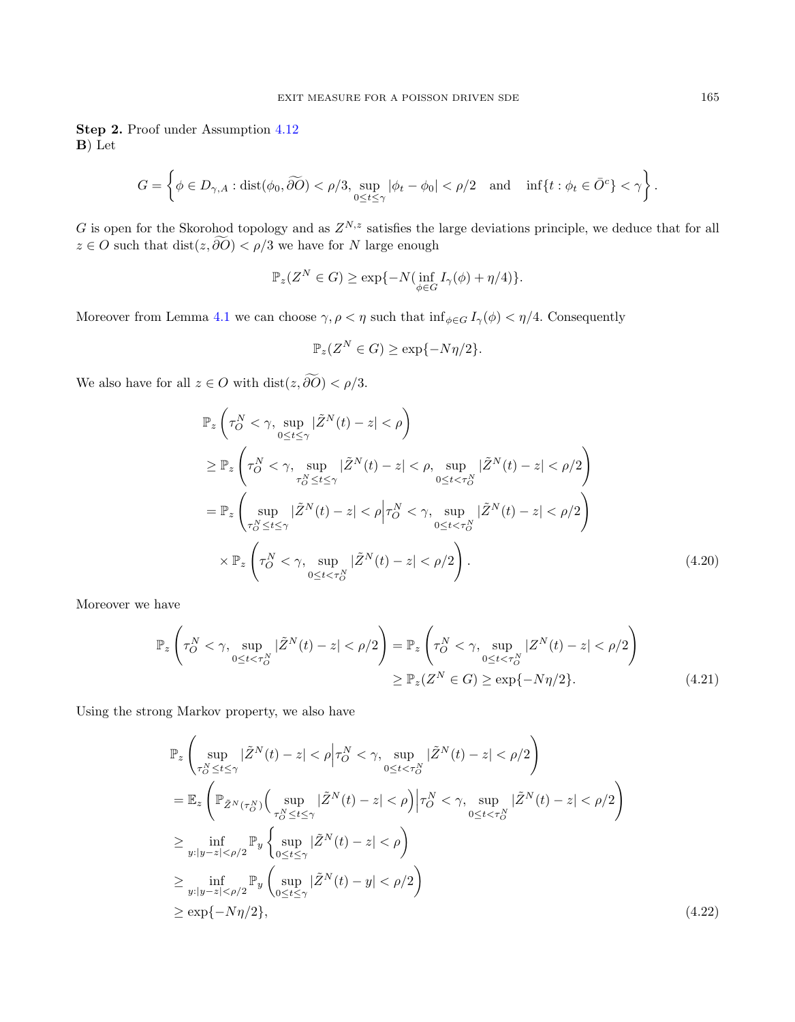Step 2. Proof under Assumption [4.12](#page-14-0) B) Let

$$
G=\left\{\phi\in D_{\gamma,A}: \text{dist}(\phi_0, \widetilde{\partial O})<\rho/3, \sup_{0\leq t\leq \gamma}|\phi_t-\phi_0|<\rho/2 \quad \text{and}\quad \inf\{t: \phi_t\in \bar O^c\}<\gamma\right\}.
$$

G is open for the Skorohod topology and as  $Z^{N,z}$  satisfies the large deviations principle, we deduce that for all  $z \in O$  such that  $dist(z, \widetilde{\partial O}) < \rho/3$  we have for N large enough

$$
\mathbb{P}_z(Z^N \in G) \ge \exp\{-N(\inf_{\phi \in G} I_\gamma(\phi) + \eta/4)\}.
$$

Moreover from Lemma [4.1](#page-6-1) we can choose  $\gamma, \rho < \eta$  such that  $\inf_{\phi \in G} I_{\gamma}(\phi) < \eta/4$ . Consequently

<span id="page-17-1"></span><span id="page-17-0"></span>
$$
\mathbb{P}_z(Z^N \in G) \ge \exp\{-N\eta/2\}.
$$

We also have for all  $z \in O$  with  $dist(z, \widetilde{\partial O}) < \rho/3$ .

$$
\mathbb{P}_{z}\left(\tau_{O}^{N}<\gamma,\sup_{0\leq t\leq\gamma}|\tilde{Z}^{N}(t)-z|<\rho\right)
$$
\n
$$
\geq\mathbb{P}_{z}\left(\tau_{O}^{N}<\gamma,\sup_{\tau_{O}^{N}\leq t\leq\gamma}|\tilde{Z}^{N}(t)-z|<\rho,\sup_{0\leq t<\tau_{O}^{N}}|\tilde{Z}^{N}(t)-z|<\rho/2\right)
$$
\n
$$
=\mathbb{P}_{z}\left(\sup_{\tau_{O}^{N}\leq t\leq\gamma}|\tilde{Z}^{N}(t)-z|<\rho\left|\tau_{O}^{N}<\gamma,\sup_{0\leq t<\tau_{O}^{N}}|\tilde{Z}^{N}(t)-z|<\rho/2\right.\right)
$$
\n
$$
\times\mathbb{P}_{z}\left(\tau_{O}^{N}<\gamma,\sup_{0\leq t<\tau_{O}^{N}}|\tilde{Z}^{N}(t)-z|<\rho/2\right).
$$
\n(4.20)

Moreover we have

$$
\mathbb{P}_{z}\left(\tau_{O}^{N}<\gamma,\sup_{0\leq t<\tau_{O}^{N}}|\tilde{Z}^{N}(t)-z|<\rho/2\right)=\mathbb{P}_{z}\left(\tau_{O}^{N}<\gamma,\sup_{0\leq t<\tau_{O}^{N}}|Z^{N}(t)-z|<\rho/2\right)
$$
\n
$$
\geq\mathbb{P}_{z}(Z^{N}\in G)\geq\exp\{-N\eta/2\}.\tag{4.21}
$$

Using the strong Markov property, we also have

<span id="page-17-2"></span>
$$
\mathbb{P}_{z} \left( \sup_{\tau_{O}^{N} \leq t \leq \gamma} |\tilde{Z}^{N}(t) - z| < \rho \Big| \tau_{O}^{N} < \gamma, \sup_{0 \leq t < \tau_{O}^{N}} |\tilde{Z}^{N}(t) - z| < \rho/2 \right) \n= \mathbb{E}_{z} \left( \mathbb{P}_{\tilde{Z}^{N}(\tau_{O}^{N})} \left( \sup_{\tau_{O}^{N} \leq t \leq \gamma} |\tilde{Z}^{N}(t) - z| < \rho \right) \Big| \tau_{O}^{N} < \gamma, \sup_{0 \leq t < \tau_{O}^{N}} |\tilde{Z}^{N}(t) - z| < \rho/2 \right) \n\geq \inf_{y: |y - z| < \rho/2} \mathbb{P}_{y} \left\{ \sup_{0 \leq t \leq \gamma} |\tilde{Z}^{N}(t) - z| < \rho \right) \n\geq \inf_{y: |y - z| < \rho/2} \mathbb{P}_{y} \left( \sup_{0 \leq t \leq \gamma} |\tilde{Z}^{N}(t) - y| < \rho/2 \right) \n\geq \exp\{-N\eta/2\}, \tag{4.22}
$$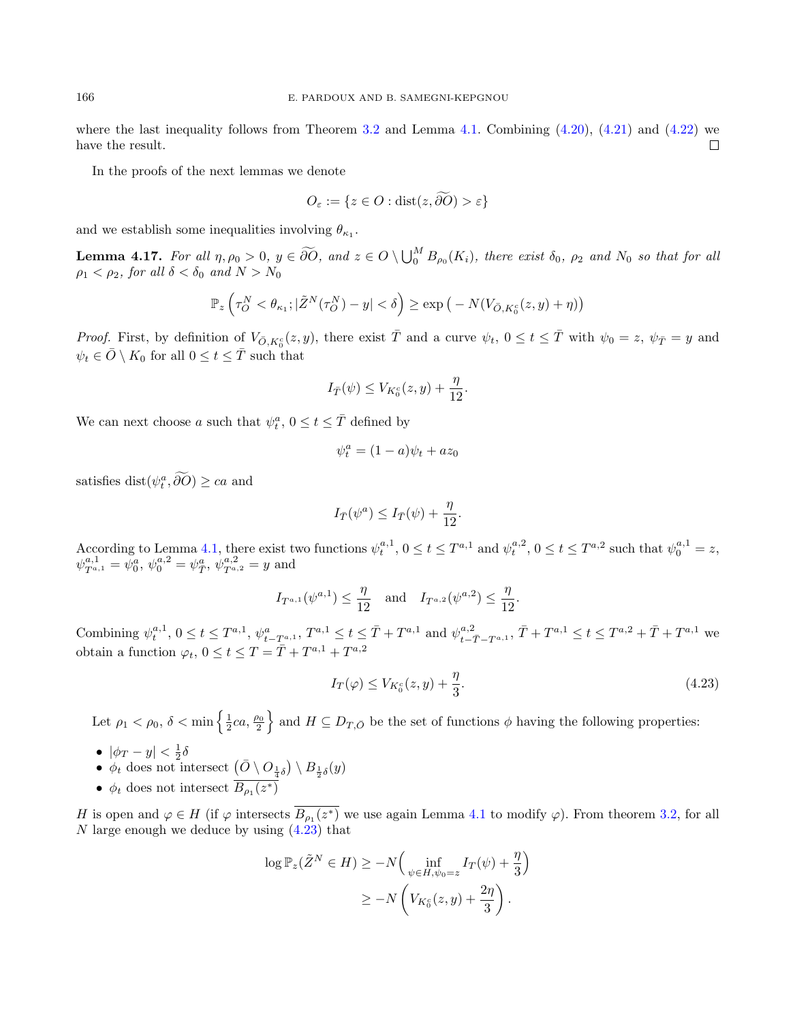where the last inequality follows from Theorem [3.2](#page-5-1) and Lemma [4.1.](#page-6-1) Combining  $(4.20)$ ,  $(4.21)$  and  $(4.22)$  we have the result.  $\Box$ 

In the proofs of the next lemmas we denote

$$
O_{\varepsilon} := \{ z \in O : \text{dist}(z, \partial O) > \varepsilon \}
$$

and we establish some inequalities involving  $\theta_{\kappa_1}$ .

<span id="page-18-1"></span>**Lemma 4.17.** For all  $\eta, \rho_0 > 0$ ,  $y \in \widetilde{\partial O}$ , and  $z \in O \setminus \bigcup_{0}^{M} B_{\rho_0}(K_i)$ , there exist  $\delta_0$ ,  $\rho_2$  and  $N_0$  so that for all  $\rho_1 < \rho_2$ , for all  $\delta < \delta_0$  and  $N > N_0$ 

$$
\mathbb{P}_{z}\left(\tau_{O}^{N} < \theta_{\kappa_{1}};|\tilde{Z}^{N}(\tau_{O}^{N}) - y| < \delta\right) \geq \exp\left(-N(V_{\bar{O},K_{0}^{c}}(z,y) + \eta)\right)
$$

Proof. First, by definition of  $V_{\bar{O}, K_0^c}(z, y)$ , there exist  $\bar{T}$  and a curve  $\psi_t$ ,  $0 \le t \le \bar{T}$  with  $\psi_0 = z$ ,  $\psi_{\bar{T}} = y$  and  $\psi_t \in \overline{O} \setminus K_0$  for all  $0 \leq t \leq \overline{T}$  such that

$$
I_{\bar{T}}(\psi) \le V_{K_0^c}(z, y) + \frac{\eta}{12}.
$$

We can next choose a such that  $\psi_t^a$ ,  $0 \le t \le \bar{T}$  defined by

$$
\psi_t^a = (1-a)\psi_t + az_0
$$

satisfies dist $(\psi_t^a, \partial O) \geq ca$  and

$$
I_{\bar{T}}(\psi^a) \leq I_{\bar{T}}(\psi) + \frac{\eta}{12}.
$$

According to Lemma [4.1,](#page-6-1) there exist two functions  $\psi_t^{a,1}$ ,  $0 \le t \le T^{a,1}$  and  $\psi_t^{a,2}$ ,  $0 \le t \le T^{a,2}$  such that  $\psi_0^{a,1} = z$ ,  $\psi_{T^{a,1}}^{a,1} = \psi_0^a, \, \psi_0^{a,2} = \psi_{\overline{T}}^a, \, \psi_{T^{a,2}}^{a,2} = y$  and

$$
I_{T^{a,1}}(\psi^{a,1}) \leq \frac{\eta}{12}
$$
 and  $I_{T^{a,2}}(\psi^{a,2}) \leq \frac{\eta}{12}$ .

Combining  $\psi_t^{a,1}$ ,  $0 \le t \le T^{a,1}$ ,  $\psi_{t-T^{a,1}}^a$ ,  $T^{a,1} \le t \le \bar{T} + T^{a,1}$  and  $\psi_{t-\bar{T}-T^{a,1}}^{a,2}$ ,  $\bar{T} + T^{a,1} \le t \le T^{a,2} + \bar{T} + T^{a,1}$  we obtain a function  $\varphi_t$ ,  $0 \le t \le T = \overline{T} + T^{a,1} + T^{a,2}$ 

<span id="page-18-0"></span>
$$
I_T(\varphi) \le V_{K_0^c}(z, y) + \frac{\eta}{3}.\tag{4.23}
$$

Let  $\rho_1 < \rho_0$ ,  $\delta < \min\left\{\frac{1}{2}ca, \frac{\rho_0}{2}\right\}$  and  $H \subseteq D_{T,\bar{O}}$  be the set of functions  $\phi$  having the following properties:

- $|\phi_T y| < \frac{1}{2}\delta$
- $\phi_t$  does not intersect  $\left(\bar{O} \setminus O_{\frac{1}{4}\delta}\right) \setminus B_{\frac{1}{2}\delta}(y)$
- $\phi_t$  does not intersect  $B_{\rho_1}(z^*)$

H is open and  $\varphi \in H$  (if  $\varphi$  intersects  $B_{\rho_1}(z^*)$  we use again Lemma [4.1](#page-6-1) to modify  $\varphi$ ). From theorem [3.2,](#page-5-1) for all  $N$  large enough we deduce by using  $(4.23)$  that

$$
\log \mathbb{P}_z(\tilde{Z}^N \in H) \ge -N \Big( \inf_{\psi \in H, \psi_0 = z} I_T(\psi) + \frac{\eta}{3} \Big)
$$
  

$$
\ge -N \left( V_{K_0^c}(z, y) + \frac{2\eta}{3} \right).
$$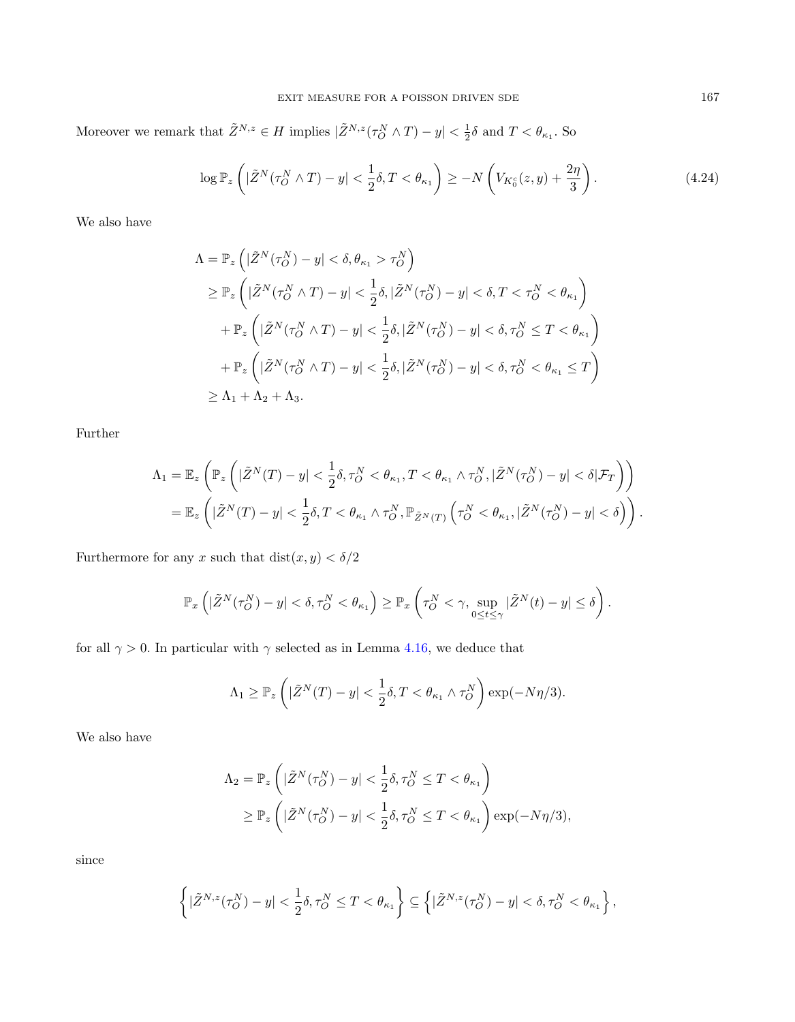Moreover we remark that  $\tilde{Z}^{N,z} \in H$  implies  $|\tilde{Z}^{N,z}(\tau_O^N \wedge T) - y| < \frac{1}{2}\delta$  and  $T < \theta_{\kappa_1}$ . So

<span id="page-19-0"></span>
$$
\log \mathbb{P}_z \left( |\tilde{Z}^N(\tau_O^N \wedge T) - y| < \frac{1}{2} \delta, T < \theta_{\kappa_1} \right) \ge -N \left( V_{K_0^c}(z, y) + \frac{2\eta}{3} \right). \tag{4.24}
$$

We also have

$$
\begin{aligned} \Lambda &= \mathbb{P}_z \left( |\tilde{Z}^N(\tau_O^N) - y| < \delta, \theta_{\kappa_1} > \tau_O^N \right) \\ &\geq \mathbb{P}_z \left( |\tilde{Z}^N(\tau_O^N \wedge T) - y| < \frac{1}{2} \delta, |\tilde{Z}^N(\tau_O^N) - y| < \delta, T < \tau_O^N < \theta_{\kappa_1} \right) \\ &+ \mathbb{P}_z \left( |\tilde{Z}^N(\tau_O^N \wedge T) - y| < \frac{1}{2} \delta, |\tilde{Z}^N(\tau_O^N) - y| < \delta, \tau_O^N \leq T < \theta_{\kappa_1} \right) \\ &+ \mathbb{P}_z \left( |\tilde{Z}^N(\tau_O^N \wedge T) - y| < \frac{1}{2} \delta, |\tilde{Z}^N(\tau_O^N) - y| < \delta, \tau_O^N < \theta_{\kappa_1} \leq T \right) \\ &\geq \Lambda_1 + \Lambda_2 + \Lambda_3. \end{aligned}
$$

Further

$$
\begin{split} \Lambda_1 &= \mathbb{E}_z\left(\mathbb{P}_z\left(|\tilde{Z}^N(T) - y| < \frac{1}{2}\delta, \tau_O^N < \theta_{\kappa_1}, T < \theta_{\kappa_1} \wedge \tau_O^N, |\tilde{Z}^N(\tau_O^N) - y| < \delta|\mathcal{F}_T\right)\right) \\ &= \mathbb{E}_z\left(|\tilde{Z}^N(T) - y| < \frac{1}{2}\delta, T < \theta_{\kappa_1} \wedge \tau_O^N, \mathbb{P}_{\tilde{Z}^N(T)}\left(\tau_O^N < \theta_{\kappa_1}, |\tilde{Z}^N(\tau_O^N) - y| < \delta\right)\right). \end{split}
$$

Furthermore for any  $x$  such that  $\mathop\mathrm{dist}(x,y)<\delta/2$ 

$$
\mathbb{P}_x\left(|\tilde{Z}^N(\tau_O^N)-y|<\delta,\tau_O^N<\theta_{\kappa_1}\right)\geq \mathbb{P}_x\left(\tau_O^N<\gamma,\sup_{0\leq t\leq \gamma}|\tilde{Z}^N(t)-y|\leq \delta\right).
$$

for all  $\gamma > 0$ . In particular with  $\gamma$  selected as in Lemma [4.16,](#page-15-1) we deduce that

$$
\Lambda_1 \geq \mathbb{P}_z \left( |\tilde{Z}^N(T) - y| < \frac{1}{2} \delta, T < \theta_{\kappa_1} \wedge \tau_O^N \right) \exp(-N\eta/3).
$$

We also have

$$
\Lambda_2 = \mathbb{P}_z \left( |\tilde{Z}^N(\tau_O^N) - y| < \frac{1}{2} \delta, \tau_O^N \le T < \theta_{\kappa_1} \right)
$$
\n
$$
\ge \mathbb{P}_z \left( |\tilde{Z}^N(\tau_O^N) - y| < \frac{1}{2} \delta, \tau_O^N \le T < \theta_{\kappa_1} \right) \exp(-N\eta/3),
$$

since

$$
\left\{|\tilde{Z}^{N,z}(\tau^N_O)-y|<\dfrac{1}{2}\delta,\tau^N_O\leq T<\theta_{\kappa_1}\right\}\subseteq\left\{|\tilde{Z}^{N,z}(\tau^N_O)-y|<\delta,\tau^N_O<\theta_{\kappa_1}\right\},
$$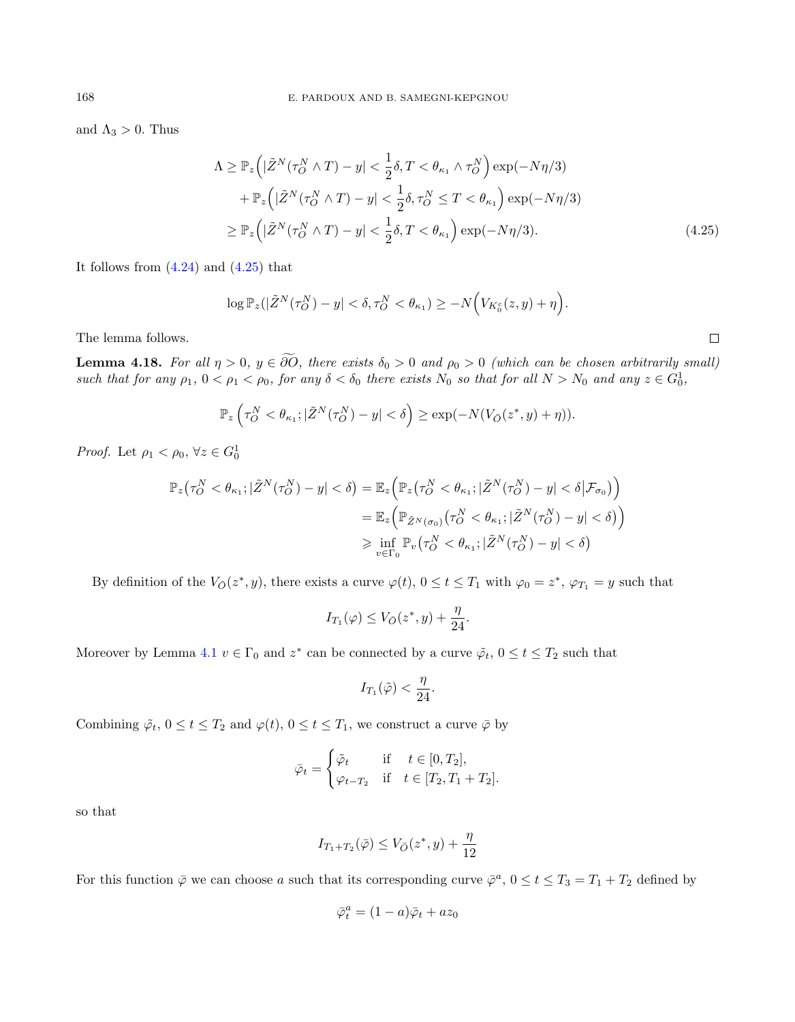and  $\Lambda_3 > 0$ . Thus

$$
\Lambda \geq \mathbb{P}_{z} \left( |\tilde{Z}^{N}(\tau_{O}^{N} \wedge T) - y| < \frac{1}{2} \delta, T < \theta_{\kappa_{1}} \wedge \tau_{O}^{N} \right) \exp(-N\eta/3) \n+ \mathbb{P}_{z} \left( |\tilde{Z}^{N}(\tau_{O}^{N} \wedge T) - y| < \frac{1}{2} \delta, \tau_{O}^{N} \leq T < \theta_{\kappa_{1}} \right) \exp(-N\eta/3) \n\geq \mathbb{P}_{z} \left( |\tilde{Z}^{N}(\tau_{O}^{N} \wedge T) - y| < \frac{1}{2} \delta, T < \theta_{\kappa_{1}} \right) \exp(-N\eta/3). \tag{4.25}
$$

It follows from  $(4.24)$  and  $(4.25)$  that

$$
\log \mathbb{P}_z(|\tilde{Z}^N(\tau_O^N) - y| < \delta, \tau_O^N < \theta_{\kappa_1}) \ge -N\Big(V_{K_0^c}(z, y) + \eta\Big).
$$

The lemma follows.

<span id="page-20-1"></span>**Lemma 4.18.** For all  $\eta > 0$ ,  $y \in \partial O$ , there exists  $\delta_0 > 0$  and  $\rho_0 > 0$  (which can be chosen arbitrarily small) such that for any  $\rho_1$ ,  $0 < \rho_1 < \rho_0$ , for any  $\delta < \delta_0$  there exists  $N_0$  so that for all  $N > N_0$  and any  $z \in G_0^1$ ,

$$
\mathbb{P}_{z}\left(\tau_{O}^{N} < \theta_{\kappa_{1}};|\tilde{Z}^{N}(\tau_{O}^{N}) - y| < \delta\right) \geq \exp(-N(V_{\bar{O}}(z^*, y) + \eta)).
$$

*Proof.* Let  $\rho_1 < \rho_0$ ,  $\forall z \in G_0^1$ 

$$
\mathbb{P}_{z}(\tau_{O}^{N} < \theta_{\kappa_{1}}; |\tilde{Z}^{N}(\tau_{O}^{N}) - y| < \delta) = \mathbb{E}_{z} \Big( \mathbb{P}_{z} \big( \tau_{O}^{N} < \theta_{\kappa_{1}}; |\tilde{Z}^{N}(\tau_{O}^{N}) - y| < \delta | \mathcal{F}_{\sigma_{0}} \big) \Big)
$$
  
\n
$$
= \mathbb{E}_{z} \Big( \mathbb{P}_{\tilde{Z}^{N}(\sigma_{0})} \big( \tau_{O}^{N} < \theta_{\kappa_{1}}; |\tilde{Z}^{N}(\tau_{O}^{N}) - y| < \delta \big) \Big)
$$
  
\n
$$
\geq \inf_{v \in \Gamma_{0}} \mathbb{P}_{v} \big( \tau_{O}^{N} < \theta_{\kappa_{1}}; |\tilde{Z}^{N}(\tau_{O}^{N}) - y| < \delta \big)
$$

By definition of the  $V_{\bar{O}}(z^*, y)$ , there exists a curve  $\varphi(t)$ ,  $0 \le t \le T_1$  with  $\varphi_0 = z^*$ ,  $\varphi_{T_1} = y$  such that

$$
I_{T_1}(\varphi) \le V_{\bar{O}}(z^*, y) + \frac{\eta}{24}.
$$

Moreover by Lemma [4.1](#page-6-1)  $v \in \Gamma_0$  and  $z^*$  can be connected by a curve  $\tilde{\varphi}_t$ ,  $0 \le t \le T_2$  such that

$$
I_{T_1}(\tilde{\varphi})<\frac{\eta}{24}.
$$

Combining  $\tilde{\varphi}_t$ ,  $0 \le t \le T_2$  and  $\varphi(t)$ ,  $0 \le t \le T_1$ , we construct a curve  $\bar{\varphi}$  by

$$
\bar{\varphi}_t = \begin{cases} \tilde{\varphi}_t & \text{if } t \in [0, T_2], \\ \varphi_{t-T_2} & \text{if } t \in [T_2, T_1 + T_2]. \end{cases}
$$

so that

$$
I_{T_1+T_2}(\bar{\varphi}) \le V_{\bar{O}}(z^*,y) + \frac{\eta}{12}
$$

For this function  $\bar{\varphi}$  we can choose a such that its corresponding curve  $\bar{\varphi}^a$ ,  $0 \le t \le T_3 = T_1 + T_2$  defined by

$$
\bar{\varphi}_t^a = (1-a)\bar{\varphi}_t + az_0
$$

<span id="page-20-0"></span> $\Box$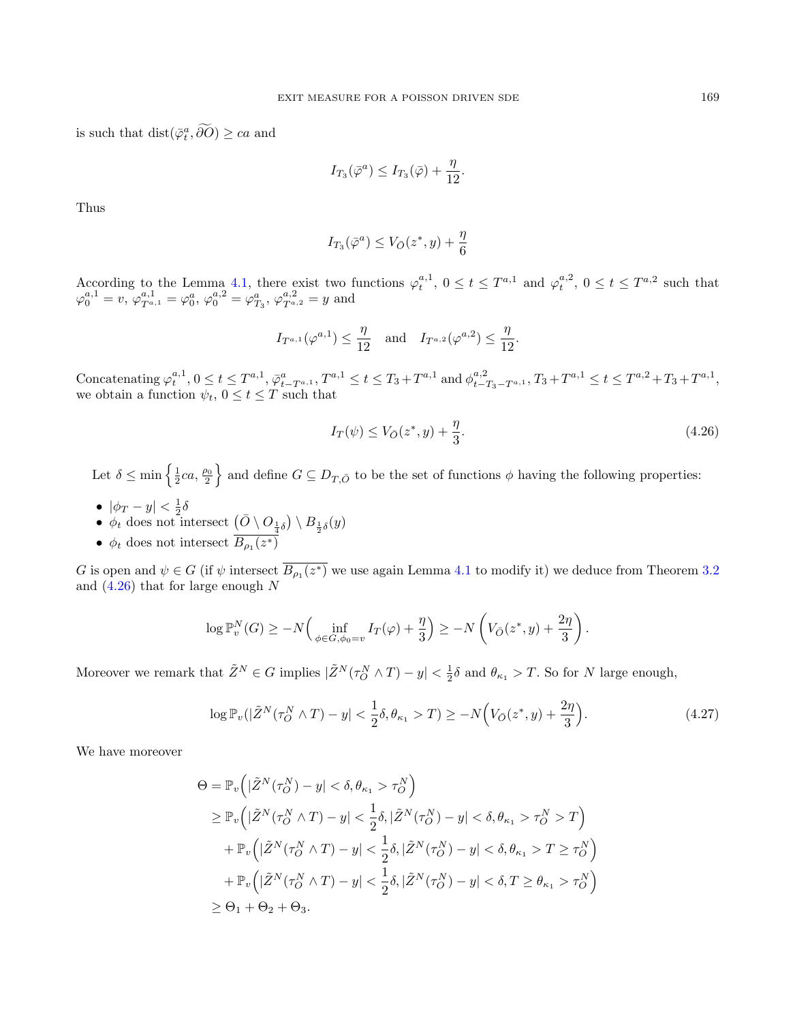is such that  $dist(\overline{\varphi}_t^a, \partial O) \geq ca$  and

$$
I_{T_3}(\bar{\varphi}^a) \leq I_{T_3}(\bar{\varphi}) + \frac{\eta}{12}.
$$

Thus

$$
I_{T_3}(\bar{\varphi}^a) \le V_{\bar{O}}(z^*, y) + \frac{\eta}{6}
$$

According to the Lemma [4.1,](#page-6-1) there exist two functions  $\varphi_t^{a,1}$ ,  $0 \le t \le T^{a,1}$  and  $\varphi_t^{a,2}$ ,  $0 \le t \le T^{a,2}$  such that  $\varphi_0^{a,1} = v, \, \varphi_{T^{a,1}}^{a,1} = \varphi_0^a, \, \varphi_0^{a,2} = \varphi_{T_3}^a, \, \varphi_{T^{a,2}}^{a,2} = y$  and

$$
I_{T^{a,1}}(\varphi^{a,1}) \le \frac{\eta}{12}
$$
 and  $I_{T^{a,2}}(\varphi^{a,2}) \le \frac{\eta}{12}$ .

Concatenating  $\varphi_t^{a,1}$ ,  $0 \le t \le T^{a,1}$ ,  $\overline{\varphi}_{t-T^{a,1}}^a$ ,  $T^{a,1} \le t \le T_3 + T^{a,1}$  and  $\varphi_{t-T_3-T^{a,1}}^{a,2}$ ,  $T_3 + T^{a,1} \le t \le T^{a,2} + T_3 + T^{a,1}$ , we obtain a function  $\psi_t$ ,  $0 \le t \le T$  such that

<span id="page-21-0"></span>
$$
I_T(\psi) \le V_{\bar{O}}(z^*, y) + \frac{\eta}{3}.
$$
\n(4.26)

Let  $\delta \leq \min\left\{\frac{1}{2}ca,\frac{\rho_0}{2}\right\}$  and define  $G \subseteq D_{T,\bar{O}}$  to be the set of functions  $\phi$  having the following properties:

- $|\phi_T y| < \frac{1}{2}\delta$
- $\phi_t$  does not intersect  $\left(\bar{O} \setminus O_{\frac{1}{4}\delta}\right) \setminus B_{\frac{1}{2}\delta}(y)$
- $\phi_t$  does not intersect  $B_{\rho_1}(z^*)$

G is open and  $\psi \in G$  (if  $\psi$  intersect  $B_{\rho_1}(z^*)$  we use again Lemma [4.1](#page-6-1) to modify it) we deduce from Theorem [3.2](#page-5-1) and  $(4.26)$  that for large enough N

$$
\log \mathbb{P}_v^N(G) \ge -N \Big( \inf_{\phi \in G, \phi_0 = v} I_T(\varphi) + \frac{\eta}{3} \Big) \ge -N \left( V_{\bar{O}}(z^*, y) + \frac{2\eta}{3} \right).
$$

Moreover we remark that  $\tilde{Z}^N \in G$  implies  $|\tilde{Z}^N(\tau_O^N \wedge T) - y| < \frac{1}{2}\delta$  and  $\theta_{\kappa_1} > T$ . So for N large enough,

<span id="page-21-1"></span>
$$
\log \mathbb{P}_v(|\tilde{Z}^N(\tau_O^N \wedge T) - y| < \frac{1}{2}\delta, \theta_{\kappa_1} > T) \ge -N\Big(V_{\bar{O}}(z^*, y) + \frac{2\eta}{3}\Big). \tag{4.27}
$$

We have moreover

$$
\Theta = \mathbb{P}_{v} \Big( |\tilde{Z}^{N}(\tau_{O}^{N}) - y| < \delta, \theta_{\kappa_{1}} > \tau_{O}^{N} \Big)
$$
\n
$$
\geq \mathbb{P}_{v} \Big( |\tilde{Z}^{N}(\tau_{O}^{N} \wedge T) - y| < \frac{1}{2} \delta, |\tilde{Z}^{N}(\tau_{O}^{N}) - y| < \delta, \theta_{\kappa_{1}} > \tau_{O}^{N} > T \Big)
$$
\n
$$
+ \mathbb{P}_{v} \Big( |\tilde{Z}^{N}(\tau_{O}^{N} \wedge T) - y| < \frac{1}{2} \delta, |\tilde{Z}^{N}(\tau_{O}^{N}) - y| < \delta, \theta_{\kappa_{1}} > T \geq \tau_{O}^{N} \Big)
$$
\n
$$
+ \mathbb{P}_{v} \Big( |\tilde{Z}^{N}(\tau_{O}^{N} \wedge T) - y| < \frac{1}{2} \delta, |\tilde{Z}^{N}(\tau_{O}^{N}) - y| < \delta, T \geq \theta_{\kappa_{1}} > \tau_{O}^{N} \Big)
$$
\n
$$
\geq \Theta_{1} + \Theta_{2} + \Theta_{3}.
$$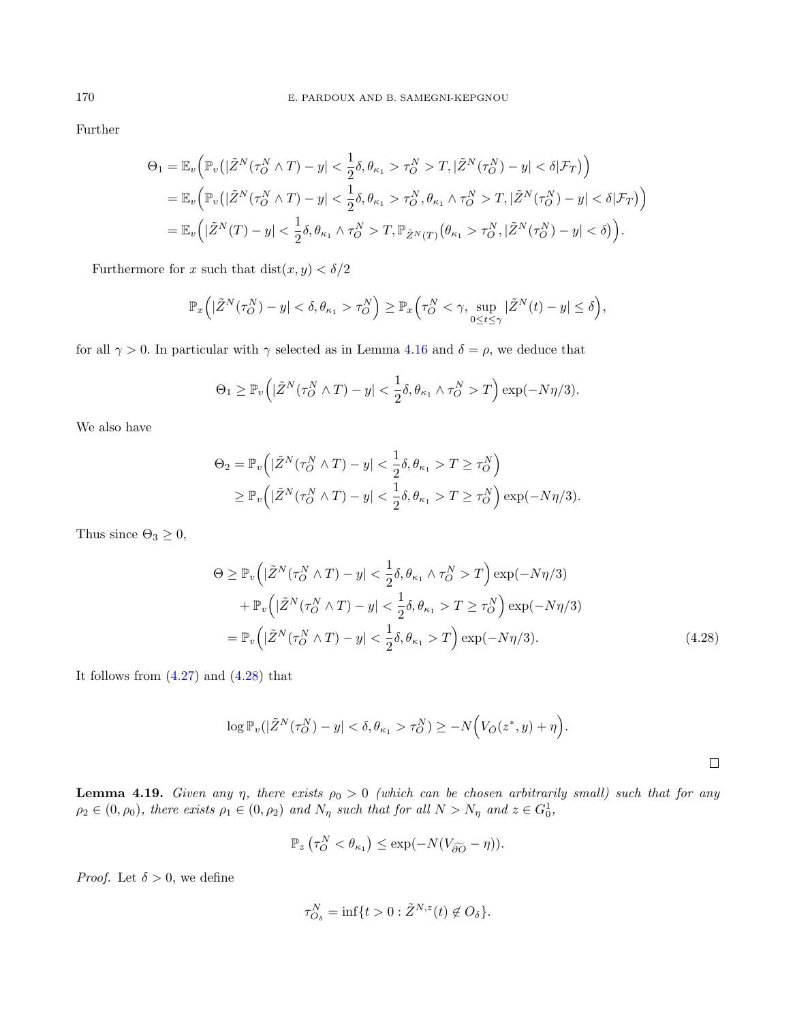Further

$$
\Theta_1 = \mathbb{E}_v \Big( \mathbb{P}_v \big( |\tilde{Z}^N (\tau_O^N \wedge T) - y| < \frac{1}{2} \delta, \theta_{\kappa_1} > \tau_O^N > T, |\tilde{Z}^N (\tau_O^N) - y| < \delta | \mathcal{F}_T \big) \Big) \n= \mathbb{E}_v \Big( \mathbb{P}_v \big( |\tilde{Z}^N (\tau_O^N \wedge T) - y| < \frac{1}{2} \delta, \theta_{\kappa_1} > \tau_O^N, \theta_{\kappa_1} \wedge \tau_O^N > T, |\tilde{Z}^N (\tau_O^N) - y| < \delta | \mathcal{F}_T \big) \Big) \n= \mathbb{E}_v \Big( |\tilde{Z}^N (T) - y| < \frac{1}{2} \delta, \theta_{\kappa_1} \wedge \tau_O^N > T, \mathbb{P}_{\tilde{Z}^N (T)} \big( \theta_{\kappa_1} > \tau_O^N, |\tilde{Z}^N (\tau_O^N) - y| < \delta \big) \Big).
$$

Furthermore for x such that  $dist(x, y) < \delta/2$ 

$$
\mathbb{P}_x\Big(|\tilde{Z}^N(\tau_O^N)-y|<\delta, \theta_{\kappa_1}>\tau_O^N\Big)\geq \mathbb{P}_x\Big(\tau_O^N<\gamma, \sup_{0\leq t\leq \gamma}|\tilde{Z}^N(t)-y|\leq \delta\Big),
$$

for all  $\gamma > 0$ . In particular with  $\gamma$  selected as in Lemma [4.16](#page-15-1) and  $\delta = \rho$ , we deduce that

$$
\Theta_1 \geq \mathbb{P}_v\Big(|\tilde{Z}^N(\tau_O^N \wedge T) - y| < \frac{1}{2}\delta, \theta_{\kappa_1} \wedge \tau_O^N > T\Big) \exp(-N\eta/3).
$$

We also have

$$
\Theta_2 = \mathbb{P}_v \Big( |\tilde{Z}^N(\tau_O^N \wedge T) - y| < \frac{1}{2} \delta, \theta_{\kappa_1} > T \ge \tau_O^N \Big) \\
\ge \mathbb{P}_v \Big( |\tilde{Z}^N(\tau_O^N \wedge T) - y| < \frac{1}{2} \delta, \theta_{\kappa_1} > T \ge \tau_O^N \Big) \exp(-N\eta/3).
$$

Thus since  $\Theta_3 \geq 0$ ,

$$
\Theta \geq \mathbb{P}_{v} \Big( |\tilde{Z}^{N}(\tau_{O}^{N} \wedge T) - y| < \frac{1}{2} \delta, \theta_{\kappa_{1}} \wedge \tau_{O}^{N} > T \Big) \exp(-N\eta/3) \\
+ \mathbb{P}_{v} \Big( |\tilde{Z}^{N}(\tau_{O}^{N} \wedge T) - y| < \frac{1}{2} \delta, \theta_{\kappa_{1}} > T \geq \tau_{O}^{N} \Big) \exp(-N\eta/3) \\
= \mathbb{P}_{v} \Big( |\tilde{Z}^{N}(\tau_{O}^{N} \wedge T) - y| < \frac{1}{2} \delta, \theta_{\kappa_{1}} > T \Big) \exp(-N\eta/3). \tag{4.28}
$$

It follows from  $(4.27)$  and  $(4.28)$  that

$$
\log \mathbb{P}_v(|\tilde{Z}^N(\tau_O^N) - y| < \delta, \theta_{\kappa_1} > \tau_O^N) \ge -N\Big(V_{\bar{O}}(z^*, y) + \eta\Big).
$$

<span id="page-22-1"></span>**Lemma 4.19.** Given any  $\eta$ , there exists  $\rho_0 > 0$  (which can be chosen arbitrarily small) such that for any  $\rho_2 \in (0, \rho_0)$ , there exists  $\rho_1 \in (0, \rho_2)$  and  $N_\eta$  such that for all  $N > N_\eta$  and  $z \in G_0^1$ ,

<span id="page-22-0"></span>
$$
\mathbb{P}_{z}(\tau_{O}^{N} < \theta_{\kappa_1}) \le \exp(-N(V_{\widetilde{\partial O}} - \eta)).
$$

*Proof.* Let  $\delta > 0$ , we define

$$
\tau_{O_{\delta}}^N = \inf\{t > 0 : \tilde{Z}^{N,z}(t) \notin O_{\delta}\}.
$$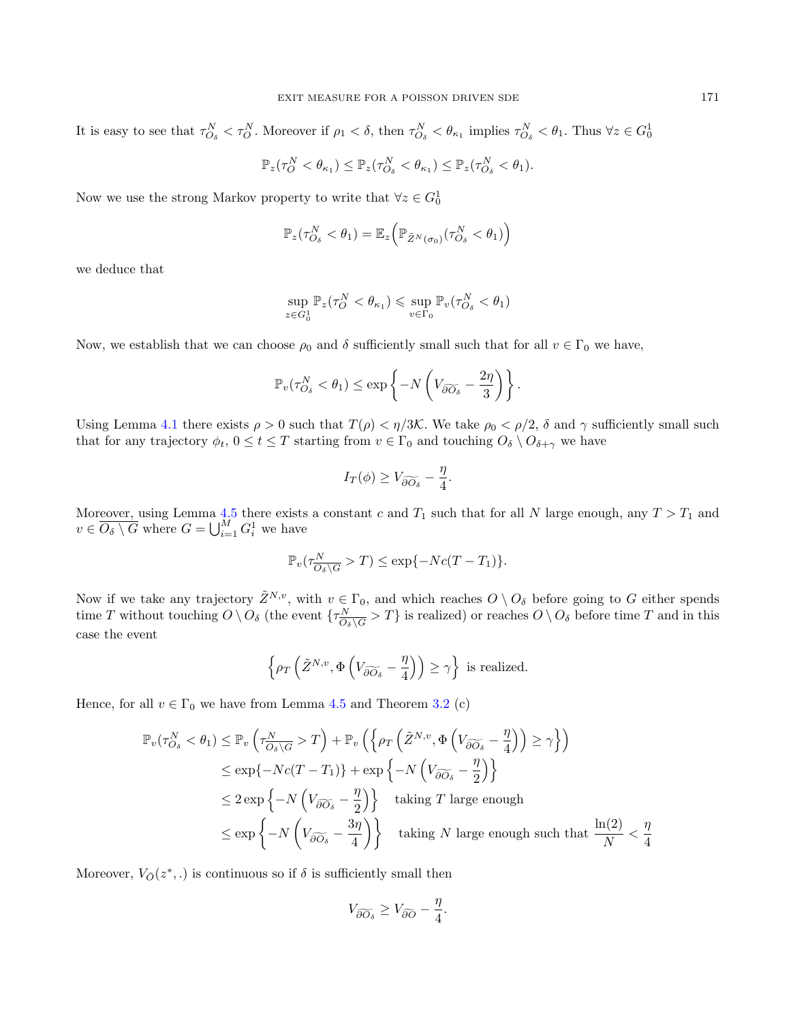It is easy to see that  $\tau_{O_\delta}^N < \tau_O^N$ . Moreover if  $\rho_1 < \delta$ , then  $\tau_{O_\delta}^N < \theta_{\kappa_1}$  implies  $\tau_{O_\delta}^N < \theta_1$ . Thus  $\forall z \in G_0^1$ 

$$
\mathbb{P}_z(\tau_O^N < \theta_{\kappa_1}) \leq \mathbb{P}_z(\tau_{O_{\delta}}^N < \theta_{\kappa_1}) \leq \mathbb{P}_z(\tau_{O_{\delta}}^N < \theta_1).
$$

Now we use the strong Markov property to write that  $\forall z \in G_0^1$ 

$$
\mathbb{P}_z(\tau_{O_{\delta}}^N < \theta_1) = \mathbb{E}_z\Big(\mathbb{P}_{\tilde{Z}^N(\sigma_0)}(\tau_{O_{\delta}}^N < \theta_1)\Big)
$$

we deduce that

$$
\sup_{z \in G_0^1} \mathbb{P}_z(\tau_O^N < \theta_{\kappa_1}) \leqslant \sup_{v \in \Gamma_0} \mathbb{P}_v(\tau_{O_\delta}^N < \theta_1)
$$

Now, we establish that we can choose  $\rho_0$  and  $\delta$  sufficiently small such that for all  $v \in \Gamma_0$  we have,

$$
\mathbb{P}_v(\tau_{O_{\delta}}^N < \theta_1) \le \exp\left\{-N\left(V_{\widetilde{\partial O_{\delta}}} - \frac{2\eta}{3}\right)\right\}.
$$

Using Lemma [4.1](#page-6-1) there exists  $\rho > 0$  such that  $T(\rho) < \eta/3\mathcal{K}$ . We take  $\rho_0 < \rho/2$ ,  $\delta$  and  $\gamma$  sufficiently small such that for any trajectory  $\phi_t$ ,  $0 \le t \le T$  starting from  $v \in \Gamma_0$  and touching  $O_\delta \setminus O_{\delta+\gamma}$  we have

$$
I_T(\phi) \ge V_{\widetilde{\partial O_\delta}} - \frac{\eta}{4}.
$$

Moreover, using Lemma [4.5](#page-8-2) there exists a constant c and  $T_1$  such that for all N large enough, any  $T > T_1$  and  $v \in \overline{O_{\delta} \setminus G}$  where  $G = \bigcup_{i=1}^{M} G_i^1$  we have

$$
\mathbb{P}_v(\tau^N_{\overline{O_\delta \setminus G}} > T) \le \exp\{-Nc(T - T_1)\}.
$$

Now if we take any trajectory  $\tilde{Z}^{N,v}$ , with  $v \in \Gamma_0$ , and which reaches  $O \setminus O_\delta$  before going to G either spends time T without touching  $O \setminus O_{\delta}$  (the event  $\{\tau_{\Omega}^N\}$  $\frac{N}{O_\delta\setminus G}$  > T} is realized) or reaches  $O \setminus O_\delta$  before time T and in this case the event

$$
\left\{ \rho_T \left( \tilde{Z}^{N,v}, \Phi \left( V_{\widetilde{\partial O_\delta}} - \frac{\eta}{4} \right) \right) \geq \gamma \right\} \text{ is realized.}
$$

Hence, for all  $v \in \Gamma_0$  we have from Lemma [4.5](#page-8-2) and Theorem [3.2](#page-5-1) (c)

$$
\mathbb{P}_{v}(\tau_{O_{\delta}}^{N} < \theta_{1}) \leq \mathbb{P}_{v} \left( \tau_{\overline{O_{\delta} \setminus G}}^{N} > T \right) + \mathbb{P}_{v} \left( \left\{ \rho_{T} \left( \tilde{Z}^{N,v}, \Phi \left( V_{\widetilde{\partial O_{\delta}}} - \frac{\eta}{4} \right) \right) \geq \gamma \right\} \right)
$$
  
\n
$$
\leq \exp \left\{ -N c(T - T_{1}) \right\} + \exp \left\{ -N \left( V_{\widetilde{\partial O_{\delta}}} - \frac{\eta}{2} \right) \right\}
$$
  
\n
$$
\leq 2 \exp \left\{ -N \left( V_{\widetilde{\partial O_{\delta}}} - \frac{\eta}{2} \right) \right\} \quad \text{taking } T \text{ large enough}
$$
  
\n
$$
\leq \exp \left\{ -N \left( V_{\widetilde{\partial O_{\delta}}} - \frac{3\eta}{4} \right) \right\} \quad \text{taking } N \text{ large enough such that } \frac{\ln(2)}{N} < \frac{\eta}{4}
$$

Moreover,  $V_{\bar{O}}(z^*,.)$  is continuous so if  $\delta$  is sufficiently small then

$$
V_{\widetilde{\partial O_{\delta}}} \ge V_{\widetilde{\partial O}} - \frac{\eta}{4}.
$$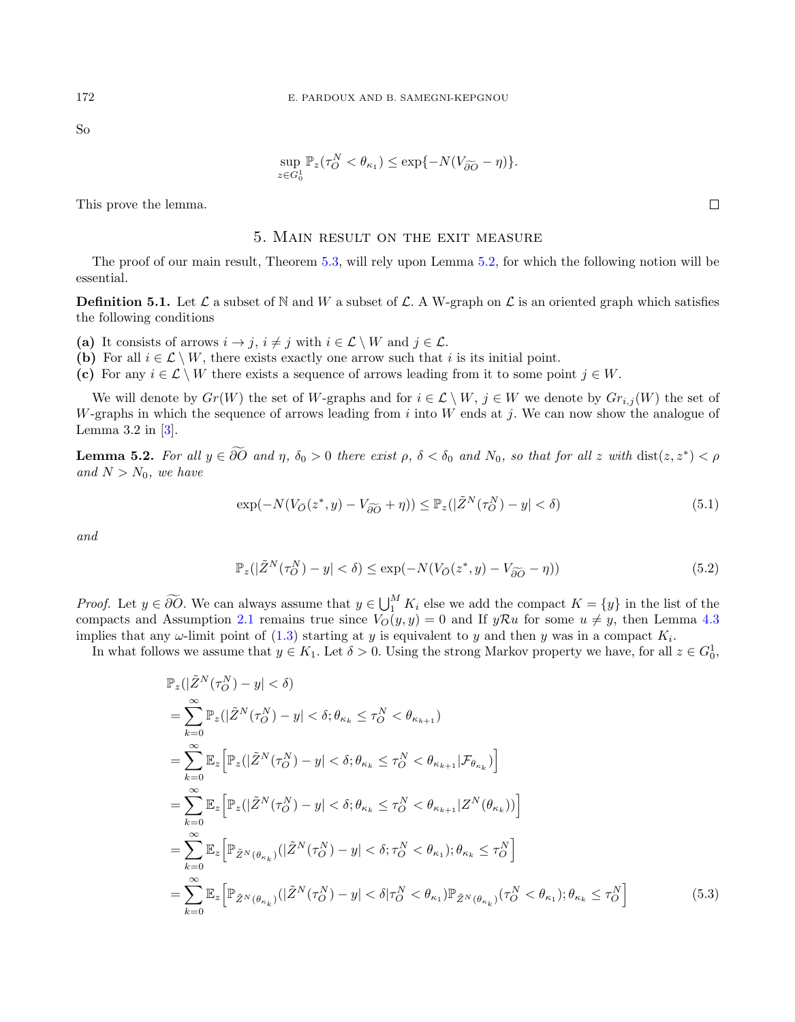So

$$
\sup_{z \in G_0^1} \mathbb{P}_z(\tau_O^N < \theta_{\kappa_1}) \le \exp\{-N(V_{\widetilde{\partial O}} - \eta)\}.
$$

<span id="page-24-0"></span>This prove the lemma.

#### 5. Main result on the exit measure

The proof of our main result, Theorem [5.3,](#page-28-0) will rely upon Lemma [5.2,](#page-24-1) for which the following notion will be essential.

**Definition 5.1.** Let  $\mathcal{L}$  a subset of N and W a subset of  $\mathcal{L}$ . A W-graph on  $\mathcal{L}$  is an oriented graph which satisfies the following conditions

- (a) It consists of arrows  $i \to j$ ,  $i \neq j$  with  $i \in \mathcal{L} \setminus W$  and  $j \in \mathcal{L}$ .
- (b) For all  $i \in \mathcal{L} \setminus W$ , there exists exactly one arrow such that i is its initial point.
- (c) For any  $i \in \mathcal{L} \setminus W$  there exists a sequence of arrows leading from it to some point  $j \in W$ .

We will denote by  $Gr(W)$  the set of W-graphs and for  $i \in \mathcal{L} \setminus W$ ,  $j \in W$  we denote by  $Gr_{i,j}(W)$  the set of W-graphs in which the sequence of arrows leading from  $i$  into  $W$  ends at  $j$ . We can now show the analogue of Lemma  $3.2$  in  $\left[3\right]$ .

<span id="page-24-1"></span>**Lemma 5.2.** For all  $y \in \partial O$  and  $\eta$ ,  $\delta_0 > 0$  there exist  $\rho$ ,  $\delta < \delta_0$  and  $N_0$ , so that for all z with  $dist(z, z^*) < \rho$ and  $N > N_0$ , we have

<span id="page-24-2"></span>
$$
\exp(-N(V_{\overline{O}}(z^*,y) - V_{\widetilde{\partial O}} + \eta)) \leq \mathbb{P}_z(|\tilde{Z}^N(\tau_O^N) - y| < \delta) \tag{5.1}
$$

and

<span id="page-24-4"></span><span id="page-24-3"></span>
$$
\mathbb{P}_z(|\tilde{Z}^N(\tau_O^N) - y| < \delta) \le \exp(-N(V_{\bar{O}}(z^*, y) - V_{\widetilde{\partial O}} - \eta))\tag{5.2}
$$

*Proof.* Let  $y \in \widetilde{\partial O}$ . We can always assume that  $y \in \bigcup_{i=1}^{M} K_i$  else we add the compact  $K = \{y\}$  in the list of the compacts and Assumption [2.1](#page-3-3) remains true since  $V_O(y, y) = 0$  and If  $yRu$  for some  $u \neq y$ , then Lemma [4.3](#page-7-2) implies that any  $\omega$ -limit point of [\(1.3\)](#page-1-0) starting at y is equivalent to y and then y was in a compact  $K_i$ .

In what follows we assume that  $y \in K_1$ . Let  $\delta > 0$ . Using the strong Markov property we have, for all  $z \in G_0^1$ ,

$$
\mathbb{P}_{z}(|\tilde{Z}^{N}(\tau_{O}^{N}) - y| < \delta)
$$
\n
$$
= \sum_{k=0}^{\infty} \mathbb{P}_{z}(|\tilde{Z}^{N}(\tau_{O}^{N}) - y| < \delta; \theta_{\kappa_{k}} \leq \tau_{O}^{N} < \theta_{\kappa_{k+1}})
$$
\n
$$
= \sum_{k=0}^{\infty} \mathbb{E}_{z} \Big[ \mathbb{P}_{z}(|\tilde{Z}^{N}(\tau_{O}^{N}) - y| < \delta; \theta_{\kappa_{k}} \leq \tau_{O}^{N} < \theta_{\kappa_{k+1}} | \mathcal{F}_{\theta_{\kappa_{k}}}) \Big]
$$
\n
$$
= \sum_{k=0}^{\infty} \mathbb{E}_{z} \Big[ \mathbb{P}_{z}(|\tilde{Z}^{N}(\tau_{O}^{N}) - y| < \delta; \theta_{\kappa_{k}} \leq \tau_{O}^{N} < \theta_{\kappa_{k+1}} | Z^{N}(\theta_{\kappa_{k}})) \Big]
$$
\n
$$
= \sum_{k=0}^{\infty} \mathbb{E}_{z} \Big[ \mathbb{P}_{\tilde{Z}^{N}(\theta_{\kappa_{k}})}(|\tilde{Z}^{N}(\tau_{O}^{N}) - y| < \delta; \tau_{O}^{N} < \theta_{\kappa_{1}}); \theta_{\kappa_{k}} \leq \tau_{O}^{N} \Big]
$$
\n
$$
= \sum_{k=0}^{\infty} \mathbb{E}_{z} \Big[ \mathbb{P}_{\tilde{Z}^{N}(\theta_{\kappa_{k}})}(|\tilde{Z}^{N}(\tau_{O}^{N}) - y| < \delta | \tau_{O}^{N} < \theta_{\kappa_{1}}; \mathbb{P}_{\tilde{Z}^{N}(\theta_{\kappa_{k}})}(\tau_{O}^{N} < \theta_{\kappa_{1}}); \theta_{\kappa_{k}} \leq \tau_{O}^{N} \Big]
$$
\n(5.3)

 $\Box$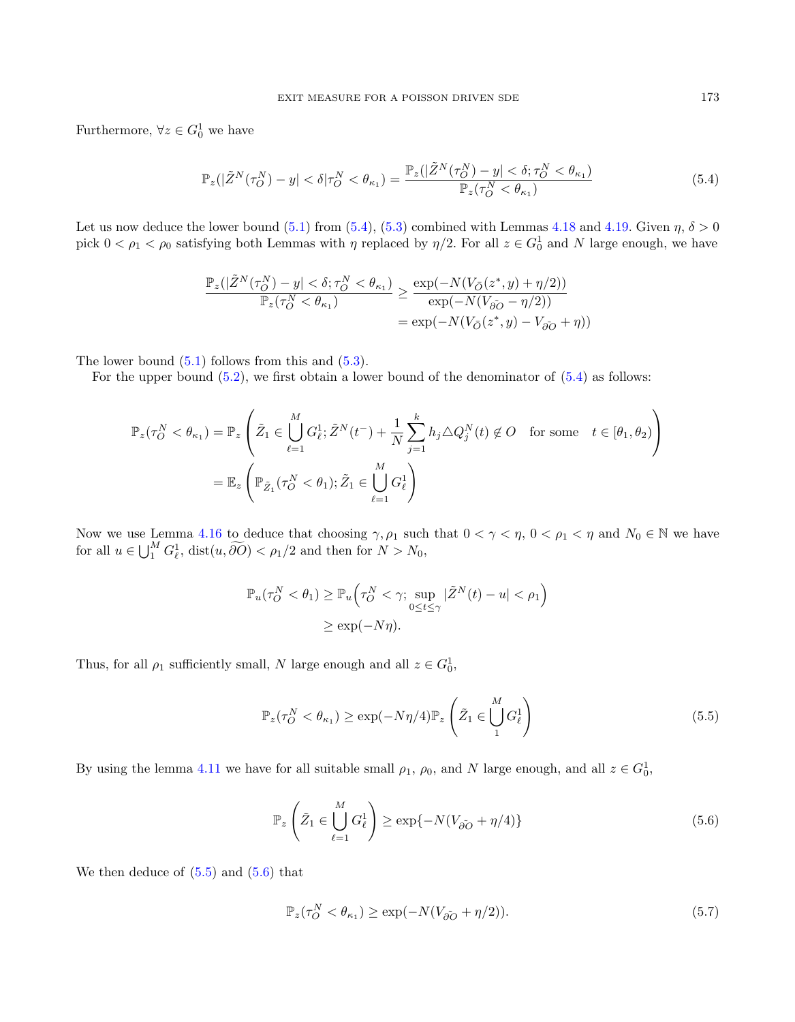Furthermore,  $\forall z \in G_0^1$  we have

<span id="page-25-0"></span>
$$
\mathbb{P}_z(|\tilde{Z}^N(\tau_O^N) - y| < \delta|\tau_O^N < \theta_{\kappa_1}) = \frac{\mathbb{P}_z(|\tilde{Z}^N(\tau_O^N) - y| < \delta; \tau_O^N < \theta_{\kappa_1})}{\mathbb{P}_z(\tau_O^N < \theta_{\kappa_1})} \tag{5.4}
$$

Let us now deduce the lower bound [\(5.1\)](#page-24-2) from [\(5.4\)](#page-25-0), [\(5.3\)](#page-24-3) combined with Lemmas [4.18](#page-20-1) and [4.19.](#page-22-1) Given  $\eta$ ,  $\delta > 0$ pick  $0 < \rho_1 < \rho_0$  satisfying both Lemmas with  $\eta$  replaced by  $\eta/2$ . For all  $z \in G_0^1$  and N large enough, we have

$$
\frac{\mathbb{P}_z(|\tilde{Z}^N(\tau_O^N) - y| < \delta; \tau_O^N < \theta_{\kappa_1})}{\mathbb{P}_z(\tau_O^N < \theta_{\kappa_1})} \ge \frac{\exp(-N(V_{\bar{O}}(z^*, y) + \eta/2))}{\exp(-N(V_{\tilde{O}}\tilde{O} - \eta/2))} \\
= \exp(-N(V_{\bar{O}}(z^*, y) - V_{\tilde{O}}\tilde{O} + \eta))
$$

The lower bound  $(5.1)$  follows from this and  $(5.3)$ .

For the upper bound  $(5.2)$ , we first obtain a lower bound of the denominator of  $(5.4)$  as follows:

$$
\mathbb{P}_z(\tau_O^N < \theta_{\kappa_1}) = \mathbb{P}_z \left( \tilde{Z}_1 \in \bigcup_{\ell=1}^M G_\ell^1; \tilde{Z}^N(t^-) + \frac{1}{N} \sum_{j=1}^k h_j \triangle Q_j^N(t) \notin O \quad \text{for some} \quad t \in [\theta_1, \theta_2) \right)
$$
\n
$$
= \mathbb{E}_z \left( \mathbb{P}_{\tilde{Z}_1}(\tau_O^N < \theta_1); \tilde{Z}_1 \in \bigcup_{\ell=1}^M G_\ell^1 \right)
$$

Now we use Lemma [4.16](#page-15-1) to deduce that choosing  $\gamma$ ,  $\rho_1$  such that  $0 < \gamma < \eta$ ,  $0 < \rho_1 < \eta$  and  $N_0 \in \mathbb{N}$  we have for all  $u \in \bigcup_1^M G_\ell^1$ ,  $dist(u, \widetilde{\partial O}) < \rho_1/2$  and then for  $N > N_0$ ,

$$
\mathbb{P}_u(\tau_O^N < \theta_1) \ge \mathbb{P}_u\left(\tau_O^N < \gamma; \sup_{0 \le t \le \gamma} |\tilde{Z}^N(t) - u| < \rho_1\right)
$$
  

$$
\ge \exp(-N\eta).
$$

Thus, for all  $\rho_1$  sufficiently small, N large enough and all  $z \in G_0^1$ ,

<span id="page-25-1"></span>
$$
\mathbb{P}_z(\tau_O^N < \theta_{\kappa_1}) \ge \exp(-N\eta/4)\mathbb{P}_z\left(\tilde{Z}_1 \in \bigcup_1^M G_\ell^1\right) \tag{5.5}
$$

By using the lemma [4.11](#page-13-1) we have for all suitable small  $\rho_1$ ,  $\rho_0$ , and N large enough, and all  $z \in G_0^1$ ,

<span id="page-25-2"></span>
$$
\mathbb{P}_z \left( \tilde{Z}_1 \in \bigcup_{\ell=1}^M G_{\ell}^1 \right) \ge \exp\{-N(V_{\tilde{\partial O}} + \eta/4)\} \tag{5.6}
$$

We then deduce of  $(5.5)$  and  $(5.6)$  that

<span id="page-25-3"></span>
$$
\mathbb{P}_z(\tau_O^N < \theta_{\kappa_1}) \ge \exp(-N(V_{\partial O} + \eta/2)).\tag{5.7}
$$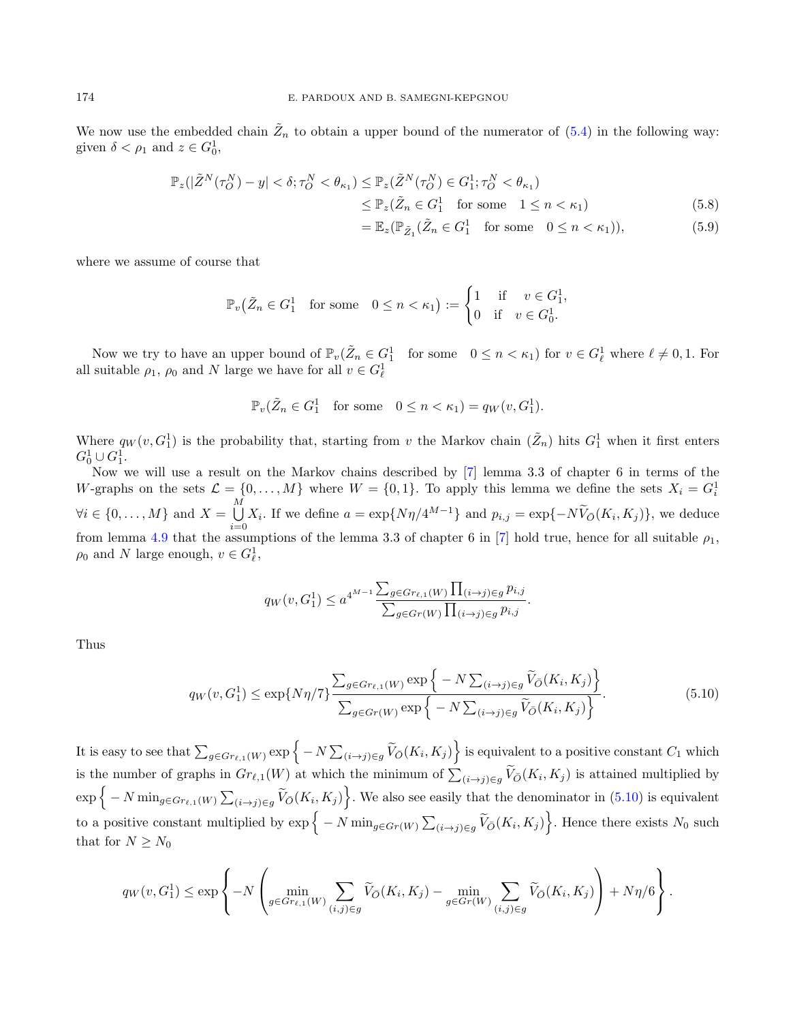We now use the embedded chain  $\tilde{Z}_n$  to obtain a upper bound of the numerator of  $(5.4)$  in the following way: given  $\delta < \rho_1$  and  $z \in G_0^1$ ,

$$
\mathbb{P}_z(|\tilde{Z}^N(\tau_O^N) - y| < \delta; \tau_O^N < \theta_{\kappa_1}) \le \mathbb{P}_z(\tilde{Z}^N(\tau_O^N) \in G_1^1; \tau_O^N < \theta_{\kappa_1}) \le \mathbb{P}_z(\tilde{Z}_n \in G_1^1 \quad \text{for some} \quad 1 \le n < \kappa_1) \tag{5.8}
$$

<span id="page-26-1"></span>
$$
= \mathbb{E}_z(\mathbb{P}_{\tilde{Z}_1}(\tilde{Z}_n \in G_1^1 \quad \text{for some} \quad 0 \le n < \kappa_1)),\tag{5.9}
$$

where we assume of course that

$$
\mathbb{P}_v\big(\tilde{Z}_n \in G_1^1 \quad \text{for some} \quad 0 \le n < \kappa_1\big) := \begin{cases} 1 & \text{if} \quad v \in G_1^1, \\ 0 & \text{if} \quad v \in G_0^1. \end{cases}
$$

Now we try to have an upper bound of  $\mathbb{P}_v(\tilde{Z}_n \in G_1^1$  for some  $0 \leq n < \kappa_1$  for  $v \in G_\ell^1$  where  $\ell \neq 0, 1$ . For all suitable  $\rho_1$ ,  $\rho_0$  and N large we have for all  $v \in G^1_\ell$ 

$$
\mathbb{P}_v(\tilde{Z}_n \in G_1^1 \quad \text{for some} \quad 0 \le n < \kappa_1) = q_W(v, G_1^1).
$$

Where  $q_W(v, G_1^1)$  is the probability that, starting from v the Markov chain  $(\tilde{Z}_n)$  hits  $G_1^1$  when it first enters  $G_0^1 \cup G_1^1.$ 

Now we will use a result on the Markov chains described by [\[7\]](#page-37-8) lemma 3.3 of chapter 6 in terms of the W-graphs on the sets  $\mathcal{L} = \{0, ..., M\}$  where  $W = \{0, 1\}$ . To apply this lemma we define the sets  $X_i = G_i^1$  $\forall i \in \{0, \ldots, M\} \text{ and } X = \bigcup_{i=1}^{M} A_i$  $\bigcup_{i=0} X_i$ . If we define  $a = \exp\{N\eta/4^{M-1}\}\$  and  $p_{i,j} = \exp\{-N\widetilde{V}_{\bar{O}}(K_i, K_j)\}\)$ , we deduce from lemma [4.9](#page-11-0) that the assumptions of the lemma 3.3 of chapter 6 in [\[7\]](#page-37-8) hold true, hence for all suitable  $\rho_1$ ,  $\rho_0$  and N large enough,  $v \in G_{\ell}^1$ ,

$$
q_W(v, G_1^1) \le a^{4^{M-1}} \frac{\sum_{g \in Gr_{\ell, 1}(W)} \prod_{(i \to j) \in g} p_{i, j}}{\sum_{g \in Gr(W)} \prod_{(i \to j) \in g} p_{i, j}}.
$$

Thus

<span id="page-26-0"></span>
$$
q_W(v, G_1^1) \le \exp\{N\eta/7\} \frac{\sum_{g \in Gr_{\ell,1}(W)} \exp\left\{-N \sum_{(i \to j) \in g} \widetilde{V}_{\bar{O}}(K_i, K_j)\right\}}{\sum_{g \in Gr(W)} \exp\left\{-N \sum_{(i \to j) \in g} \widetilde{V}_{\bar{O}}(K_i, K_j)\right\}}.
$$
(5.10)

It is easy to see that  $\sum_{g\in Gr_{\ell,1}(W)} \exp\Big\{-N \sum_{(i\rightarrow j)\in g} \widetilde{V}_{\bar{O}}(K_i,K_j)\Big\}$  is equivalent to a positive constant  $C_1$  which is the number of graphs in  $Gr_{\ell,1}(W)$  at which the minimum of  $\sum_{(i\to j)\in g} V_{\bar{O}}(K_i, K_j)$  is attained multiplied by  $\exp\{-N \min_{g \in Gr_{\ell,1}(W)} \sum_{(i \to j) \in g} \widetilde{V}_{\tilde{O}}(K_i, K_j)\}.$  We also see easily that the denominator in  $(5.10)$  is equivalent to a positive constant multiplied by  $\exp\{-N \min_{g \in Gr(W)} \sum_{(i \to j) \in g} \widetilde{V}_{\bar{O}}(K_i, K_j)\}\.$  Hence there exists  $N_0$  such that for  $N \geq N_0$ 

$$
q_W(v, G_1^1) \le \exp\left\{-N\left(\min_{g \in Gr_{\ell, 1}(W)} \sum_{(i,j) \in g} \widetilde{V}_{\bar{O}}(K_i, K_j) - \min_{g \in Gr(W)} \sum_{(i,j) \in g} \widetilde{V}_{\bar{O}}(K_i, K_j)\right) + N\eta/6\right\}.
$$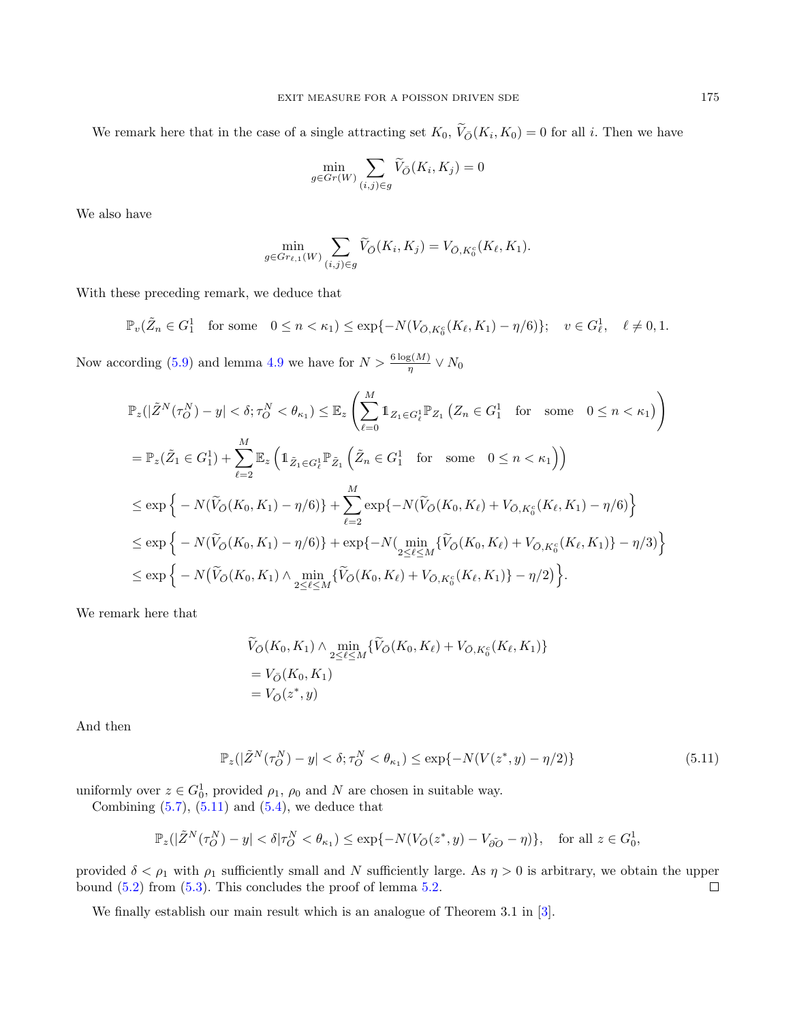We remark here that in the case of a single attracting set  $K_0$ ,  $V_{\bar{O}}(K_i, K_0) = 0$  for all i. Then we have

$$
\min_{g \in Gr(W)} \sum_{(i,j) \in g} \widetilde{V}_{\bar{O}}(K_i, K_j) = 0
$$

We also have

$$
\min_{g \in Gr_{\ell,1}(W)} \sum_{(i,j) \in g} \widetilde{V}_{\bar{O}}(K_i, K_j) = V_{\bar{O}, K_0^c}(K_\ell, K_1).
$$

With these preceding remark, we deduce that

$$
\mathbb{P}_v(\tilde{Z}_n \in G_1^1 \text{ for some } 0 \le n < \kappa_1) \le \exp\{-N(V_{\bar{O},K_0^c}(K_\ell,K_1) - \eta/6)\}; \quad v \in G_\ell^1, \quad \ell \neq 0, 1.
$$

Now according [\(5.9\)](#page-26-1) and lemma [4.9](#page-11-0) we have for  $N > \frac{6 \log(M)}{\eta} \vee N_0$ 

$$
\mathbb{P}_{z}(|\tilde{Z}^{N}(\tau_{O}^{N}) - y| < \delta; \tau_{O}^{N} < \theta_{\kappa_{1}}) \leq \mathbb{E}_{z} \left( \sum_{\ell=0}^{M} \mathbb{1}_{Z_{1} \in G_{\ell}^{1}} \mathbb{P}_{Z_{1}} \left( Z_{n} \in G_{1}^{1} \text{ for some } 0 \leq n < \kappa_{1} \right) \right)
$$
\n
$$
= \mathbb{P}_{z}(\tilde{Z}_{1} \in G_{1}^{1}) + \sum_{\ell=2}^{M} \mathbb{E}_{z} \left( \mathbb{1}_{\tilde{Z}_{1} \in G_{\ell}^{1}} \mathbb{P}_{\tilde{Z}_{1}} \left( \tilde{Z}_{n} \in G_{1}^{1} \text{ for some } 0 \leq n < \kappa_{1} \right) \right)
$$
\n
$$
\leq \exp \left\{ -N(\tilde{V}_{O}(K_{0}, K_{1}) - \eta/6) \right\} + \sum_{\ell=2}^{M} \exp \{-N(\tilde{V}_{O}(K_{0}, K_{\ell}) + V_{O,K_{0}^{c}}(K_{\ell}, K_{1}) - \eta/6) \right\}
$$
\n
$$
\leq \exp \left\{ -N(\tilde{V}_{O}(K_{0}, K_{1}) - \eta/6) \right\} + \exp \{-N(\min_{2 \leq \ell \leq M} \{\tilde{V}_{O}(K_{0}, K_{\ell}) + V_{O,K_{0}^{c}}(K_{\ell}, K_{1}) \} - \eta/3) \right\}
$$
\n
$$
\leq \exp \left\{ -N(\tilde{V}_{O}(K_{0}, K_{1}) \wedge \min_{2 \leq \ell \leq M} \{\tilde{V}_{O}(K_{0}, K_{\ell}) + V_{O,K_{0}^{c}}(K_{\ell}, K_{1}) \} - \eta/2) \right\}.
$$

We remark here that

$$
\widetilde{V}_{\bar{O}}(K_0, K_1) \wedge \min_{2 \le \ell \le M} \{ \widetilde{V}_{\bar{O}}(K_0, K_\ell) + V_{\bar{O}, K_0^c}(K_\ell, K_1) \} \n= V_{\bar{O}}(K_0, K_1) \n= V_{\bar{O}}(z^*, y)
$$

And then

<span id="page-27-0"></span>
$$
\mathbb{P}_z(|\tilde{Z}^N(\tau_O^N) - y| < \delta; \tau_O^N < \theta_{\kappa_1}) \le \exp\{-N(V(z^*, y) - \eta/2)\}\tag{5.11}
$$

uniformly over  $z \in G_0^1$ , provided  $\rho_1$ ,  $\rho_0$  and N are chosen in suitable way.

Combining  $(5.7)$ ,  $(5.11)$  and  $(5.4)$ , we deduce that

$$
\mathbb{P}_z(|\tilde{Z}^N(\tau_O^N) - y| < \delta|\tau_O^N < \theta_{\kappa_1}) \le \exp\{-N(V_{\bar{O}}(z^*, y) - V_{\tilde{\partial O}} - \eta)\}, \quad \text{for all } z \in G_0^1,
$$

provided  $\delta < \rho_1$  with  $\rho_1$  sufficiently small and N sufficiently large. As  $\eta > 0$  is arbitrary, we obtain the upper bound [\(5.2\)](#page-24-4) from [\(5.3\)](#page-24-3). This concludes the proof of lemma [5.2.](#page-24-1)  $\Box$ 

We finally establish our main result which is an analogue of Theorem 3.1 in [\[3\]](#page-37-6).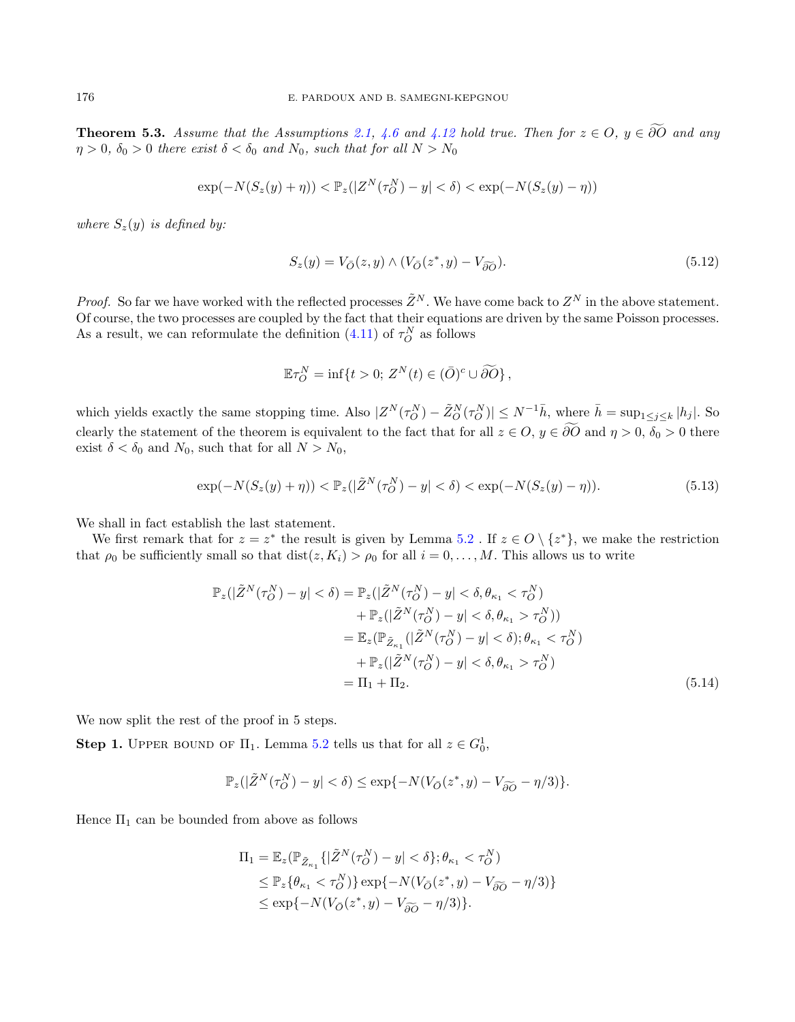<span id="page-28-0"></span>**Theorem 5.3.** Assume that the Assumptions [2.1,](#page-3-3) [4.6](#page-9-0) and [4.12](#page-14-0) hold true. Then for  $z \in O$ ,  $y \in \widetilde{\partial O}$  and any  $\eta > 0$ ,  $\delta_0 > 0$  there exist  $\delta < \delta_0$  and  $N_0$ , such that for all  $N > N_0$ 

$$
\exp(-N(S_z(y)+\eta)) < \mathbb{P}_z(|Z^N(\tau_O^N)-y| < \delta) < \exp(-N(S_z(y)-\eta))
$$

where  $S_z(y)$  is defined by:

<span id="page-28-1"></span>
$$
S_z(y) = V_{\overline{O}}(z, y) \wedge (V_{\overline{O}}(z^*, y) - V_{\widetilde{\partial O}}). \tag{5.12}
$$

*Proof.* So far we have worked with the reflected processes  $\tilde{Z}^N$ . We have come back to  $Z^N$  in the above statement. Of course, the two processes are coupled by the fact that their equations are driven by the same Poisson processes. As a result, we can reformulate the definition  $(4.11)$  of  $\tau_O^N$  as follows

$$
\mathbb{E}\tau_O^N = \inf\{t > 0; Z^N(t) \in (\bar{O})^c \cup \widetilde{\partial O}\},\,
$$

which yields exactly the same stopping time. Also  $|Z^N(\tau_O^N) - \tilde{Z}_O^N(\tau_O^N)| \le N^{-1} \bar{h}$ , where  $\bar{h} = \sup_{1 \le j \le k} |h_j|$ . So clearly the statement of the theorem is equivalent to the fact that for all  $z \in O$ ,  $y \in \widetilde{\partial O}$  and  $\eta > 0$ ,  $\delta_0 > 0$  there exist  $\delta < \delta_0$  and  $N_0$ , such that for all  $N > N_0$ ,

<span id="page-28-3"></span>
$$
\exp(-N(S_z(y) + \eta)) < \mathbb{P}_z(|\tilde{Z}^N(\tau_O^N) - y| < \delta) < \exp(-N(S_z(y) - \eta)).\tag{5.13}
$$

We shall in fact establish the last statement.

We first remark that for  $z = z^*$  the result is given by Lemma [5.2](#page-24-1). If  $z \in O \setminus \{z^*\}$ , we make the restriction that  $\rho_0$  be sufficiently small so that  $dist(z, K_i) > \rho_0$  for all  $i = 0, \ldots, M$ . This allows us to write

$$
\mathbb{P}_{z}(|\tilde{Z}^{N}(\tau_{O}^{N}) - y| < \delta) = \mathbb{P}_{z}(|\tilde{Z}^{N}(\tau_{O}^{N}) - y| < \delta, \theta_{\kappa_{1}} < \tau_{O}^{N}) \n+ \mathbb{P}_{z}(|\tilde{Z}^{N}(\tau_{O}^{N}) - y| < \delta, \theta_{\kappa_{1}} > \tau_{O}^{N})) \n= \mathbb{E}_{z}(\mathbb{P}_{\tilde{Z}_{\kappa_{1}}}(|\tilde{Z}^{N}(\tau_{O}^{N}) - y| < \delta); \theta_{\kappa_{1}} < \tau_{O}^{N}) \n+ \mathbb{P}_{z}(|\tilde{Z}^{N}(\tau_{O}^{N}) - y| < \delta, \theta_{\kappa_{1}} > \tau_{O}^{N}) \n= \Pi_{1} + \Pi_{2}.
$$
\n(5.14)

We now split the rest of the proof in 5 steps.

**Step 1.** UPPER BOUND OF  $\Pi_1$ . Lemma [5.2](#page-24-1) tells us that for all  $z \in G_0^1$ ,

<span id="page-28-2"></span>
$$
\mathbb{P}_z(|\tilde{Z}^N(\tau_O^N)-y|<\delta)\leq \exp\{-N(V_{\bar{O}}(z^*,y)-V_{\widetilde{\partial O}}-\eta/3)\}.
$$

Hence  $\Pi_1$  can be bounded from above as follows

$$
\Pi_1 = \mathbb{E}_z(\mathbb{P}_{\tilde{Z}_{\kappa_1}}\{|\tilde{Z}^N(\tau_O^N) - y| < \delta\}; \theta_{\kappa_1} < \tau_O^N) \\
\leq \mathbb{P}_z\{\theta_{\kappa_1} < \tau_O^N\} \exp\{-N(V_{\bar{O}}(z^*, y) - V_{\widetilde{\partial O}} - \eta/3)\} \\
\leq \exp\{-N(V_{\bar{O}}(z^*, y) - V_{\widetilde{\partial O}} - \eta/3)\}.
$$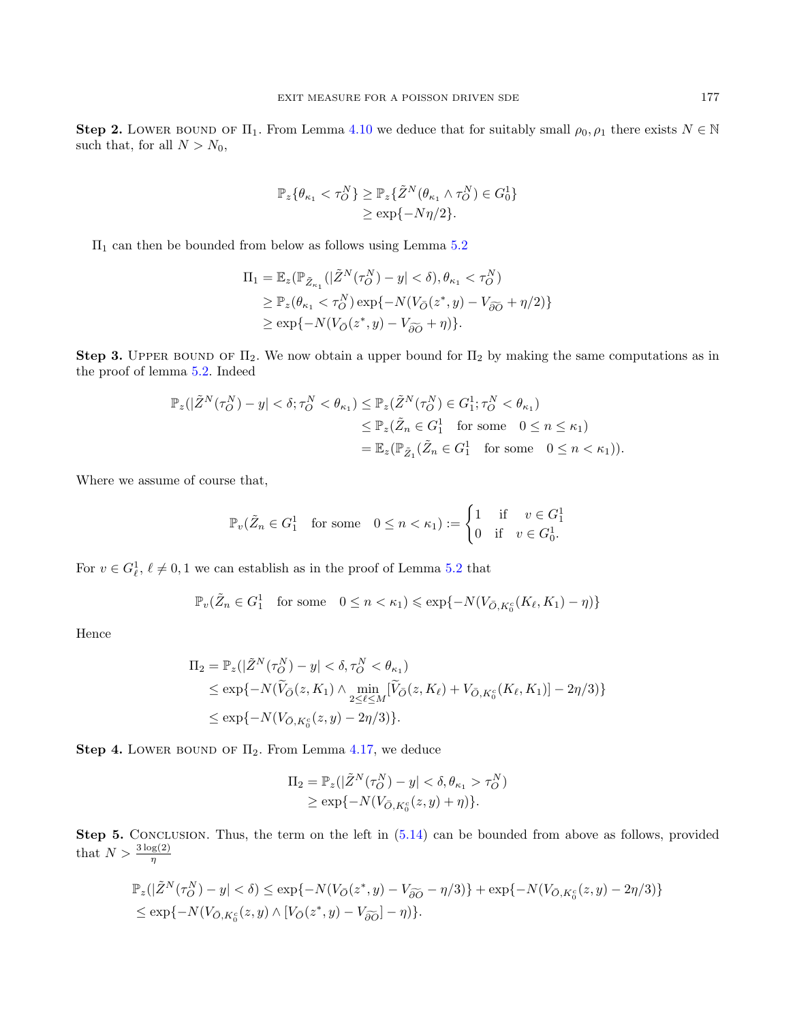Step 2. LOWER BOUND OF  $\Pi_1$ . From Lemma [4.10](#page-12-0) we deduce that for suitably small  $\rho_0$ ,  $\rho_1$  there exists  $N \in \mathbb{N}$ such that, for all  $N > N_0$ ,

$$
\mathbb{P}_z\{\theta_{\kappa_1} < \tau_O^N\} \ge \mathbb{P}_z\{\tilde{Z}^N(\theta_{\kappa_1} \wedge \tau_O^N) \in G_0^1\} \\
\ge \exp\{-N\eta/2\}.
$$

 $\Pi_1$  can then be bounded from below as follows using Lemma [5.2](#page-24-1)

$$
\Pi_1 = \mathbb{E}_z(\mathbb{P}_{\tilde{Z}_{\kappa_1}}(|\tilde{Z}^N(\tau_O^N) - y| < \delta), \theta_{\kappa_1} < \tau_O^N)
$$
  
\n
$$
\geq \mathbb{P}_z(\theta_{\kappa_1} < \tau_O^N) \exp\{-N(V_{\bar{O}}(z^*, y) - V_{\widetilde{\partial O}} + \eta/2)\}
$$
  
\n
$$
\geq \exp\{-N(V_{\bar{O}}(z^*, y) - V_{\widetilde{\partial O}} + \eta)\}.
$$

Step 3. UPPER BOUND OF  $\Pi_2$ . We now obtain a upper bound for  $\Pi_2$  by making the same computations as in the proof of lemma [5.2.](#page-24-1) Indeed

$$
\mathbb{P}_z(|\tilde{Z}^N(\tau_O^N) - y| < \delta; \tau_O^N < \theta_{\kappa_1}) \le \mathbb{P}_z(\tilde{Z}^N(\tau_O^N) \in G_1^1; \tau_O^N < \theta_{\kappa_1})
$$
\n
$$
\le \mathbb{P}_z(\tilde{Z}_n \in G_1^1 \quad \text{for some} \quad 0 \le n \le \kappa_1)
$$
\n
$$
= \mathbb{E}_z(\mathbb{P}_{\tilde{Z}_1}(\tilde{Z}_n \in G_1^1 \quad \text{for some} \quad 0 \le n < \kappa_1)).
$$

Where we assume of course that,

$$
\mathbb{P}_v(\tilde{Z}_n \in G_1^1 \quad \text{for some} \quad 0 \le n < \kappa_1) := \begin{cases} 1 & \text{if} \quad v \in G_1^1 \\ 0 & \text{if} \quad v \in G_0^1. \end{cases}
$$

For  $v \in G_{\ell}^1$ ,  $\ell \neq 0, 1$  we can establish as in the proof of Lemma [5.2](#page-24-1) that

$$
\mathbb{P}_v(\tilde{Z}_n \in G_1^1 \quad \text{for some} \quad 0 \leq n < \kappa_1) \leqslant \exp\{-N(V_{\bar{O},K_0^c}(K_\ell,K_1) - \eta)\}
$$

Hence

$$
\Pi_2 = \mathbb{P}_z(|\tilde{Z}^N(\tau_0^N) - y| < \delta, \tau_0^N < \theta_{\kappa_1})
$$
\n
$$
\leq \exp\{-N(\tilde{V}_{\bar{O}}(z, K_1) \wedge \min_{2 \leq \ell \leq M} [\tilde{V}_{\bar{O}}(z, K_{\ell}) + V_{\bar{O}, K_0^c}(K_{\ell}, K_1)] - 2\eta/3)\}
$$
\n
$$
\leq \exp\{-N(V_{\bar{O}, K_0^c}(z, y) - 2\eta/3)\}.
$$

Step 4. LOWER BOUND OF  $\Pi_2$ . From Lemma [4.17,](#page-18-1) we deduce

$$
\Pi_2 = \mathbb{P}_z(|\tilde{Z}^N(\tau_O^N) - y| < \delta, \theta_{\kappa_1} > \tau_O^N) \\
\ge \exp\{-N(V_{\bar{O},K_0^c}(z,y) + \eta)\}.
$$

Step 5. CONCLUSION. Thus, the term on the left in  $(5.14)$  can be bounded from above as follows, provided that  $N > \frac{3 \log(2)}{\eta}$ 

$$
\mathbb{P}_z(|\tilde{Z}^N(\tau_O^N) - y| < \delta) \le \exp\{-N(V_{\bar{O}}(z^*, y) - V_{\widetilde{\partial O}} - \eta/3)\} + \exp\{-N(V_{\bar{O}, K_0^c}(z, y) - 2\eta/3)\} \\
\le \exp\{-N(V_{\bar{O}, K_0^c}(z, y) \wedge [V_{\bar{O}}(z^*, y) - V_{\widetilde{\partial O}}] - \eta)\}.
$$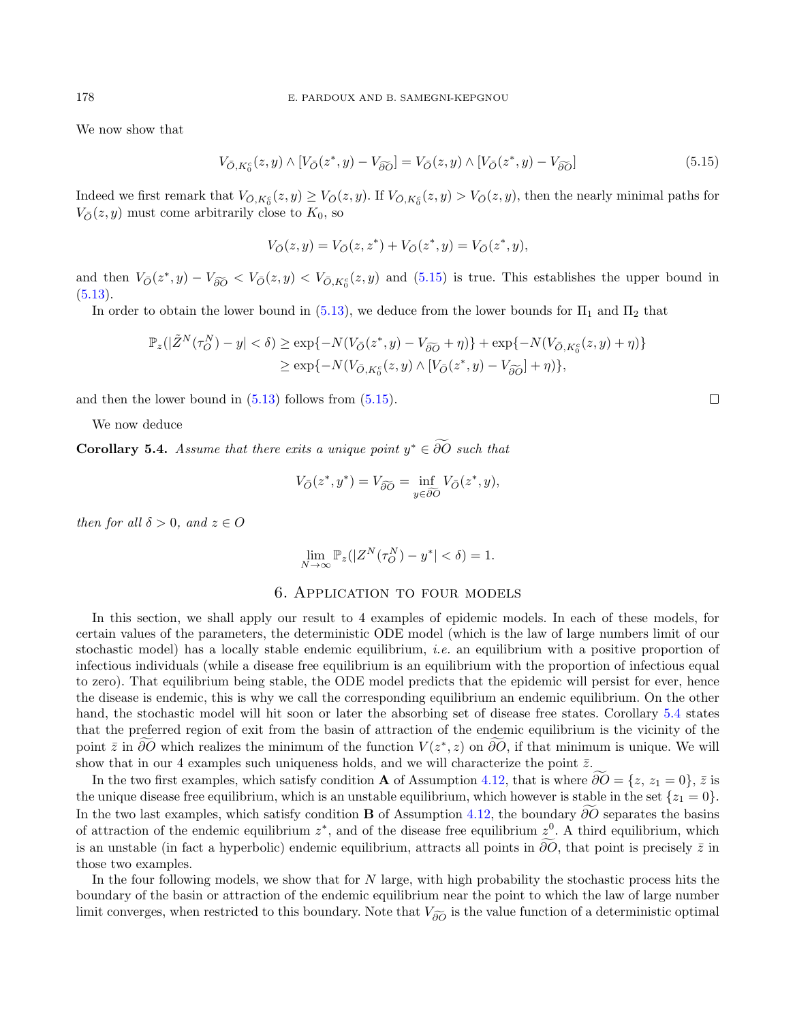We now show that

<span id="page-30-1"></span>
$$
V_{\bar{O},K_0^c}(z,y) \wedge [V_{\bar{O}}(z^*,y) - V_{\widetilde{\partial O}}] = V_{\bar{O}}(z,y) \wedge [V_{\bar{O}}(z^*,y) - V_{\widetilde{\partial O}}]
$$
(5.15)

Indeed we first remark that  $V_{\bar{O}, K_0^c}(z, y) \geq V_{\bar{O}}(z, y)$ . If  $V_{\bar{O}, K_0^c}(z, y) > V_{\bar{O}}(z, y)$ , then the nearly minimal paths for  $V_{\bar{O}}(z, y)$  must come arbitrarily close to  $K_0$ , so

$$
V_{\bar O}(z,y) = V_{\bar O}(z,z^*) + V_{\bar O}(z^*,y) = V_{\bar O}(z^*,y),
$$

and then  $V_{\bar{O}}(z^*, y) - V_{\widetilde{\partial O}} \langle V_{\bar{O}}(z, y) \rangle \langle V_{\bar{O}, K_0^c}(z, y) \rangle$  and  $(5.15)$  is true. This establishes the upper bound in  $(5.13).$  $(5.13).$ 

In order to obtain the lower bound in [\(5.13\)](#page-28-3), we deduce from the lower bounds for  $\Pi_1$  and  $\Pi_2$  that

$$
\mathbb{P}_z(|\tilde{Z}^N(\tau_O^N) - y| < \delta) \ge \exp\{-N(V_{\bar{O}}(z^*, y) - V_{\widetilde{\partial O}} + \eta)\} + \exp\{-N(V_{\bar{O}, K_0^c}(z, y) + \eta)\}\n\n\ge \exp\{-N(V_{\bar{O}, K_0^c}(z, y) \wedge [V_{\bar{O}}(z^*, y) - V_{\widetilde{\partial O}}] + \eta)\},
$$

and then the lower bound in [\(5.13\)](#page-28-3) follows from [\(5.15\)](#page-30-1).

We now deduce

<span id="page-30-2"></span>**Corollary 5.4.** Assume that there exits a unique point  $y^* \in \partial O$  such that

$$
V_{\overline{O}}(z^*, y^*) = V_{\widetilde{\partial O}} = \inf_{y \in \widetilde{\partial O}} V_{\overline{O}}(z^*, y),
$$

then for all  $\delta > 0$ , and  $z \in O$ 

$$
\lim_{N \to \infty} \mathbb{P}_z(|Z^N(\tau_O^N) - y^*| < \delta) = 1.
$$

#### 6. Application to four models

<span id="page-30-0"></span>In this section, we shall apply our result to 4 examples of epidemic models. In each of these models, for certain values of the parameters, the deterministic ODE model (which is the law of large numbers limit of our stochastic model) has a locally stable endemic equilibrium, *i.e.* an equilibrium with a positive proportion of infectious individuals (while a disease free equilibrium is an equilibrium with the proportion of infectious equal to zero). That equilibrium being stable, the ODE model predicts that the epidemic will persist for ever, hence the disease is endemic, this is why we call the corresponding equilibrium an endemic equilibrium. On the other hand, the stochastic model will hit soon or later the absorbing set of disease free states. Corollary [5.4](#page-30-2) states that the preferred region of exit from the basin of attraction of the endemic equilibrium is the vicinity of the point  $\bar{z}$  in ∂O which realizes the minimum of the function  $V(z^*, z)$  on ∂O, if that minimum is unique. We will show that in our 4 examples such uniqueness holds, and we will characterize the point  $\bar{z}$ .

In the two first examples, which satisfy condition **A** of Assumption [4.12,](#page-14-0) that is where  $\partial O = \{z, z_1 = 0\}, \bar{z}$  is the unique disease free equilibrium, which is an unstable equilibrium, which however is stable in the set  $\{z_1 = 0\}.$ In the two last examples, which satisfy condition **B** of Assumption [4.12,](#page-14-0) the boundary  $\widetilde{\partial}\overline{O}$  separates the basins of attraction of the endemic equilibrium  $z^*$ , and of the disease free equilibrium  $z^0$ . A third equilibrium, which is an unstable (in fact a hyperbolic) endemic equilibrium, attracts all points in  $\partial\overline{O}$ , that point is precisely  $\overline{z}$  in those two examples.

In the four following models, we show that for N large, with high probability the stochastic process hits the boundary of the basin or attraction of the endemic equilibrium near the point to which the law of large number limit converges, when restricted to this boundary. Note that  $V_{\tilde{\rho}\tilde{\rho}}$  is the value function of a deterministic optimal

 $\Box$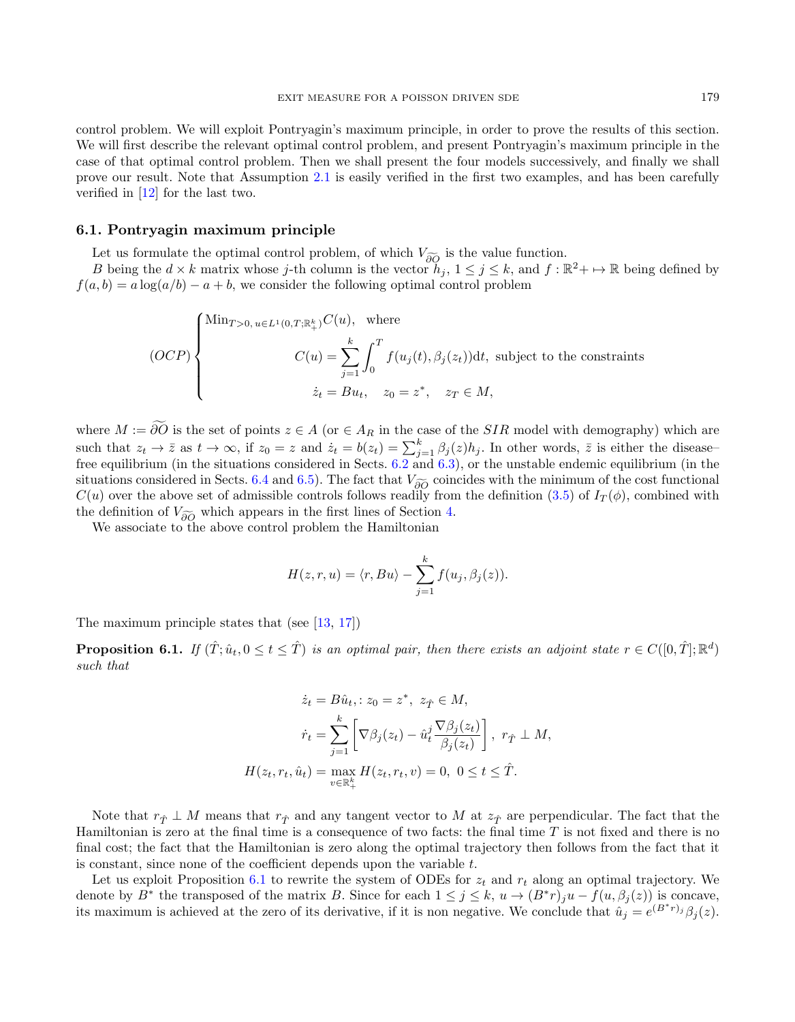control problem. We will exploit Pontryagin's maximum principle, in order to prove the results of this section. We will first describe the relevant optimal control problem, and present Pontryagin's maximum principle in the case of that optimal control problem. Then we shall present the four models successively, and finally we shall prove our result. Note that Assumption [2.1](#page-3-3) is easily verified in the first two examples, and has been carefully verified in [\[12\]](#page-37-7) for the last two.

#### <span id="page-31-1"></span>6.1. Pontryagin maximum principle

Let us formulate the optimal control problem, of which  $V_{\widetilde{\partial O}}$  is the value function.

B being the  $d \times k$  matrix whose j-th column is the vector  $h_j$ ,  $1 \leq j \leq k$ , and  $f : \mathbb{R}^2 \to \mathbb{R}$  being defined by  $f(a, b) = a \log(a/b) - a + b$ , we consider the following optimal control problem

$$
(OCP)\begin{cases} \text{Min}_{T>0,\,u\in L^1(0,T;\mathbb{R}^k_+)}C(u),\ \ \, \text{where}\\ \qquad \qquad C(u)=\sum_{j=1}^k\int_0^Tf(u_j(t),\beta_j(z_t))\mathrm{d} t,\,\,\text{subject to the constraints}\\ \qquad \qquad \dot{z}_t=Bu_t,\quad z_0=z^*,\quad z_T\in M, \end{cases}
$$

where  $M := \widetilde{\partial O}$  is the set of points  $z \in A$  (or  $\in A_R$  in the case of the SIR model with demography) which are such that  $z_t \to \overline{z}$  as  $t \to \infty$ , if  $z_0 = z$  and  $\dot{z}_t = b(z_t) = \sum_{j=1}^k \beta_j(z) h_j$ . In other words,  $\overline{z}$  is either the diseasefree equilibrium (in the situations considered in Sects. [6.2](#page-32-0) and [6.3\)](#page-33-0), or the unstable endemic equilibrium (in the situations considered in Sects. [6.4](#page-33-1) and [6.5\)](#page-35-0). The fact that  $V_{\delta\widetilde{O}}$  coincides with the minimum of the cost functional  $C(u)$  over the above set of admissible controls follows readily from the definition [\(3.5\)](#page-4-0) of  $I_T(\phi)$ , combined with the definition of  $V_{\widetilde{\partial\Omega}}$  which appears in the first lines of Section [4.](#page-6-0)

We associate to the above control problem the Hamiltonian

$$
H(z,r,u) = \langle r, Bu \rangle - \sum_{j=1}^{k} f(u_j, \beta_j(z)).
$$

The maximum principle states that (see [\[13,](#page-37-11) [17\]](#page-37-12))

<span id="page-31-0"></span>**Proposition 6.1.** If  $(\hat{T}; \hat{u}_t, 0 \le t \le \hat{T})$  is an optimal pair, then there exists an adjoint state  $r \in C([0,\hat{T}];\mathbb{R}^d)$ such that

$$
\dot{z}_t = B\hat{u}_t, \quad z_0 = z^*, \quad z_{\hat{T}} \in M,
$$

$$
\dot{r}_t = \sum_{j=1}^k \left[ \nabla \beta_j(z_t) - \hat{u}_t^j \frac{\nabla \beta_j(z_t)}{\beta_j(z_t)} \right], \quad r_{\hat{T}} \perp M,
$$

$$
H(z_t, r_t, \hat{u}_t) = \max_{v \in \mathbb{R}_+^k} H(z_t, r_t, v) = 0, \quad 0 \le t \le \hat{T}.
$$

Note that  $r_{\hat{T}} \perp M$  means that  $r_{\hat{T}}$  and any tangent vector to M at  $z_{\hat{T}}$  are perpendicular. The fact that the Hamiltonian is zero at the final time is a consequence of two facts: the final time T is not fixed and there is no final cost; the fact that the Hamiltonian is zero along the optimal trajectory then follows from the fact that it is constant, since none of the coefficient depends upon the variable  $t$ .

Let us exploit Proposition [6.1](#page-31-0) to rewrite the system of ODEs for  $z_t$  and  $r_t$  along an optimal trajectory. We denote by  $B^*$  the transposed of the matrix B. Since for each  $1 \leq j \leq k$ ,  $u \to (B^*r)_ju - f(u, \beta_j(z))$  is concave, its maximum is achieved at the zero of its derivative, if it is non negative. We conclude that  $\hat{u}_j = e^{(B^*r)_j} \beta_j(z)$ .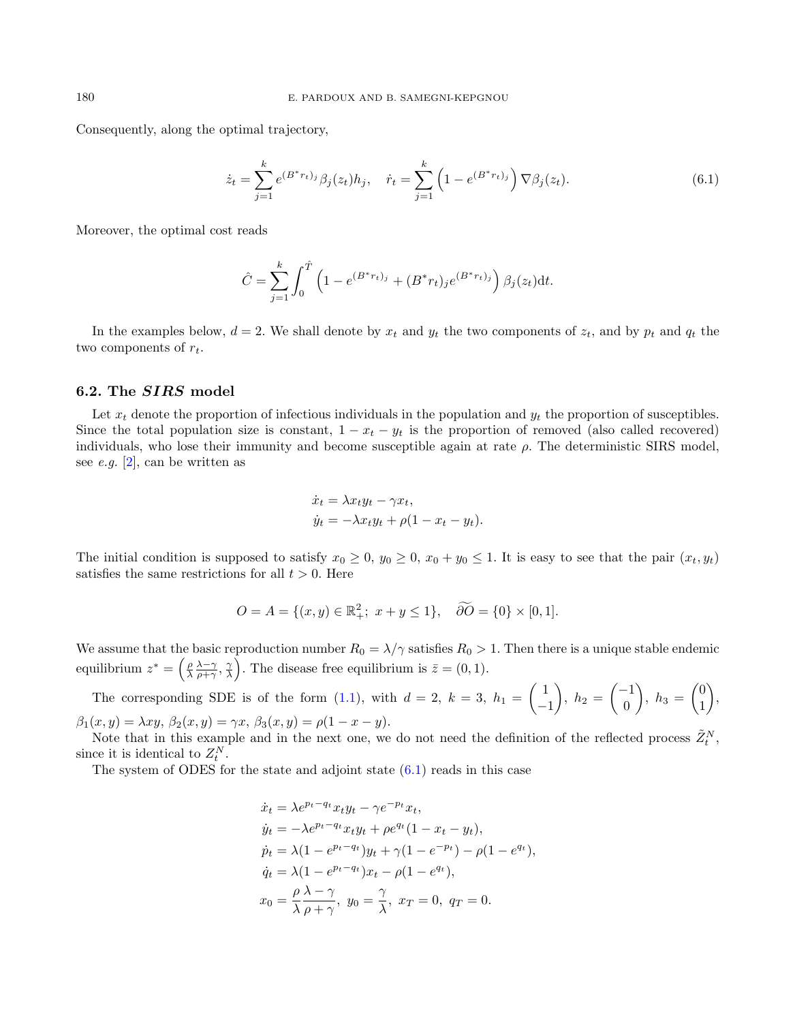Consequently, along the optimal trajectory,

<span id="page-32-1"></span>
$$
\dot{z}_t = \sum_{j=1}^k e^{(B^*r_t)_j} \beta_j(z_t) h_j, \quad \dot{r}_t = \sum_{j=1}^k \left( 1 - e^{(B^*r_t)_j} \right) \nabla \beta_j(z_t). \tag{6.1}
$$

Moreover, the optimal cost reads

$$
\hat{C} = \sum_{j=1}^{k} \int_0^{\hat{T}} \left( 1 - e^{(B^*r_t)_j} + (B^*r_t)_j e^{(B^*r_t)_j} \right) \beta_j(z_t) dt.
$$

In the examples below,  $d = 2$ . We shall denote by  $x_t$  and  $y_t$  the two components of  $z_t$ , and by  $p_t$  and  $q_t$  the two components of  $r_t$ .

## <span id="page-32-0"></span>6.2. The SIRS model

Let  $x_t$  denote the proportion of infectious individuals in the population and  $y_t$  the proportion of susceptibles. Since the total population size is constant,  $1 - x_t - y_t$  is the proportion of removed (also called recovered) individuals, who lose their immunity and become susceptible again at rate  $\rho$ . The deterministic SIRS model, see e.g.  $[2]$ , can be written as

$$
\dot{x}_t = \lambda x_t y_t - \gamma x_t,
$$
  
\n
$$
\dot{y}_t = -\lambda x_t y_t + \rho (1 - x_t - y_t).
$$

The initial condition is supposed to satisfy  $x_0 \ge 0$ ,  $y_0 \ge 0$ ,  $x_0 + y_0 \le 1$ . It is easy to see that the pair  $(x_t, y_t)$ satisfies the same restrictions for all  $t > 0$ . Here

$$
O = A = \{(x, y) \in \mathbb{R}^2_+; \ x + y \le 1\}, \quad \widetilde{\partial O} = \{0\} \times [0, 1].
$$

We assume that the basic reproduction number  $R_0 = \lambda/\gamma$  satisfies  $R_0 > 1$ . Then there is a unique stable endemic equilibrium  $z^* = \left(\frac{\rho}{\lambda} \frac{\lambda - \gamma}{\rho + \gamma}, \frac{\gamma}{\lambda}\right)$ . The disease free equilibrium is  $\bar{z} = (0, 1)$ .

The corresponding SDE is of the form [\(1.1\)](#page-0-1), with  $d=2, k=3, h_1=\begin{pmatrix} 1 \end{pmatrix}$ −1  $\bigg), h_2 = \begin{pmatrix} -1 \\ 0 \end{pmatrix}$  $\boldsymbol{0}$  $\Big), h_3 = \begin{pmatrix} 0 \\ 1 \end{pmatrix}$ 1  $\bigg),$  $\beta_1(x, y) = \lambda xy, \ \beta_2(x, y) = \gamma x, \ \beta_3(x, y) = \rho(1 - x - y).$ 

Note that in this example and in the next one, we do not need the definition of the reflected process  $\tilde{Z}^N_t$ , since it is identical to  $Z_t^N$ .

The system of ODES for the state and adjoint state  $(6.1)$  reads in this case

$$
\dot{x}_t = \lambda e^{p_t - q_t} x_t y_t - \gamma e^{-p_t} x_t,
$$
  
\n
$$
\dot{y}_t = -\lambda e^{p_t - q_t} x_t y_t + \rho e^{q_t} (1 - x_t - y_t),
$$
  
\n
$$
\dot{p}_t = \lambda (1 - e^{p_t - q_t}) y_t + \gamma (1 - e^{-p_t}) - \rho (1 - e^{q_t}),
$$
  
\n
$$
\dot{q}_t = \lambda (1 - e^{p_t - q_t}) x_t - \rho (1 - e^{q_t}),
$$
  
\n
$$
x_0 = \frac{\rho}{\lambda} \frac{\lambda - \gamma}{\rho + \gamma}, \ y_0 = \frac{\gamma}{\lambda}, \ x_T = 0, \ q_T = 0.
$$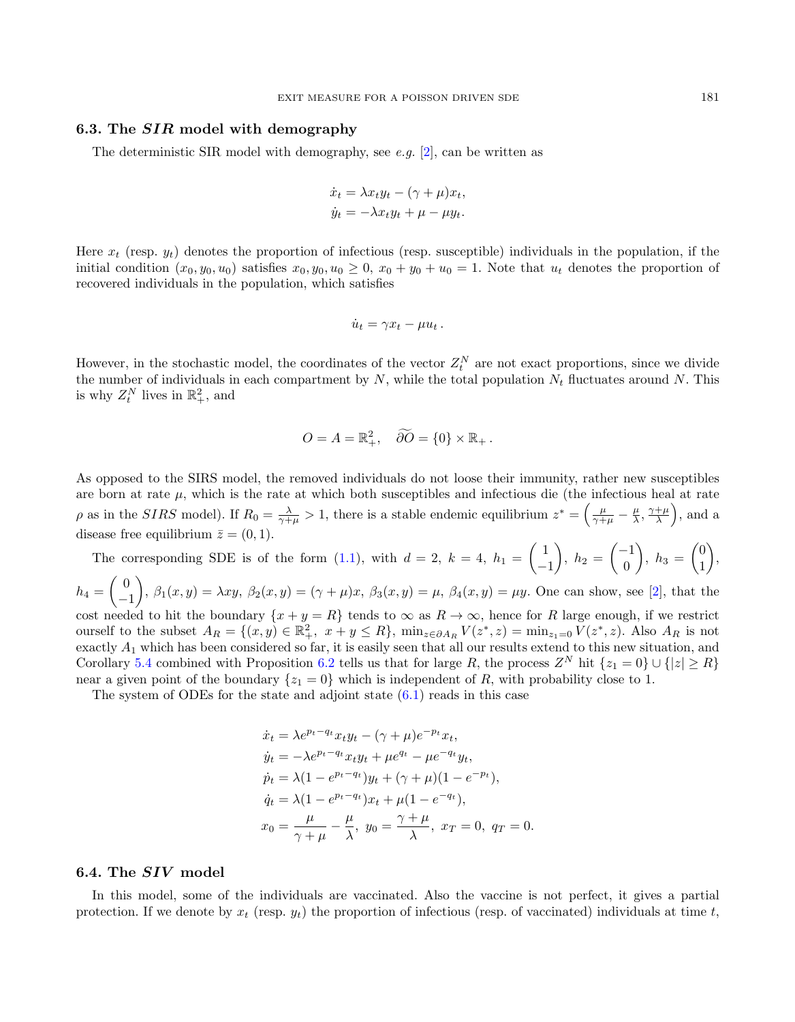#### <span id="page-33-0"></span>6.3. The SIR model with demography

The deterministic SIR model with demography, see e.g. [\[2\]](#page-37-2), can be written as

$$
\dot{x}_t = \lambda x_t y_t - (\gamma + \mu) x_t,
$$
  
\n
$$
\dot{y}_t = -\lambda x_t y_t + \mu - \mu y_t.
$$

Here  $x_t$  (resp.  $y_t$ ) denotes the proportion of infectious (resp. susceptible) individuals in the population, if the initial condition  $(x_0, y_0, u_0)$  satisfies  $x_0, y_0, u_0 \geq 0$ ,  $x_0 + y_0 + u_0 = 1$ . Note that  $u_t$  denotes the proportion of recovered individuals in the population, which satisfies

$$
\dot{u}_t = \gamma x_t - \mu u_t.
$$

However, in the stochastic model, the coordinates of the vector  $Z_t^N$  are not exact proportions, since we divide the number of individuals in each compartment by  $N$ , while the total population  $N_t$  fluctuates around N. This is why  $Z_t^N$  lives in  $\mathbb{R}^2_+$ , and

$$
O = A = \mathbb{R}^2_+, \quad \widetilde{\partial O} = \{0\} \times \mathbb{R}_+.
$$

As opposed to the SIRS model, the removed individuals do not loose their immunity, rather new susceptibles are born at rate  $\mu$ , which is the rate at which both susceptibles and infectious die (the infectious heal at rate  $\rho$  as in the *SIRS* model). If  $R_0 = \frac{\lambda}{\gamma + \mu} > 1$ , there is a stable endemic equilibrium  $z^* = \left(\frac{\mu}{\gamma + \mu} - \frac{\mu}{\lambda}, \frac{\gamma + \mu}{\lambda}\right)$ , and a disease free equilibrium  $\bar{z} = (0, 1)$ .

The corresponding SDE is of the form [\(1.1\)](#page-0-1), with  $d=2, k=4, h_1=\begin{pmatrix} 1 \end{pmatrix}$ −1 ),  $h_2 = \begin{pmatrix} -1 \\ 0 \end{pmatrix}$ 0  $\Big), h_3 = \begin{pmatrix} 0 \\ 1 \end{pmatrix}$ 1  $\bigg),$  $h_4=\begin{pmatrix} 0 \ 0 \end{pmatrix}$ −1 ,  $\beta_1(x,y) = \lambda xy$ ,  $\beta_2(x,y) = (\gamma + \mu)x$ ,  $\beta_3(x,y) = \mu$ ,  $\beta_4(x,y) = \mu y$ . One can show, see [\[2\]](#page-37-2), that the cost needed to hit the boundary  $\{x + y = R\}$  tends to  $\infty$  as  $R \to \infty$ , hence for R large enough, if we restrict ourself to the subset  $A_R = \{(x, y) \in \mathbb{R}^2_+, x + y \le R\}$ ,  $\min_{z \in \partial A_R} V(z^*, z) = \min_{z_1 = 0} V(z^*, z)$ . Also  $A_R$  is not exactly A<sup>1</sup> which has been considered so far, it is easily seen that all our results extend to this new situation, and Corollary [5.4](#page-30-2) combined with Proposition [6.2](#page-36-0) tells us that for large R, the process  $Z^N$  hit  $\{z_1 = 0\} \cup \{|z| \geq R\}$ 

near a given point of the boundary  $\{z_1 = 0\}$  which is independent of R, with probability close to 1.

The system of ODEs for the state and adjoint state  $(6.1)$  reads in this case

$$
\dot{x}_t = \lambda e^{p_t - q_t} x_t y_t - (\gamma + \mu) e^{-p_t} x_t,
$$
  
\n
$$
\dot{y}_t = -\lambda e^{p_t - q_t} x_t y_t + \mu e^{q_t} - \mu e^{-q_t} y_t,
$$
  
\n
$$
\dot{p}_t = \lambda (1 - e^{p_t - q_t}) y_t + (\gamma + \mu) (1 - e^{-p_t}),
$$
  
\n
$$
\dot{q}_t = \lambda (1 - e^{p_t - q_t}) x_t + \mu (1 - e^{-q_t}),
$$
  
\n
$$
x_0 = \frac{\mu}{\gamma + \mu} - \frac{\mu}{\lambda}, \ y_0 = \frac{\gamma + \mu}{\lambda}, \ x_T = 0, \ q_T = 0.
$$

#### <span id="page-33-1"></span>6.4. The SIV model

In this model, some of the individuals are vaccinated. Also the vaccine is not perfect, it gives a partial protection. If we denote by  $x_t$  (resp.  $y_t$ ) the proportion of infectious (resp. of vaccinated) individuals at time t,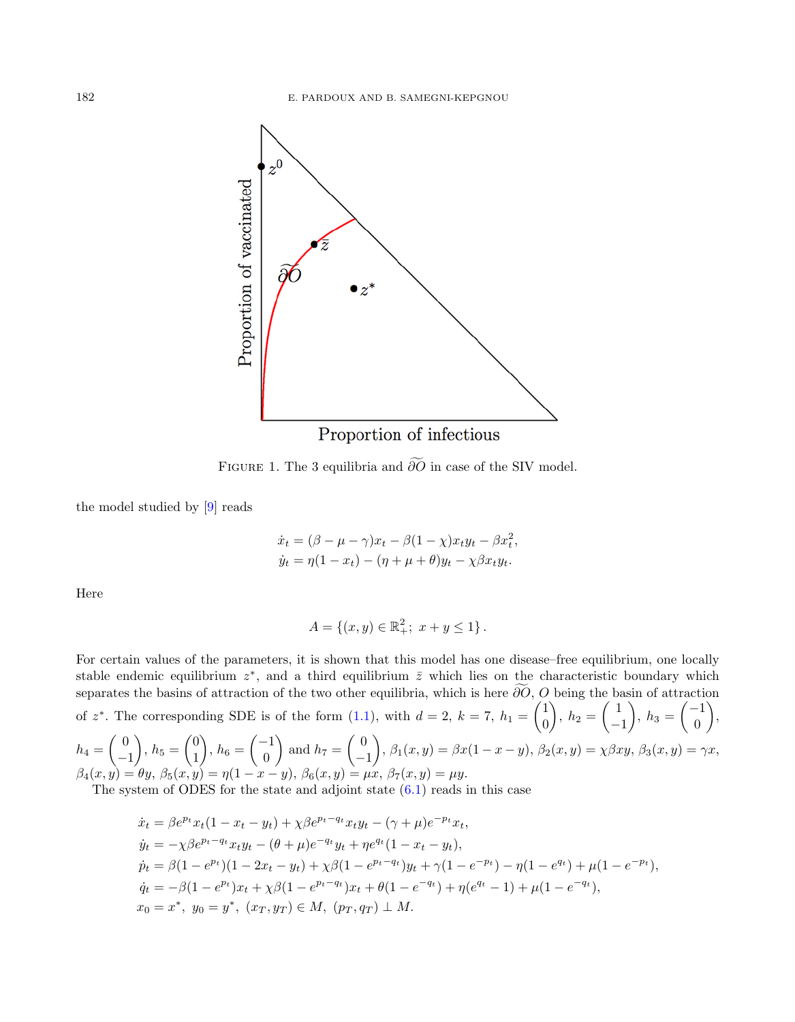

<span id="page-34-0"></span>FIGURE 1. The 3 equilibria and  $\widetilde{\partial O}$  in case of the SIV model.

the model studied by [\[9\]](#page-37-13) reads

$$
\dot{x}_t = (\beta - \mu - \gamma)x_t - \beta(1 - \chi)x_ty_t - \beta x_t^2,
$$
  
\n
$$
\dot{y}_t = \eta(1 - x_t) - (\eta + \mu + \theta)y_t - \chi\beta x_ty_t.
$$

Here

$$
A = \{(x, y) \in \mathbb{R}^2_+; \ x + y \le 1\}.
$$

For certain values of the parameters, it is shown that this model has one disease–free equilibrium, one locally stable endemic equilibrium  $z^*$ , and a third equilibrium  $\overline{z}$  which lies on the characteristic boundary which separates the basins of attraction of the two other equilibria, which is here  $\widetilde{\partial O}$ , O being the basin of attraction of  $z^*$ . The corresponding SDE is of the form [\(1.1\)](#page-0-1), with  $d=2$ ,  $k=7$ ,  $h_1=\begin{pmatrix} 1 & 0 \\ 0 & 1 \end{pmatrix}$ 0  $\bigg), h_2 = \left( \begin{array}{c} 1 \end{array} \right)$ −1  $\bigg), h_3 = \begin{pmatrix} -1 \\ 0 \end{pmatrix}$ 0  $\bigg),$  $h_4=\begin{pmatrix}0 \end{pmatrix}$  $\Big), h_5 = \begin{pmatrix} 0 \\ 1 \end{pmatrix}$  $\bigg), h_6 = \begin{pmatrix} -1 \\ 0 \end{pmatrix}$ ) and  $h_7 = \begin{pmatrix} 0 \\ -1 \end{pmatrix}$  $\bigg), \beta_1(x,y) = \beta x(1-x-y), \beta_2(x,y) = \chi \beta xy, \beta_3(x,y) = \gamma x,$ 

$$
h_4 = \begin{pmatrix} 1 \\ -1 \end{pmatrix}, h_5 = \begin{pmatrix} 1 \\ 1 \end{pmatrix}, h_6 = \begin{pmatrix} 0 \\ 0 \end{pmatrix} \text{ and } h_7 = \begin{pmatrix} -1 \\ -1 \end{pmatrix}, h_1(x, y) = h_2(x, y) = h_3(x, y) = h_4(x, y) = h_5(x, y) = h_6(x, y) = h_7(x, y) = h_7(x, y) = h_7(x, y) = h_7(x, y) = h_7(x, y) = h_7(x, y) = h_7(x, y) = h_7(x, y) = h_7(x, y) = h_7(x, y) = h_7(x, y) = h_7(x, y) = h_7(x, y) = h_7(x, y) = h_7(x, y) = h_7(x, y) = h_7(x, y) = h_7(x, y) = h_7(x, y) = h_7(x, y) = h_7(x, y) = h_7(x, y) = h_7(x, y) = h_7(x, y) = h_7(x, y) = h_7(x, y) = h_7(x, y) = h_7(x, y) = h_7(x, y) = h_7(x, y) = h_7(x, y) = h_7(x, y) = h_7(x, y) = h_7(x, y) = h_7(x, y) = h_7(x, y) = h_7(x, y) = h_7(x, y) = h_7(x, y) = h_7(x, y) = h_7(x, y) = h_7(x, y) = h_7(x, y) = h_7(x, y) = h_7(x, y) = h_7(x, y) = h_7(x, y) = h_7(x, y) = h_7(x, y) = h_7(x, y) = h_7(x, y) = h_7(x, y) = h_7(x, y) = h_7(x, y) = h_7(x, y) = h_7(x, y) = h_7(x, y) = h_7(x, y) = h_7(x, y) = h_7(x, y) = h_7(x, y) = h_7(x, y) = h_7(x, y) = h_7(x, y) = h_7(x, y) = h_7(x, y) = h_7(x, y) = h_7(x, y) = h_7(x, y) = h_7(x, y) = h_7(x, y) = h_7(x, y) = h_7(x, y) = h_7(x, y) = h_7(x, y) = h_7(x, y) = h_7(x, y) = h_7(x, y
$$

The system of ODES for the state and adjoint state  $(6.1)$  reads in this case

$$
\begin{aligned}\n\dot{x}_t &= \beta e^{p_t} x_t (1 - x_t - y_t) + \chi \beta e^{p_t - q_t} x_t y_t - (\gamma + \mu) e^{-p_t} x_t, \\
\dot{y}_t &= -\chi \beta e^{p_t - q_t} x_t y_t - (\theta + \mu) e^{-q_t} y_t + \eta e^{q_t} (1 - x_t - y_t), \\
\dot{p}_t &= \beta (1 - e^{p_t}) (1 - 2x_t - y_t) + \chi \beta (1 - e^{p_t - q_t}) y_t + \gamma (1 - e^{-p_t}) - \eta (1 - e^{q_t}) + \mu (1 - e^{-p_t}), \\
\dot{q}_t &= -\beta (1 - e^{p_t}) x_t + \chi \beta (1 - e^{p_t - q_t}) x_t + \theta (1 - e^{-q_t}) + \eta (e^{q_t} - 1) + \mu (1 - e^{-q_t}), \\
x_0 &= x^*, y_0 = y^*, (x_T, y_T) \in M, (p_T, q_T) \perp M.\n\end{aligned}
$$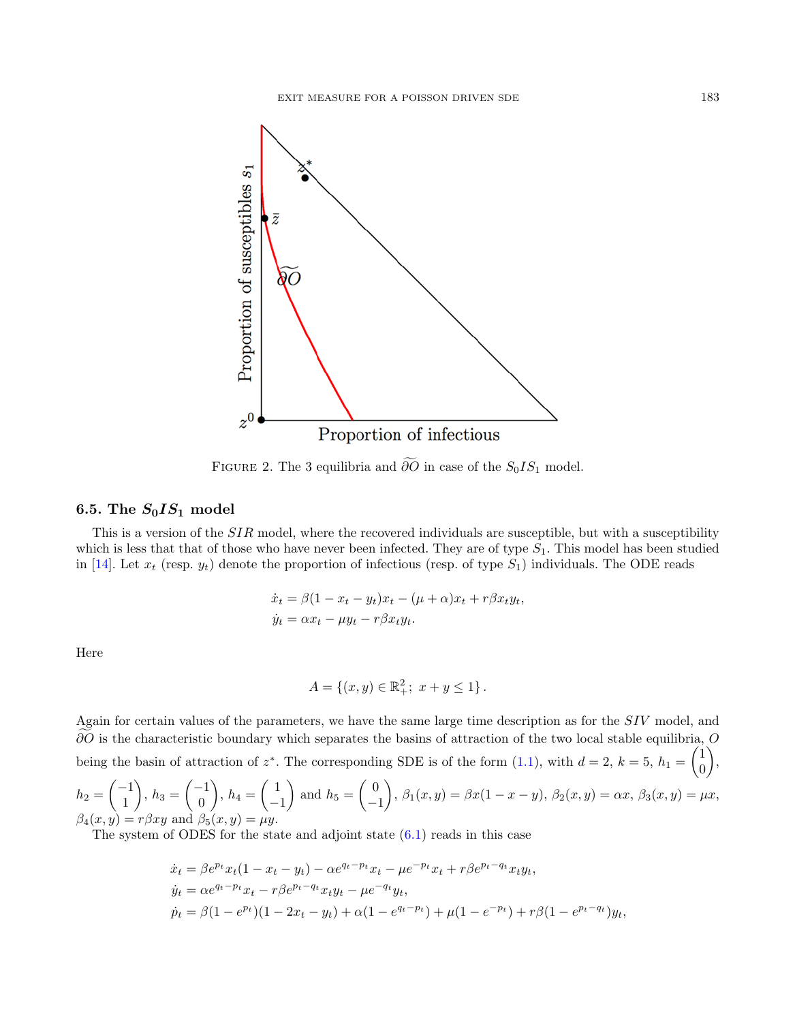

<span id="page-35-1"></span>FIGURE 2. The 3 equilibria and  $\widetilde{\partial O}$  in case of the  $S_0IS_1$  model.

## <span id="page-35-0"></span>6.5. The  $S_0IS_1$  model

This is a version of the SIR model, where the recovered individuals are susceptible, but with a susceptibility which is less that that of those who have never been infected. They are of type  $S_1$ . This model has been studied in [\[14\]](#page-37-14). Let  $x_t$  (resp.  $y_t$ ) denote the proportion of infectious (resp. of type  $S_1$ ) individuals. The ODE reads

$$
\dot{x}_t = \beta(1 - x_t - y_t)x_t - (\mu + \alpha)x_t + r\beta x_t y_t,
$$
  
\n
$$
\dot{y}_t = \alpha x_t - \mu y_t - r\beta x_t y_t.
$$

Here

$$
A = \{(x, y) \in \mathbb{R}^2_+; \ x + y \le 1\}.
$$

Again for certain values of the parameters, we have the same large time description as for the SIV model, and  $\partial$ O is the characteristic boundary which separates the basins of attraction of the two local stable equilibria, O being the basin of attraction of  $z^*$ . The corresponding SDE is of the form [\(1.1\)](#page-0-1), with  $d=2$ ,  $k=5$ ,  $h_1=\begin{pmatrix} 1 & 0 \\ 0 & 1 \end{pmatrix}$  $\theta$  $\big)$ ,

$$
h_2 = \begin{pmatrix} -1 \\ 1 \end{pmatrix}, h_3 = \begin{pmatrix} -1 \\ 0 \end{pmatrix}, h_4 = \begin{pmatrix} 1 \\ -1 \end{pmatrix} \text{ and } h_5 = \begin{pmatrix} 0 \\ -1 \end{pmatrix}, \beta_1(x, y) = \beta x (1 - x - y), \beta_2(x, y) = \alpha x, \beta_3(x, y) = \mu x, \beta_4(x, y) = r \beta x y \text{ and } \beta_5(x, y) = \mu y.
$$

The system of ODES for the state and adjoint state  $(6.1)$  reads in this case

$$
\begin{aligned} \dot{x}_t &= \beta e^{p_t} x_t (1 - x_t - y_t) - \alpha e^{q_t - p_t} x_t - \mu e^{-p_t} x_t + r \beta e^{p_t - q_t} x_t y_t, \\ \dot{y}_t &= \alpha e^{q_t - p_t} x_t - r \beta e^{p_t - q_t} x_t y_t - \mu e^{-q_t} y_t, \\ \dot{p}_t &= \beta (1 - e^{p_t}) (1 - 2x_t - y_t) + \alpha (1 - e^{q_t - p_t}) + \mu (1 - e^{-p_t}) + r \beta (1 - e^{p_t - q_t}) y_t, \end{aligned}
$$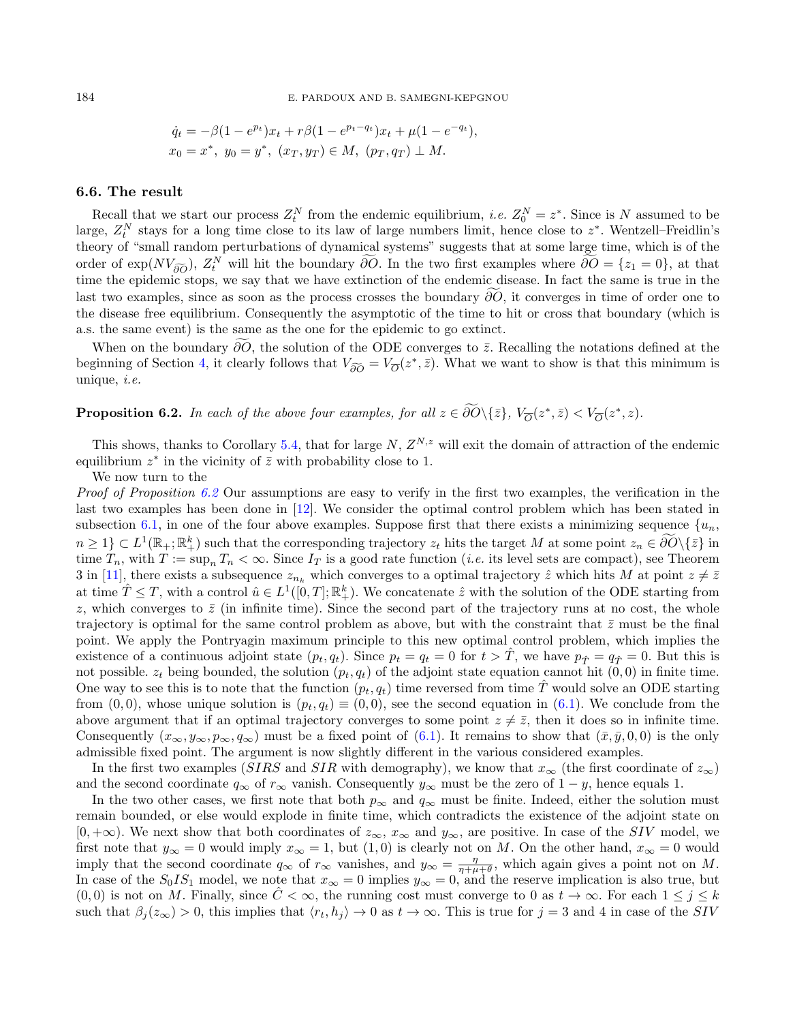$$
\dot{q}_t = -\beta (1 - e^{p_t}) x_t + r\beta (1 - e^{p_t - q_t}) x_t + \mu (1 - e^{-q_t}),
$$
  

$$
x_0 = x^*, y_0 = y^*, (x_T, y_T) \in M, (p_T, q_T) \perp M.
$$

### 6.6. The result

Recall that we start our process  $Z_t^N$  from the endemic equilibrium, *i.e.*  $Z_0^N = z^*$ . Since is N assumed to be large,  $Z_t^N$  stays for a long time close to its law of large numbers limit, hence close to  $z^*$ . Wentzell–Freidlin's theory of "small random perturbations of dynamical systems" suggests that at some large time, which is of the order of  $\exp(NV_{\widetilde{\partial}\widetilde{O}})$ ,  $Z_t^N$  will hit the boundary  $\partial\widetilde{O}$ . In the two first examples where  $\partial\widetilde{O} = \{z_1 = 0\}$ , at that time the epidemic stops, we say that we have extinction of the endemic disease. In fact the same is true in the last two examples, since as soon as the process crosses the boundary  $\widetilde{\partial}\overline{O}$ , it converges in time of order one to the disease free equilibrium. Consequently the asymptotic of the time to hit or cross that boundary (which is a.s. the same event) is the same as the one for the epidemic to go extinct.

When on the boundary  $\partial \overline{O}$ , the solution of the ODE converges to  $\overline{z}$ . Recalling the notations defined at the beginning of Section [4,](#page-6-0) it clearly follows that  $V_{\widetilde{\partial O}} = V_{\overline{O}}(z^*, \overline{z})$ . What we want to show is that this minimum is unique i.e. unique, i.e.

<span id="page-36-0"></span>**Proposition 6.2.** In each of the above four examples, for all  $z \in \partial O(\{\bar{z}\}, V_O(z^*, \bar{z}) < V_O(z^*, z)$ .

This shows, thanks to Corollary [5.4,](#page-30-2) that for large  $N$ ,  $Z^{N,z}$  will exit the domain of attraction of the endemic equilibrium  $z^*$  in the vicinity of  $\overline{z}$  with probability close to 1.

We now turn to the

Proof of Proposition [6.2](#page-36-0) Our assumptions are easy to verify in the first two examples, the verification in the last two examples has been done in [\[12\]](#page-37-7). We consider the optimal control problem which has been stated in subsection [6.1,](#page-31-1) in one of the four above examples. Suppose first that there exists a minimizing sequence  $\{u_n\}$  $n \geq 1$ )  $\subset L^1(\mathbb{R}_+;\mathbb{R}_+^k)$  such that the corresponding trajectory  $z_t$  hits the target M at some point  $z_n \in \partial O\setminus\{\bar{z}\}\$ in time  $T_n$ , with  $T := \sup_n T_n < \infty$ . Since  $I_T$  is a good rate function (*i.e.* its level sets are compact), see Theorem 3 in [\[11\]](#page-37-3), there exists a subsequence  $z_{n_k}$  which converges to a optimal trajectory  $\hat{z}$  which hits M at point  $z \neq \overline{z}$ at time  $\hat{T} \leq T$ , with a control  $\hat{u} \in L^1([0,T]; \mathbb{R}^k_+)$ . We concatenate  $\hat{z}$  with the solution of the ODE starting from z, which converges to  $\bar{z}$  (in infinite time). Since the second part of the trajectory runs at no cost, the whole trajectory is optimal for the same control problem as above, but with the constraint that  $\bar{z}$  must be the final point. We apply the Pontryagin maximum principle to this new optimal control problem, which implies the existence of a continuous adjoint state  $(p_t, q_t)$ . Since  $p_t = q_t = 0$  for  $t > T$ , we have  $p_{\hat{T}} = q_{\hat{T}} = 0$ . But this is not possible.  $z_t$  being bounded, the solution  $(p_t, q_t)$  of the adjoint state equation cannot hit  $(0, 0)$  in finite time. One way to see this is to note that the function  $(p_t, q_t)$  time reversed from time T would solve an ODE starting from  $(0, 0)$ , whose unique solution is  $(p_t, q_t) \equiv (0, 0)$ , see the second equation in  $(6.1)$ . We conclude from the above argument that if an optimal trajectory converges to some point  $z \neq \overline{z}$ , then it does so in infinite time. Consequently  $(x_{\infty}, y_{\infty}, p_{\infty}, q_{\infty})$  must be a fixed point of [\(6.1\)](#page-32-1). It remains to show that  $(\bar{x}, \bar{y}, 0, 0)$  is the only admissible fixed point. The argument is now slightly different in the various considered examples.

In the first two examples (SIRS and SIR with demography), we know that  $x_{\infty}$  (the first coordinate of  $z_{\infty}$ ) and the second coordinate  $q_{\infty}$  of  $r_{\infty}$  vanish. Consequently  $y_{\infty}$  must be the zero of  $1 - y$ , hence equals 1.

In the two other cases, we first note that both  $p_{\infty}$  and  $q_{\infty}$  must be finite. Indeed, either the solution must remain bounded, or else would explode in finite time, which contradicts the existence of the adjoint state on  $[0, +\infty)$ . We next show that both coordinates of  $z_{\infty}$ ,  $x_{\infty}$  and  $y_{\infty}$ , are positive. In case of the SIV model, we first note that  $y_{\infty} = 0$  would imply  $x_{\infty} = 1$ , but  $(1, 0)$  is clearly not on M. On the other hand,  $x_{\infty} = 0$  would imply that the second coordinate  $q_{\infty}$  of  $r_{\infty}$  vanishes, and  $y_{\infty} = \frac{\eta}{\eta + \mu + \theta}$ , which again gives a point not on M. In case of the  $S_0IS_1$  model, we note that  $x_\infty = 0$  implies  $y_\infty = 0$ , and the reserve implication is also true, but  $(0,0)$  is not on M. Finally, since  $C < \infty$ , the running cost must converge to 0 as  $t \to \infty$ . For each  $1 \leq j \leq k$ such that  $\beta_j(z_\infty) > 0$ , this implies that  $\langle r_t, h_j \rangle \to 0$  as  $t \to \infty$ . This is true for  $j = 3$  and 4 in case of the SIV